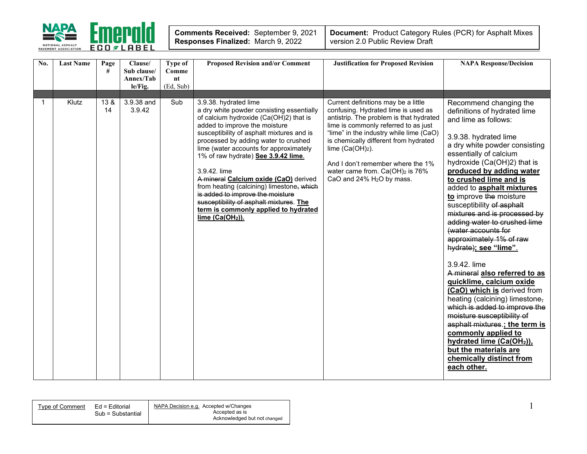

| No. | <b>Last Name</b> | Page<br>#  | Clause/<br>Sub clause/ | Type of<br>Comme | <b>Proposed Revision and/or Comment</b>                                                                                                                                                                                                                                                                                                                                                                                                                                                                                                                                          | <b>Justification for Proposed Revision</b>                                                                                                                                                                                                                                                                                                                                                           | <b>NAPA Response/Decision</b>                                                                                                                                                                                                                                                                                                                                                                                                                                                                                                                                                                                                                                                                                                                                                                                                                                              |
|-----|------------------|------------|------------------------|------------------|----------------------------------------------------------------------------------------------------------------------------------------------------------------------------------------------------------------------------------------------------------------------------------------------------------------------------------------------------------------------------------------------------------------------------------------------------------------------------------------------------------------------------------------------------------------------------------|------------------------------------------------------------------------------------------------------------------------------------------------------------------------------------------------------------------------------------------------------------------------------------------------------------------------------------------------------------------------------------------------------|----------------------------------------------------------------------------------------------------------------------------------------------------------------------------------------------------------------------------------------------------------------------------------------------------------------------------------------------------------------------------------------------------------------------------------------------------------------------------------------------------------------------------------------------------------------------------------------------------------------------------------------------------------------------------------------------------------------------------------------------------------------------------------------------------------------------------------------------------------------------------|
|     |                  |            | Annex/Tab<br>le/Fig.   | nt<br>(Ed, Sub)  |                                                                                                                                                                                                                                                                                                                                                                                                                                                                                                                                                                                  |                                                                                                                                                                                                                                                                                                                                                                                                      |                                                                                                                                                                                                                                                                                                                                                                                                                                                                                                                                                                                                                                                                                                                                                                                                                                                                            |
|     |                  |            |                        |                  |                                                                                                                                                                                                                                                                                                                                                                                                                                                                                                                                                                                  |                                                                                                                                                                                                                                                                                                                                                                                                      |                                                                                                                                                                                                                                                                                                                                                                                                                                                                                                                                                                                                                                                                                                                                                                                                                                                                            |
| 1   | Klutz            | 13 &<br>14 | 3.9.38 and<br>3.9.42   | Sub              | 3.9.38. hydrated lime<br>a dry white powder consisting essentially<br>of calcium hydroxide (Ca(OH)2) that is<br>added to improve the moisture<br>susceptibility of asphalt mixtures and is<br>processed by adding water to crushed<br>lime (water accounts for approximately<br>1% of raw hydrate) See 3.9.42 lime.<br>3.9.42. lime<br>A mineral Calcium oxide (CaO) derived<br>from heating (calcining) limestone, which<br>is added to improve the moisture<br>susceptibility of asphalt mixtures. The<br>term is commonly applied to hydrated<br>lime (Ca(OH <sub>2</sub> )). | Current definitions may be a little<br>confusing. Hydrated lime is used as<br>antistrip. The problem is that hydrated<br>lime is commonly referred to as just<br>"lime" in the industry while lime (CaO)<br>is chemically different from hydrated<br>lime $(Ca(OH)2)$ .<br>And I don't remember where the 1%<br>water came from. Ca(OH) <sub>2</sub> is 76%<br>CaO and 24% H <sub>2</sub> O by mass. | Recommend changing the<br>definitions of hydrated lime<br>and lime as follows:<br>3.9.38. hydrated lime<br>a dry white powder consisting<br>essentially of calcium<br>hydroxide (Ca(OH)2) that is<br>produced by adding water<br>to crushed lime and is<br>added to asphalt mixtures<br>to improve the moisture<br>susceptibility of asphalt<br>mixtures and is processed by<br>adding water to crushed lime<br>(water accounts for<br>approximately 1% of raw<br>hydrate); see "lime".<br>3.9.42. lime<br>A mineral also referred to as<br>quicklime, calcium oxide<br>(CaO) which is derived from<br>heating (calcining) limestone,<br>which is added to improve the<br>moisture susceptibility of<br>asphalt mixtures.; the term is<br>commonly applied to<br>hydrated lime (Ca(OH <sub>2</sub> )),<br>but the materials are<br>chemically distinct from<br>each other. |

| Type of Comment | Ed = Editorial    | NAPA Decision e.g. Accepted w/Changes |
|-----------------|-------------------|---------------------------------------|
|                 | Sub = Substantial | Accepted as is                        |
|                 |                   | Acknowledged but not changed          |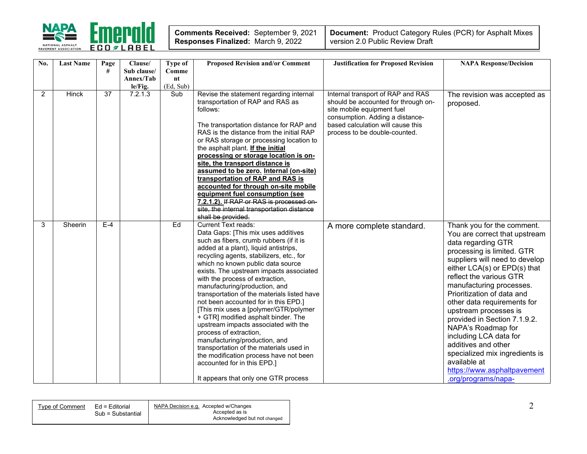

| Comments Received: September 9, 2021      |  |
|-------------------------------------------|--|
| <b>Responses Finalized: March 9, 2022</b> |  |

| No.            | <b>Last Name</b> | Page<br># | Clause/<br>Sub clause/<br>Annex/Tab | <b>Type of</b><br>Comme<br>nt | <b>Proposed Revision and/or Comment</b>                                                                                                                                                                                                                                                                                                                                                                                                                                                                                                                                                                                                                                                                                                                                                                           | <b>Justification for Proposed Revision</b>                                                                                                                                 | <b>NAPA Response/Decision</b>                                                                                                                                                                                                                                                                                                                                                                                                                                                                                                                 |
|----------------|------------------|-----------|-------------------------------------|-------------------------------|-------------------------------------------------------------------------------------------------------------------------------------------------------------------------------------------------------------------------------------------------------------------------------------------------------------------------------------------------------------------------------------------------------------------------------------------------------------------------------------------------------------------------------------------------------------------------------------------------------------------------------------------------------------------------------------------------------------------------------------------------------------------------------------------------------------------|----------------------------------------------------------------------------------------------------------------------------------------------------------------------------|-----------------------------------------------------------------------------------------------------------------------------------------------------------------------------------------------------------------------------------------------------------------------------------------------------------------------------------------------------------------------------------------------------------------------------------------------------------------------------------------------------------------------------------------------|
| $\overline{2}$ | <b>Hinck</b>     | 37        | le/Fig.<br>7.2.1.3                  | (Ed, Sub)<br>Sub              | Revise the statement regarding internal                                                                                                                                                                                                                                                                                                                                                                                                                                                                                                                                                                                                                                                                                                                                                                           | Internal transport of RAP and RAS                                                                                                                                          | The revision was accepted as                                                                                                                                                                                                                                                                                                                                                                                                                                                                                                                  |
|                |                  |           |                                     |                               | transportation of RAP and RAS as<br>follows:<br>The transportation distance for RAP and<br>RAS is the distance from the initial RAP<br>or RAS storage or processing location to<br>the asphalt plant. If the initial<br>processing or storage location is on-<br>site, the transport distance is<br>assumed to be zero. Internal (on-site)<br>transportation of RAP and RAS is<br>accounted for through on-site mobile<br>equipment fuel consumption (see<br>7.2.1.2). If RAP or RAS is processed on-<br>site, the internal transportation distance                                                                                                                                                                                                                                                               | should be accounted for through on-<br>site mobile equipment fuel<br>consumption. Adding a distance-<br>based calculation will cause this<br>process to be double-counted. | proposed.                                                                                                                                                                                                                                                                                                                                                                                                                                                                                                                                     |
| 3              | Sheerin          | $E-4$     |                                     | Ed                            | shall be provided.<br><b>Current Text reads:</b><br>Data Gaps: [This mix uses additives<br>such as fibers, crumb rubbers (if it is<br>added at a plant), liquid antistrips,<br>recycling agents, stabilizers, etc., for<br>which no known public data source<br>exists. The upstream impacts associated<br>with the process of extraction,<br>manufacturing/production, and<br>transportation of the materials listed have<br>not been accounted for in this EPD.]<br>[This mix uses a [polymer/GTR/polymer<br>+ GTR] modified asphalt binder. The<br>upstream impacts associated with the<br>process of extraction,<br>manufacturing/production, and<br>transportation of the materials used in<br>the modification process have not been<br>accounted for in this EPD.]<br>It appears that only one GTR process | A more complete standard.                                                                                                                                                  | Thank you for the comment.<br>You are correct that upstream<br>data regarding GTR<br>processing is limited. GTR<br>suppliers will need to develop<br>either LCA(s) or EPD(s) that<br>reflect the various GTR<br>manufacturing processes.<br>Prioritization of data and<br>other data requirements for<br>upstream processes is<br>provided in Section 7.1.9.2.<br>NAPA's Roadmap for<br>including LCA data for<br>additives and other<br>specialized mix ingredients is<br>available at<br>https://www.asphaltpavement<br>.org/programs/napa- |

| Tvpe of Comment_ | Ed = Editorial    | NAPA Decision e.g. Accepted w/Changes |
|------------------|-------------------|---------------------------------------|
|                  | Sub = Substantial | Accepted as is                        |
|                  |                   | Acknowledged but not changed          |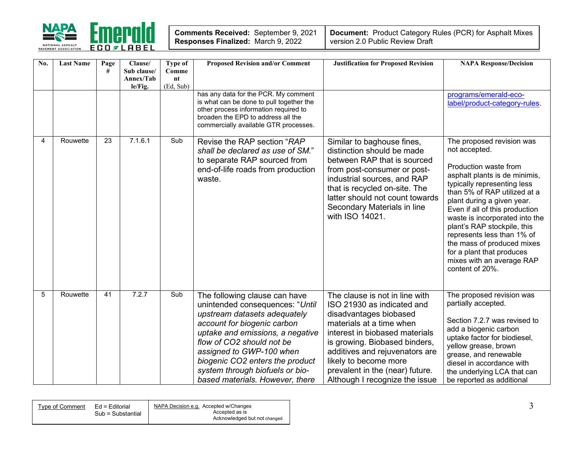

| Comments Received: September 9, 2021 |  |
|--------------------------------------|--|
| Responses Finalized: March 9, 2022   |  |

| No.            | <b>Last Name</b> | Page<br># | Clause/<br>Sub clause/<br>Annex/Tab<br>le/Fig. | <b>Type of</b><br>Comme<br>n t<br>(Ed, Sub) | <b>Proposed Revision and/or Comment</b><br>has any data for the PCR. My comment                                                                                                                                                                                                                                                       | <b>Justification for Proposed Revision</b>                                                                                                                                                                                                                                                                            | <b>NAPA Response/Decision</b><br>programs/emerald-eco-                                                                                                                                                                                                                                                                                                                                                                                        |
|----------------|------------------|-----------|------------------------------------------------|---------------------------------------------|---------------------------------------------------------------------------------------------------------------------------------------------------------------------------------------------------------------------------------------------------------------------------------------------------------------------------------------|-----------------------------------------------------------------------------------------------------------------------------------------------------------------------------------------------------------------------------------------------------------------------------------------------------------------------|-----------------------------------------------------------------------------------------------------------------------------------------------------------------------------------------------------------------------------------------------------------------------------------------------------------------------------------------------------------------------------------------------------------------------------------------------|
|                |                  |           |                                                |                                             | is what can be done to pull together the<br>other process information required to<br>broaden the EPD to address all the<br>commercially available GTR processes.                                                                                                                                                                      |                                                                                                                                                                                                                                                                                                                       | label/product-category-rules.                                                                                                                                                                                                                                                                                                                                                                                                                 |
| $\overline{4}$ | Rouwette         | 23        | 7.1.6.1                                        | Sub                                         | Revise the RAP section "RAP<br>shall be declared as use of SM."<br>to separate RAP sourced from<br>end-of-life roads from production<br>waste.                                                                                                                                                                                        | Similar to baghouse fines,<br>distinction should be made<br>between RAP that is sourced<br>from post-consumer or post-<br>industrial sources, and RAP<br>that is recycled on-site. The<br>latter should not count towards<br>Secondary Materials in line<br>with ISO 14021.                                           | The proposed revision was<br>not accepted.<br>Production waste from<br>asphalt plants is de minimis,<br>typically representing less<br>than 5% of RAP utilized at a<br>plant during a given year.<br>Even if all of this production<br>waste is incorporated into the<br>plant's RAP stockpile, this<br>represents less than 1% of<br>the mass of produced mixes<br>for a plant that produces<br>mixes with an average RAP<br>content of 20%. |
| 5              | Rouwette         | 41        | 7.2.7                                          | Sub                                         | The following clause can have<br>unintended consequences: "Until<br>upstream datasets adequately<br>account for biogenic carbon<br>uptake and emissions, a negative<br>flow of CO2 should not be<br>assigned to GWP-100 when<br>biogenic CO2 enters the product<br>system through biofuels or bio-<br>based materials. However, there | The clause is not in line with<br>ISO 21930 as indicated and<br>disadvantages biobased<br>materials at a time when<br>interest in biobased materials<br>is growing. Biobased binders,<br>additives and rejuvenators are<br>likely to become more<br>prevalent in the (near) future.<br>Although I recognize the issue | The proposed revision was<br>partially accepted.<br>Section 7.2.7 was revised to<br>add a biogenic carbon<br>uptake factor for biodiesel,<br>yellow grease, brown<br>grease, and renewable<br>diesel in accordance with<br>the underlying LCA that can<br>be reported as additional                                                                                                                                                           |

| Ed = Editorial<br>Tvpe of Comment | NAPA Decision e.g. Accepted w/Changes |
|-----------------------------------|---------------------------------------|
|                                   | Accepted as is<br>Sub = Substantial   |
|                                   | Acknowledged but not changed          |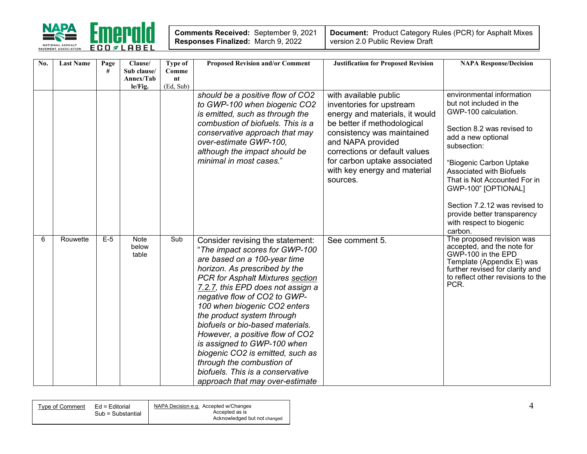

| <b>Comments Received: September 9, 2021</b> |  |
|---------------------------------------------|--|
| Responses Finalized: March 9, 2022          |  |

| No. | <b>Last Name</b> | Page<br># | Clause/<br>Sub clause/<br>Annex/Tab<br>le/Fig. | Type of<br>Comme<br>nt<br>(Ed, Sub) | <b>Proposed Revision and/or Comment</b>                                                                                                                                                                                                                                                                                                                                                                                                                                                                                                                  | <b>Justification for Proposed Revision</b>                                                                                                                                                                                                                                         | <b>NAPA Response/Decision</b>                                                                                                                                                                                                                                                                                                                                               |
|-----|------------------|-----------|------------------------------------------------|-------------------------------------|----------------------------------------------------------------------------------------------------------------------------------------------------------------------------------------------------------------------------------------------------------------------------------------------------------------------------------------------------------------------------------------------------------------------------------------------------------------------------------------------------------------------------------------------------------|------------------------------------------------------------------------------------------------------------------------------------------------------------------------------------------------------------------------------------------------------------------------------------|-----------------------------------------------------------------------------------------------------------------------------------------------------------------------------------------------------------------------------------------------------------------------------------------------------------------------------------------------------------------------------|
|     |                  |           |                                                |                                     | should be a positive flow of CO2<br>to GWP-100 when biogenic CO2<br>is emitted, such as through the<br>combustion of biofuels. This is a<br>conservative approach that may<br>over-estimate GWP-100,<br>although the impact should be<br>minimal in most cases."                                                                                                                                                                                                                                                                                         | with available public<br>inventories for upstream<br>energy and materials, it would<br>be better if methodological<br>consistency was maintained<br>and NAPA provided<br>corrections or default values<br>for carbon uptake associated<br>with key energy and material<br>sources. | environmental information<br>but not included in the<br>GWP-100 calculation.<br>Section 8.2 was revised to<br>add a new optional<br>subsection:<br>"Biogenic Carbon Uptake<br><b>Associated with Biofuels</b><br>That is Not Accounted For in<br>GWP-100" [OPTIONAL]<br>Section 7.2.12 was revised to<br>provide better transparency<br>with respect to biogenic<br>carbon. |
| 6   | Rouwette         | $E-5$     | Note<br>below<br>table                         | Sub                                 | Consider revising the statement:<br>"The impact scores for GWP-100<br>are based on a 100-year time<br>horizon. As prescribed by the<br>PCR for Asphalt Mixtures section<br>7.2.7, this EPD does not assign a<br>negative flow of CO2 to GWP-<br>100 when biogenic CO2 enters<br>the product system through<br>biofuels or bio-based materials.<br>However, a positive flow of CO2<br>is assigned to GWP-100 when<br>biogenic CO2 is emitted, such as<br>through the combustion of<br>biofuels. This is a conservative<br>approach that may over-estimate | See comment 5.                                                                                                                                                                                                                                                                     | The proposed revision was<br>accepted, and the note for<br>GWP-100 in the EPD<br>Template (Appendix E) was<br>further revised for clarity and<br>to reflect other revisions to the<br>PCR.                                                                                                                                                                                  |

| Tvpe of Comment | Ed = Editorial    | NAPA Decision e.g. Accepted w/Changes |
|-----------------|-------------------|---------------------------------------|
|                 | Sub = Substantial | Accepted as is                        |
|                 |                   | Acknowledged but not changed          |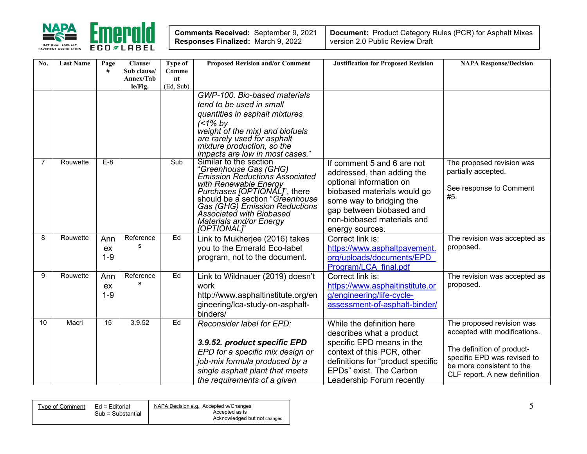

| No. | <b>Last Name</b> | Page<br>#            | Clause/<br>Sub clause/ | Type of<br>Comme | <b>Proposed Revision and/or Comment</b>                                                                                                                                                                                                                                                                           | <b>Justification for Proposed Revision</b>                                                                                                                                                                                  | <b>NAPA Response/Decision</b>                                                                                                                                                       |
|-----|------------------|----------------------|------------------------|------------------|-------------------------------------------------------------------------------------------------------------------------------------------------------------------------------------------------------------------------------------------------------------------------------------------------------------------|-----------------------------------------------------------------------------------------------------------------------------------------------------------------------------------------------------------------------------|-------------------------------------------------------------------------------------------------------------------------------------------------------------------------------------|
|     |                  |                      | Annex/Tab<br>le/Fig.   | nt<br>(Ed, Sub)  |                                                                                                                                                                                                                                                                                                                   |                                                                                                                                                                                                                             |                                                                                                                                                                                     |
|     |                  |                      |                        |                  | GWP-100. Bio-based materials<br>tend to be used in small<br>quantities in asphalt mixtures<br>$(1\%$ by<br>weight of the mix) and biofuels<br>are rarely used for asphalt                                                                                                                                         |                                                                                                                                                                                                                             |                                                                                                                                                                                     |
|     |                  |                      |                        |                  | mixture production, so the<br>impacts are low in most cases."                                                                                                                                                                                                                                                     |                                                                                                                                                                                                                             |                                                                                                                                                                                     |
| 7   | Rouwette         | $E-8$                |                        | Sub              | Similar to the section<br>"Greenhouse Gas (GHG)<br><b>Emission Reductions Associated</b><br>with Renewable Energy<br>Purchases [OPTIONAL]', there<br>should be a section "Greenhouse<br>Gas (GHG) Emission Reductions<br><b>Associated with Biobased</b><br><b>Materials and/or Energy</b><br><b>[OPTIONAL]</b> " | If comment 5 and 6 are not<br>addressed, than adding the<br>optional information on<br>biobased materials would go<br>some way to bridging the<br>gap between biobased and<br>non-biobased materials and<br>energy sources. | The proposed revision was<br>partially accepted.<br>See response to Comment<br>#5.                                                                                                  |
| 8   | Rouwette         | Ann<br>ex<br>$1-9$   | Reference<br>s         | Ed               | Link to Mukherjee (2016) takes<br>you to the Emerald Eco-label<br>program, not to the document.                                                                                                                                                                                                                   | Correct link is:<br>https://www.asphaltpavement.<br>org/uploads/documents/EPD<br>Program/LCA final.pdf                                                                                                                      | The revision was accepted as<br>proposed.                                                                                                                                           |
| 9   | Rouwette         | Ann<br>ex<br>$1 - 9$ | Reference<br>s         | Ed               | Link to Wildnauer (2019) doesn't<br>work<br>http://www.asphaltinstitute.org/en<br>gineering/lca-study-on-asphalt-<br>binders/                                                                                                                                                                                     | Correct link is:<br>https://www.asphaltinstitute.or<br>g/engineering/life-cycle-<br>assessment-of-asphalt-binder/                                                                                                           | The revision was accepted as<br>proposed.                                                                                                                                           |
| 10  | Macri            | $\overline{15}$      | 3.9.52                 | Ed               | Reconsider label for EPD:<br>3.9.52. product specific EPD<br>EPD for a specific mix design or<br>job-mix formula produced by a<br>single asphalt plant that meets<br>the requirements of a given                                                                                                                  | While the definition here<br>describes what a product<br>specific EPD means in the<br>context of this PCR, other<br>definitions for "product specific<br>EPDs" exist. The Carbon<br>Leadership Forum recently               | The proposed revision was<br>accepted with modifications.<br>The definition of product-<br>specific EPD was revised to<br>be more consistent to the<br>CLF report. A new definition |

| NAPA Decision e.g. Accepted w/Changes<br>Ed = Editorial<br>Type of Comment |
|----------------------------------------------------------------------------|
| Accepted as is<br>Sub = Substantial                                        |
| Acknowledged but not changed                                               |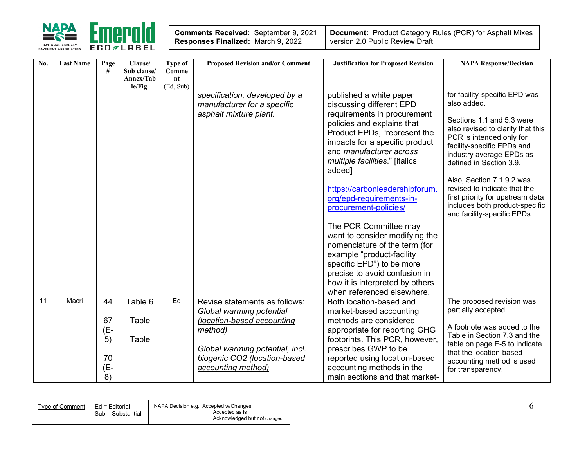

| <b>Comments Received: September 9, 2021</b> |  |
|---------------------------------------------|--|
| Responses Finalized: March 9, 2022          |  |

| No. | <b>Last Name</b> | Page<br>#             | Clause/<br>Sub clause/<br>Annex/Tab | Type of<br>Comme<br>nt | <b>Proposed Revision and/or Comment</b>                                                | <b>Justification for Proposed Revision</b>                                                                                                                                                                                                                                                                                                                                                                                                                                       | <b>NAPA Response/Decision</b>                                                                                                                                                                                                                                                                                                                                                                     |
|-----|------------------|-----------------------|-------------------------------------|------------------------|----------------------------------------------------------------------------------------|----------------------------------------------------------------------------------------------------------------------------------------------------------------------------------------------------------------------------------------------------------------------------------------------------------------------------------------------------------------------------------------------------------------------------------------------------------------------------------|---------------------------------------------------------------------------------------------------------------------------------------------------------------------------------------------------------------------------------------------------------------------------------------------------------------------------------------------------------------------------------------------------|
|     |                  |                       | le/Fig.                             | (Ed, Sub)              |                                                                                        |                                                                                                                                                                                                                                                                                                                                                                                                                                                                                  |                                                                                                                                                                                                                                                                                                                                                                                                   |
|     |                  |                       |                                     |                        | specification, developed by a<br>manufacturer for a specific<br>asphalt mixture plant. | published a white paper<br>discussing different EPD<br>requirements in procurement<br>policies and explains that<br>Product EPDs, "represent the<br>impacts for a specific product<br>and <i>manufacturer</i> across<br>multiple facilities." [italics<br>added]<br>https://carbonleadershipforum.<br>org/epd-requirements-in-<br>procurement-policies/<br>The PCR Committee may<br>want to consider modifying the<br>nomenclature of the term (for<br>example "product-facility | for facility-specific EPD was<br>also added.<br>Sections 1.1 and 5.3 were<br>also revised to clarify that this<br>PCR is intended only for<br>facility-specific EPDs and<br>industry average EPDs as<br>defined in Section 3.9.<br>Also, Section 7.1.9.2 was<br>revised to indicate that the<br>first priority for upstream data<br>includes both product-specific<br>and facility-specific EPDs. |
|     |                  |                       |                                     |                        |                                                                                        | specific EPD") to be more<br>precise to avoid confusion in<br>how it is interpreted by others<br>when referenced elsewhere.                                                                                                                                                                                                                                                                                                                                                      |                                                                                                                                                                                                                                                                                                                                                                                                   |
| 11  | Macri            | 44                    | Table 6                             | Ed                     | Revise statements as follows:                                                          | Both location-based and                                                                                                                                                                                                                                                                                                                                                                                                                                                          | The proposed revision was                                                                                                                                                                                                                                                                                                                                                                         |
|     |                  | 67<br>(E-             | Table                               |                        | Global warming potential<br>(location-based accounting<br>method)                      | market-based accounting<br>methods are considered<br>appropriate for reporting GHG                                                                                                                                                                                                                                                                                                                                                                                               | partially accepted.<br>A footnote was added to the<br>Table in Section 7.3 and the                                                                                                                                                                                                                                                                                                                |
|     |                  | 5)<br>70<br>(E-<br>8) | Table                               |                        | Global warming potential, incl.<br>biogenic CO2 (location-based<br>accounting method)  | footprints. This PCR, however,<br>prescribes GWP to be<br>reported using location-based<br>accounting methods in the<br>main sections and that market-                                                                                                                                                                                                                                                                                                                           | table on page E-5 to indicate<br>that the location-based<br>accounting method is used<br>for transparency.                                                                                                                                                                                                                                                                                        |

| Tvpe of Comment | Ed = Editorial    | NAPA Decision e.g. Accepted w/Changes |
|-----------------|-------------------|---------------------------------------|
|                 | Sub = Substantial | Accepted as is                        |
|                 |                   | Acknowledged but not changed          |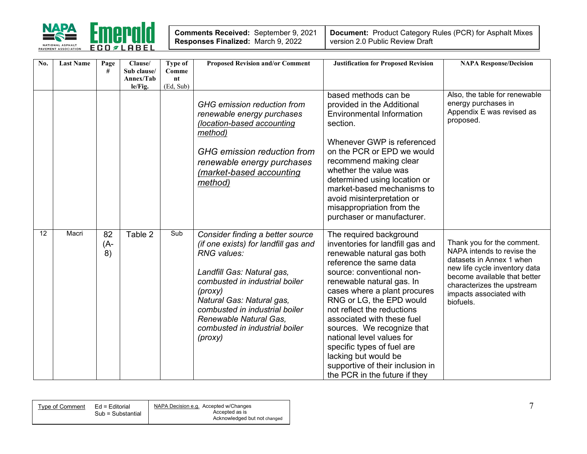

| No.             | <b>Last Name</b> | Page<br>#       | Clause/<br>Sub clause/<br>Annex/Tab | Type of<br>Comme<br>nt | <b>Proposed Revision and/or Comment</b>                                                                                                                                                                                                                                                                  | <b>Justification for Proposed Revision</b>                                                                                                                                                                                                                                                                                                                                                                                                                                                   | <b>NAPA Response/Decision</b>                                                                                                                                                                                               |
|-----------------|------------------|-----------------|-------------------------------------|------------------------|----------------------------------------------------------------------------------------------------------------------------------------------------------------------------------------------------------------------------------------------------------------------------------------------------------|----------------------------------------------------------------------------------------------------------------------------------------------------------------------------------------------------------------------------------------------------------------------------------------------------------------------------------------------------------------------------------------------------------------------------------------------------------------------------------------------|-----------------------------------------------------------------------------------------------------------------------------------------------------------------------------------------------------------------------------|
|                 |                  |                 | le/Fig.                             | (Ed, Sub)              |                                                                                                                                                                                                                                                                                                          |                                                                                                                                                                                                                                                                                                                                                                                                                                                                                              |                                                                                                                                                                                                                             |
|                 |                  |                 |                                     |                        | GHG emission reduction from<br>renewable energy purchases<br>(location-based accounting<br>method)<br>GHG emission reduction from<br>renewable energy purchases<br>(market-based accounting<br>method)                                                                                                   | based methods can be<br>provided in the Additional<br><b>Environmental Information</b><br>section.<br>Whenever GWP is referenced<br>on the PCR or EPD we would<br>recommend making clear<br>whether the value was<br>determined using location or<br>market-based mechanisms to<br>avoid misinterpretation or<br>misappropriation from the<br>purchaser or manufacturer.                                                                                                                     | Also, the table for renewable<br>energy purchases in<br>Appendix E was revised as<br>proposed.                                                                                                                              |
| $\overline{12}$ | Macri            | 82<br>(A-<br>8) | Table 2                             | Sub                    | Consider finding a better source<br>(if one exists) for landfill gas and<br>RNG values:<br>Landfill Gas: Natural gas,<br>combusted in industrial boiler<br>(prows)<br>Natural Gas: Natural gas,<br>combusted in industrial boiler<br>Renewable Natural Gas.<br>combusted in industrial boiler<br>(prows) | The required background<br>inventories for landfill gas and<br>renewable natural gas both<br>reference the same data<br>source: conventional non-<br>renewable natural gas. In<br>cases where a plant procures<br>RNG or LG, the EPD would<br>not reflect the reductions<br>associated with these fuel<br>sources. We recognize that<br>national level values for<br>specific types of fuel are<br>lacking but would be<br>supportive of their inclusion in<br>the PCR in the future if they | Thank you for the comment.<br>NAPA intends to revise the<br>datasets in Annex 1 when<br>new life cycle inventory data<br>become available that better<br>characterizes the upstream<br>impacts associated with<br>biofuels. |

|--|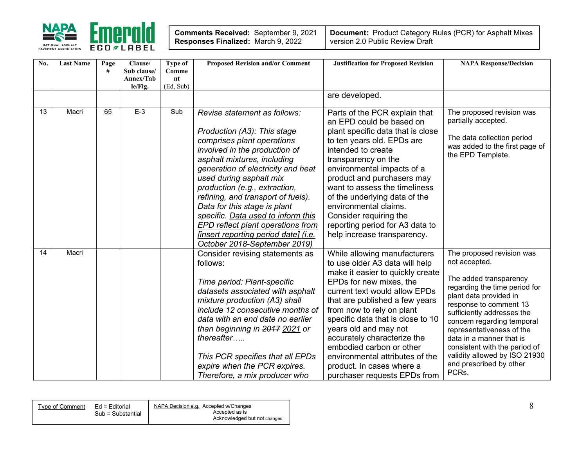

| <b>Comments Received: September 9, 2021</b> |  |
|---------------------------------------------|--|
| Responses Finalized: March 9, 2022          |  |

| No. | <b>Last Name</b> | Page<br># | Clause/<br>Sub clause/<br>Annex/Tab<br>le/Fig. | Type of<br>Comme<br>nt<br>(Ed, Sub) | <b>Proposed Revision and/or Comment</b>                                                                                                                                                                                                                                                                                                                                                                                                                                                     | <b>Justification for Proposed Revision</b>                                                                                                                                                                                                                                                                                                                                                                                                             | <b>NAPA Response/Decision</b>                                                                                                                                                                                                                                                                                                                                                        |
|-----|------------------|-----------|------------------------------------------------|-------------------------------------|---------------------------------------------------------------------------------------------------------------------------------------------------------------------------------------------------------------------------------------------------------------------------------------------------------------------------------------------------------------------------------------------------------------------------------------------------------------------------------------------|--------------------------------------------------------------------------------------------------------------------------------------------------------------------------------------------------------------------------------------------------------------------------------------------------------------------------------------------------------------------------------------------------------------------------------------------------------|--------------------------------------------------------------------------------------------------------------------------------------------------------------------------------------------------------------------------------------------------------------------------------------------------------------------------------------------------------------------------------------|
|     |                  |           |                                                |                                     |                                                                                                                                                                                                                                                                                                                                                                                                                                                                                             | are developed.                                                                                                                                                                                                                                                                                                                                                                                                                                         |                                                                                                                                                                                                                                                                                                                                                                                      |
| 13  | Macri            | 65        | $E-3$                                          | Sub                                 | Revise statement as follows:<br>Production (A3): This stage<br>comprises plant operations<br>involved in the production of<br>asphalt mixtures, including<br>generation of electricity and heat<br>used during asphalt mix<br>production (e.g., extraction,<br>refining, and transport of fuels).<br>Data for this stage is plant<br>specific. Data used to inform this<br>EPD reflect plant operations from<br><i>finsert reporting period date] (i.e.</i><br>October 2018-September 2019) | Parts of the PCR explain that<br>an EPD could be based on<br>plant specific data that is close<br>to ten years old. EPDs are<br>intended to create<br>transparency on the<br>environmental impacts of a<br>product and purchasers may<br>want to assess the timeliness<br>of the underlying data of the<br>environmental claims.<br>Consider requiring the<br>reporting period for A3 data to<br>help increase transparency.                           | The proposed revision was<br>partially accepted.<br>The data collection period<br>was added to the first page of<br>the EPD Template.                                                                                                                                                                                                                                                |
| 14  | Macri            |           |                                                |                                     | Consider revising statements as<br>follows:<br>Time period: Plant-specific<br>datasets associated with asphalt<br>mixture production (A3) shall<br>include 12 consecutive months of<br>data with an end date no earlier<br>than beginning in 2017 2021 or<br>thereafter<br>This PCR specifies that all EPDs<br>expire when the PCR expires.<br>Therefore, a mix producer who                                                                                                                | While allowing manufacturers<br>to use older A3 data will help<br>make it easier to quickly create<br>EPDs for new mixes, the<br>current text would allow EPDs<br>that are published a few years<br>from now to rely on plant<br>specific data that is close to 10<br>years old and may not<br>accurately characterize the<br>embodied carbon or other<br>environmental attributes of the<br>product. In cases where a<br>purchaser requests EPDs from | The proposed revision was<br>not accepted.<br>The added transparency<br>regarding the time period for<br>plant data provided in<br>response to comment 13<br>sufficiently addresses the<br>concern regarding temporal<br>representativeness of the<br>data in a manner that is<br>consistent with the period of<br>validity allowed by ISO 21930<br>and prescribed by other<br>PCRs. |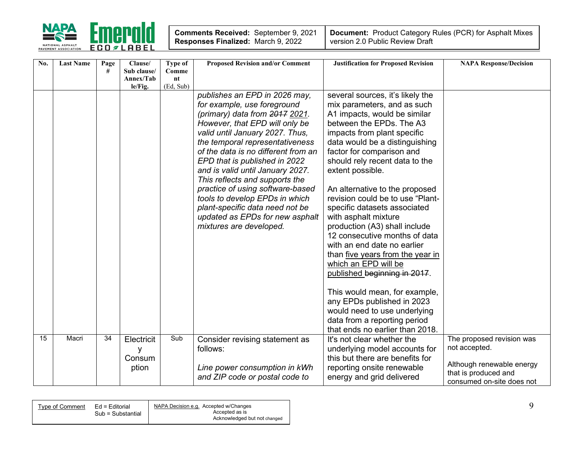

| No. | <b>Last Name</b> | Page<br># | Clause/<br>Sub clause/             | Type of<br>Comme | <b>Proposed Revision and/or Comment</b>                                                                                                                                                                                                                                                                                                                                                                                                                                                                                     | <b>Justification for Proposed Revision</b>                                                                                                                                                                                                                                                                                                                                                                                                                                                                                                                                                                                                                                                                                                                                   | <b>NAPA Response/Decision</b>                                                                                                |
|-----|------------------|-----------|------------------------------------|------------------|-----------------------------------------------------------------------------------------------------------------------------------------------------------------------------------------------------------------------------------------------------------------------------------------------------------------------------------------------------------------------------------------------------------------------------------------------------------------------------------------------------------------------------|------------------------------------------------------------------------------------------------------------------------------------------------------------------------------------------------------------------------------------------------------------------------------------------------------------------------------------------------------------------------------------------------------------------------------------------------------------------------------------------------------------------------------------------------------------------------------------------------------------------------------------------------------------------------------------------------------------------------------------------------------------------------------|------------------------------------------------------------------------------------------------------------------------------|
|     |                  |           | Annex/Tab<br>le/Fig.               | nt<br>(Ed, Sub)  |                                                                                                                                                                                                                                                                                                                                                                                                                                                                                                                             |                                                                                                                                                                                                                                                                                                                                                                                                                                                                                                                                                                                                                                                                                                                                                                              |                                                                                                                              |
|     |                  |           |                                    |                  | publishes an EPD in 2026 may,<br>for example, use foreground<br>(primary) data from 2017 2021.<br>However, that EPD will only be<br>valid until January 2027. Thus,<br>the temporal representativeness<br>of the data is no different from an<br>EPD that is published in 2022<br>and is valid until January 2027.<br>This reflects and supports the<br>practice of using software-based<br>tools to develop EPDs in which<br>plant-specific data need not be<br>updated as EPDs for new asphalt<br>mixtures are developed. | several sources, it's likely the<br>mix parameters, and as such<br>A1 impacts, would be similar<br>between the EPDs. The A3<br>impacts from plant specific<br>data would be a distinguishing<br>factor for comparison and<br>should rely recent data to the<br>extent possible.<br>An alternative to the proposed<br>revision could be to use "Plant-<br>specific datasets associated<br>with asphalt mixture<br>production (A3) shall include<br>12 consecutive months of data<br>with an end date no earlier<br>than five years from the year in<br>which an EPD will be<br>published beginning in 2017.<br>This would mean, for example,<br>any EPDs published in 2023<br>would need to use underlying<br>data from a reporting period<br>that ends no earlier than 2018. |                                                                                                                              |
| 15  | Macri            | 34        | Electricit<br>y<br>Consum<br>ption | Sub              | Consider revising statement as<br>follows:<br>Line power consumption in kWh<br>and ZIP code or postal code to                                                                                                                                                                                                                                                                                                                                                                                                               | It's not clear whether the<br>underlying model accounts for<br>this but there are benefits for<br>reporting onsite renewable<br>energy and grid delivered                                                                                                                                                                                                                                                                                                                                                                                                                                                                                                                                                                                                                    | The proposed revision was<br>not accepted.<br>Although renewable energy<br>that is produced and<br>consumed on-site does not |

| NAPA Decision e.g. Accepted w/Changes<br>Ed = Editorial<br>Type of Comment<br>Accepted as is<br>Sub = Substantial |
|-------------------------------------------------------------------------------------------------------------------|
| Acknowledged but not changed                                                                                      |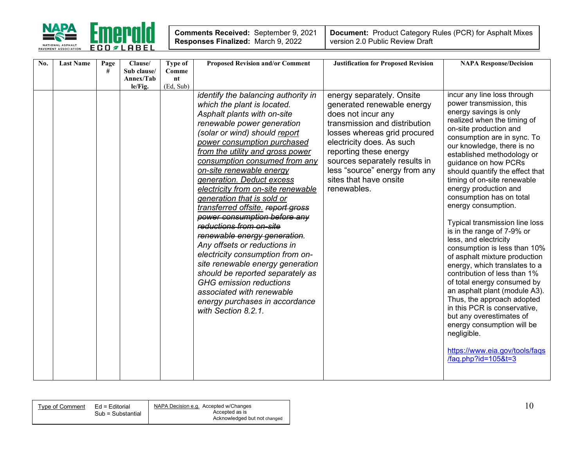

 $\overline{a}$ 

| No. | <b>Last Name</b> | Page | Clause/              | Type of         | <b>Proposed Revision and/or Comment</b>                                                                                                                                                                                                                                                                                                                                                                                                                                                                                                                                                                                                                                                                                                                                                               | <b>Justification for Proposed Revision</b>                                                                                                                                                                                                                                                                       | <b>NAPA Response/Decision</b>                                                                                                                                                                                                                                                                                                                                                                                                                                                                                                                                                                                                                                                                                                                                                                                                                                                                          |
|-----|------------------|------|----------------------|-----------------|-------------------------------------------------------------------------------------------------------------------------------------------------------------------------------------------------------------------------------------------------------------------------------------------------------------------------------------------------------------------------------------------------------------------------------------------------------------------------------------------------------------------------------------------------------------------------------------------------------------------------------------------------------------------------------------------------------------------------------------------------------------------------------------------------------|------------------------------------------------------------------------------------------------------------------------------------------------------------------------------------------------------------------------------------------------------------------------------------------------------------------|--------------------------------------------------------------------------------------------------------------------------------------------------------------------------------------------------------------------------------------------------------------------------------------------------------------------------------------------------------------------------------------------------------------------------------------------------------------------------------------------------------------------------------------------------------------------------------------------------------------------------------------------------------------------------------------------------------------------------------------------------------------------------------------------------------------------------------------------------------------------------------------------------------|
|     |                  | #    | Sub clause/          | Comme           |                                                                                                                                                                                                                                                                                                                                                                                                                                                                                                                                                                                                                                                                                                                                                                                                       |                                                                                                                                                                                                                                                                                                                  |                                                                                                                                                                                                                                                                                                                                                                                                                                                                                                                                                                                                                                                                                                                                                                                                                                                                                                        |
|     |                  |      | Annex/Tab<br>le/Fig. | nt<br>(Ed, Sub) |                                                                                                                                                                                                                                                                                                                                                                                                                                                                                                                                                                                                                                                                                                                                                                                                       |                                                                                                                                                                                                                                                                                                                  |                                                                                                                                                                                                                                                                                                                                                                                                                                                                                                                                                                                                                                                                                                                                                                                                                                                                                                        |
|     |                  |      |                      |                 | identify the balancing authority in<br>which the plant is located.<br>Asphalt plants with on-site<br>renewable power generation<br>(solar or wind) should report<br>power consumption purchased<br>from the utility and gross power<br>consumption consumed from any<br>on-site renewable energy<br>generation. Deduct excess<br>electricity from on-site renewable<br>generation that is sold or<br>transferred offsite. report gross<br>power consumption before any<br>reductions from on-site<br>renewable energy generation.<br>Any offsets or reductions in<br>electricity consumption from on-<br>site renewable energy generation<br>should be reported separately as<br><b>GHG</b> emission reductions<br>associated with renewable<br>energy purchases in accordance<br>with Section 8.2.1. | energy separately. Onsite<br>generated renewable energy<br>does not incur any<br>transmission and distribution<br>losses whereas grid procured<br>electricity does. As such<br>reporting these energy<br>sources separately results in<br>less "source" energy from any<br>sites that have onsite<br>renewables. | incur any line loss through<br>power transmission, this<br>energy savings is only<br>realized when the timing of<br>on-site production and<br>consumption are in sync. To<br>our knowledge, there is no<br>established methodology or<br>guidance on how PCRs<br>should quantify the effect that<br>timing of on-site renewable<br>energy production and<br>consumption has on total<br>energy consumption.<br>Typical transmission line loss<br>is in the range of 7-9% or<br>less, and electricity<br>consumption is less than 10%<br>of asphalt mixture production<br>energy, which translates to a<br>contribution of less than 1%<br>of total energy consumed by<br>an asphalt plant (module A3).<br>Thus, the approach adopted<br>in this PCR is conservative,<br>but any overestimates of<br>energy consumption will be<br>negligible.<br>https://www.eia.gov/tools/faqs<br>/faq.php?id=105&t=3 |

Type of Comment  $\quad$  Ed = Editorial  $\quad$  NAPA Decision e.g. Accepted w/Changes  $\quad$  Sub = Substantial Accepted as is Acknowledged but not changed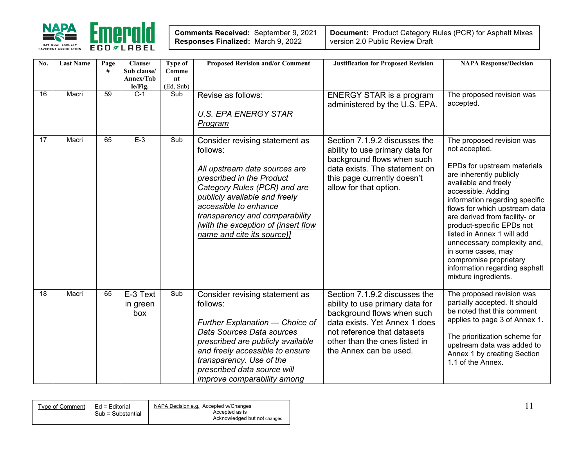

| Comments Received: September 9, 2021      |  |
|-------------------------------------------|--|
| <b>Responses Finalized: March 9, 2022</b> |  |

| No. | <b>Last Name</b> | Page<br># | Clause/<br>Sub clause/<br>Annex/Tab<br>le/Fig. | <b>Type of</b><br>Comme<br>nt<br>(Ed, Sub) | <b>Proposed Revision and/or Comment</b>                                                                                                                                                                                                                                                                   | <b>Justification for Proposed Revision</b>                                                                                                                                                                                | <b>NAPA Response/Decision</b>                                                                                                                                                                                                                                                                                                                                                                                                                             |
|-----|------------------|-----------|------------------------------------------------|--------------------------------------------|-----------------------------------------------------------------------------------------------------------------------------------------------------------------------------------------------------------------------------------------------------------------------------------------------------------|---------------------------------------------------------------------------------------------------------------------------------------------------------------------------------------------------------------------------|-----------------------------------------------------------------------------------------------------------------------------------------------------------------------------------------------------------------------------------------------------------------------------------------------------------------------------------------------------------------------------------------------------------------------------------------------------------|
| 16  | Macri            | 59        | $C-1$                                          | Sub                                        | Revise as follows:<br><b>U.S. EPA ENERGY STAR</b><br>Program                                                                                                                                                                                                                                              | <b>ENERGY STAR is a program</b><br>administered by the U.S. EPA.                                                                                                                                                          | The proposed revision was<br>accepted.                                                                                                                                                                                                                                                                                                                                                                                                                    |
| 17  | Macri            | 65        | $E-3$                                          | Sub                                        | Consider revising statement as<br>follows:<br>All upstream data sources are<br>prescribed in the Product<br>Category Rules (PCR) and are<br>publicly available and freely<br>accessible to enhance<br>transparency and comparability<br>[with the exception of (insert flow<br>name and cite its source)] | Section 7.1.9.2 discusses the<br>ability to use primary data for<br>background flows when such<br>data exists. The statement on<br>this page currently doesn't<br>allow for that option.                                  | The proposed revision was<br>not accepted.<br>EPDs for upstream materials<br>are inherently publicly<br>available and freely<br>accessible. Adding<br>information regarding specific<br>flows for which upstream data<br>are derived from facility- or<br>product-specific EPDs not<br>listed in Annex 1 will add<br>unnecessary complexity and,<br>in some cases, may<br>compromise proprietary<br>information regarding asphalt<br>mixture ingredients. |
| 18  | Macri            | 65        | E-3 Text<br>in green<br>box                    | Sub                                        | Consider revising statement as<br>follows:<br>Further Explanation - Choice of<br>Data Sources Data sources<br>prescribed are publicly available<br>and freely accessible to ensure<br>transparency. Use of the<br>prescribed data source will<br>improve comparability among                              | Section 7.1.9.2 discusses the<br>ability to use primary data for<br>background flows when such<br>data exists. Yet Annex 1 does<br>not reference that datasets<br>other than the ones listed in<br>the Annex can be used. | The proposed revision was<br>partially accepted. It should<br>be noted that this comment<br>applies to page 3 of Annex 1.<br>The prioritization scheme for<br>upstream data was added to<br>Annex 1 by creating Section<br>1.1 of the Annex.                                                                                                                                                                                                              |

| Sub = Substantial | NAPA Decision e.g. Accepted w/Changes          |  |
|-------------------|------------------------------------------------|--|
|                   | Accepted as is<br>Acknowledged but not changed |  |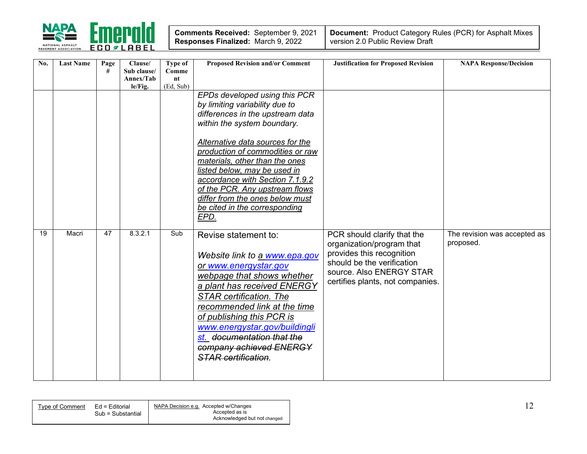

| Comments Received: September 9, 2021      | $\overline{\phantom{a}}$ Do |
|-------------------------------------------|-----------------------------|
| <b>Responses Finalized: March 9, 2022</b> | ver                         |

| No. | <b>Last Name</b> | Page<br># | Clause/<br>Sub clause/<br>Annex/Tab | Type of<br>Comme<br>nt<br>(Ed, Sub) | <b>Proposed Revision and/or Comment</b>                                                                                                                                                                                                                                                                                                                                                                                       | <b>Justification for Proposed Revision</b>                                                                                                                                          | <b>NAPA Response/Decision</b>             |
|-----|------------------|-----------|-------------------------------------|-------------------------------------|-------------------------------------------------------------------------------------------------------------------------------------------------------------------------------------------------------------------------------------------------------------------------------------------------------------------------------------------------------------------------------------------------------------------------------|-------------------------------------------------------------------------------------------------------------------------------------------------------------------------------------|-------------------------------------------|
|     |                  |           | le/Fig.                             |                                     | EPDs developed using this PCR<br>by limiting variability due to<br>differences in the upstream data<br>within the system boundary.<br>Alternative data sources for the<br>production of commodities or raw<br>materials, other than the ones<br>listed below, may be used in<br>accordance with Section 7.1.9.2<br>of the PCR. Any upstream flows<br>differ from the ones below must<br>be cited in the corresponding<br>EPD. |                                                                                                                                                                                     |                                           |
| 19  | Macri            | 47        | 8.3.2.1                             | Sub                                 | Revise statement to:<br>Website link to a www.epa.gov<br>or www.energystar.gov<br>webpage that shows whether<br>a plant has received ENERGY<br><b>STAR certification. The</b><br>recommended link at the time<br>of publishing this PCR is<br>www.energystar.gov/buildingli<br>st documentation that the<br>company achieved ENERGY<br><b>STAR</b> certification.                                                             | PCR should clarify that the<br>organization/program that<br>provides this recognition<br>should be the verification<br>source. Also ENERGY STAR<br>certifies plants, not companies. | The revision was accepted as<br>proposed. |

| Type of Comment | $Ed =$ Editorial<br>Sub = Substantial | NAPA Decision e.g. Accepted w/Changes<br>Accepted as is<br>Acknowledged but not changed | . . |
|-----------------|---------------------------------------|-----------------------------------------------------------------------------------------|-----|
|-----------------|---------------------------------------|-----------------------------------------------------------------------------------------|-----|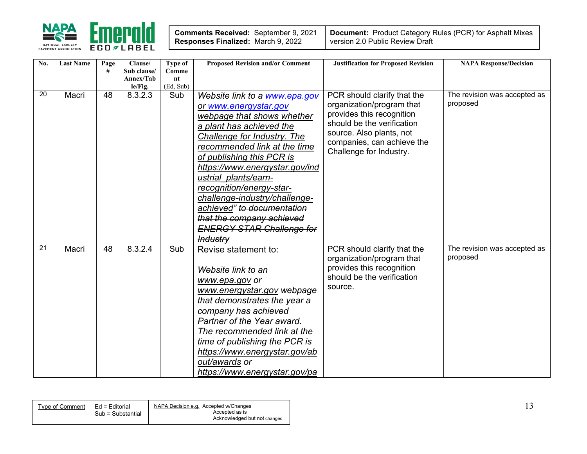

| Comments Received: September 9, 2021 |  |
|--------------------------------------|--|
| Responses Finalized: March 9, 2022   |  |

| No.             | <b>Last Name</b> | Page<br># | Clause/<br>Sub clause/<br>Annex/Tab | Type of<br>Comme<br>nt | <b>Proposed Revision and/or Comment</b> | <b>Justification for Proposed Revision</b>             | <b>NAPA Response/Decision</b>            |
|-----------------|------------------|-----------|-------------------------------------|------------------------|-----------------------------------------|--------------------------------------------------------|------------------------------------------|
|                 |                  |           | le/Fig.                             | (Ed, Sub)              |                                         |                                                        |                                          |
| 20              | Macri            | 48        | 8.3.2.3                             | Sub                    | Website link to a www.epa.gov           | PCR should clarify that the                            | The revision was accepted as             |
|                 |                  |           |                                     |                        | or www.energystar.gov                   | organization/program that                              | proposed                                 |
|                 |                  |           |                                     |                        | webpage that shows whether              | provides this recognition                              |                                          |
|                 |                  |           |                                     |                        | a plant has achieved the                | should be the verification                             |                                          |
|                 |                  |           |                                     |                        | Challenge for Industry. The             | source. Also plants, not<br>companies, can achieve the |                                          |
|                 |                  |           |                                     |                        | recommended link at the time            | Challenge for Industry.                                |                                          |
|                 |                  |           |                                     |                        | of publishing this PCR is               |                                                        |                                          |
|                 |                  |           |                                     |                        | https://www.energystar.gov/ind          |                                                        |                                          |
|                 |                  |           |                                     |                        | ustrial plants/earn-                    |                                                        |                                          |
|                 |                  |           |                                     |                        | recognition/energy-star-                |                                                        |                                          |
|                 |                  |           |                                     |                        | challenge-industry/challenge-           |                                                        |                                          |
|                 |                  |           |                                     |                        | achieved" to documentation              |                                                        |                                          |
|                 |                  |           |                                     |                        | that the company achieved               |                                                        |                                          |
|                 |                  |           |                                     |                        | <b>ENERGY STAR Challenge for</b>        |                                                        |                                          |
|                 |                  |           |                                     |                        | <b>Industry</b>                         |                                                        |                                          |
| $\overline{21}$ | Macri            | 48        | 8.3.2.4                             | Sub                    | Revise statement to:                    | PCR should clarify that the                            | The revision was accepted as<br>proposed |
|                 |                  |           |                                     |                        |                                         | organization/program that<br>provides this recognition |                                          |
|                 |                  |           |                                     |                        | Website link to an                      | should be the verification                             |                                          |
|                 |                  |           |                                     |                        | www.epa.gov or                          | source.                                                |                                          |
|                 |                  |           |                                     |                        | www.energystar.gov webpage              |                                                        |                                          |
|                 |                  |           |                                     |                        | that demonstrates the year a            |                                                        |                                          |
|                 |                  |           |                                     |                        | company has achieved                    |                                                        |                                          |
|                 |                  |           |                                     |                        | Partner of the Year award.              |                                                        |                                          |
|                 |                  |           |                                     |                        | The recommended link at the             |                                                        |                                          |
|                 |                  |           |                                     |                        | time of publishing the PCR is           |                                                        |                                          |
|                 |                  |           |                                     |                        | https://www.energystar.gov/ab           |                                                        |                                          |
|                 |                  |           |                                     |                        | out/awards or                           |                                                        |                                          |
|                 |                  |           |                                     |                        | https://www.energystar.gov/pa           |                                                        |                                          |

| NAPA Decision e.g. Accepted w/Changes<br>Ed = Editorial<br>Type of Comment<br>Sub = Substantial<br>Accepted as is<br>Acknowledged but not changed |  |
|---------------------------------------------------------------------------------------------------------------------------------------------------|--|
|---------------------------------------------------------------------------------------------------------------------------------------------------|--|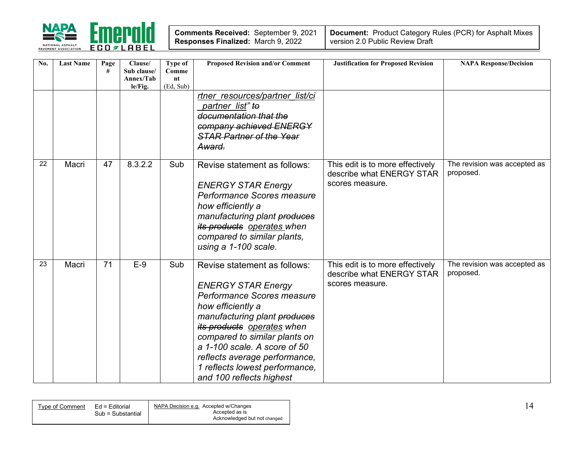

| Comments Received: September 9, 2021 |  |
|--------------------------------------|--|
| Responses Finalized: March 9, 2022   |  |

| No. | <b>Last Name</b> | Page<br># | Clause/<br>Sub clause/<br>Annex/Tab<br>le/Fig. | Type of<br>Comme<br>nt<br>(Ed, Sub) | <b>Proposed Revision and/or Comment</b><br>rtner resources/partner list/ci                                                                                                                                                                                                                                                                 | <b>Justification for Proposed Revision</b>                                       | <b>NAPA Response/Decision</b>             |
|-----|------------------|-----------|------------------------------------------------|-------------------------------------|--------------------------------------------------------------------------------------------------------------------------------------------------------------------------------------------------------------------------------------------------------------------------------------------------------------------------------------------|----------------------------------------------------------------------------------|-------------------------------------------|
|     |                  |           |                                                |                                     | partner list" to<br>documentation that the<br>company achieved ENERGY<br><b>STAR Partner of the Year</b><br>Award.                                                                                                                                                                                                                         |                                                                                  |                                           |
| 22  | Macri            | 47        | 8.3.2.2                                        | Sub                                 | Revise statement as follows:<br><b>ENERGY STAR Energy</b><br>Performance Scores measure<br>how efficiently a<br>manufacturing plant produces<br>its products operates when<br>compared to similar plants,<br>using a 1-100 scale.                                                                                                          | This edit is to more effectively<br>describe what ENERGY STAR<br>scores measure. | The revision was accepted as<br>proposed. |
| 23  | Macri            | 71        | $E-9$                                          | Sub                                 | Revise statement as follows:<br><b>ENERGY STAR Energy</b><br>Performance Scores measure<br>how efficiently a<br>manufacturing plant produces<br>its products operates when<br>compared to similar plants on<br>a 1-100 scale. A score of 50<br>reflects average performance,<br>1 reflects lowest performance,<br>and 100 reflects highest | This edit is to more effectively<br>describe what ENERGY STAR<br>scores measure. | The revision was accepted as<br>proposed. |

| Tvpe of Comment | Ed = Editorial<br>Sub = Substantial | NAPA Decision e.g. Accepted w/Changes<br>Accepted as is<br>Acknowledged but not changed |  |
|-----------------|-------------------------------------|-----------------------------------------------------------------------------------------|--|
|                 |                                     |                                                                                         |  |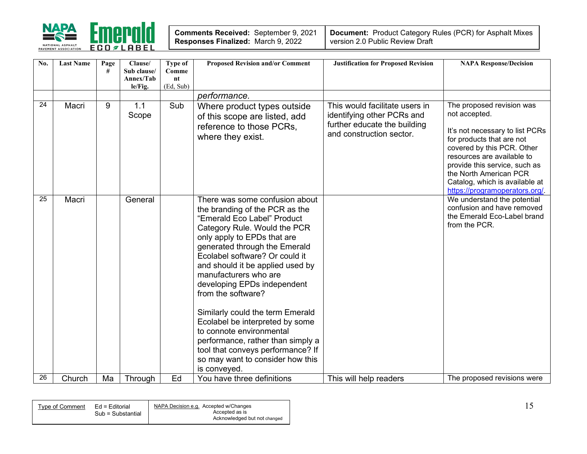

| Comments Received: September 9, 2021      |  |
|-------------------------------------------|--|
| <b>Responses Finalized: March 9, 2022</b> |  |

| No. | <b>Last Name</b> | Page<br># | Clause/<br>Sub clause/<br>Annex/Tab<br>le/Fig. | <b>Type of</b><br>Comme<br>nt<br>(Ed, Sub) | <b>Proposed Revision and/or Comment</b>                                                                                                                                                                                                                                                                                                                                                                                                                                                                                                                                              | <b>Justification for Proposed Revision</b>                                                                               | <b>NAPA Response/Decision</b>                                                                                                                                                                                                                                                                         |
|-----|------------------|-----------|------------------------------------------------|--------------------------------------------|--------------------------------------------------------------------------------------------------------------------------------------------------------------------------------------------------------------------------------------------------------------------------------------------------------------------------------------------------------------------------------------------------------------------------------------------------------------------------------------------------------------------------------------------------------------------------------------|--------------------------------------------------------------------------------------------------------------------------|-------------------------------------------------------------------------------------------------------------------------------------------------------------------------------------------------------------------------------------------------------------------------------------------------------|
|     |                  |           |                                                |                                            | performance.                                                                                                                                                                                                                                                                                                                                                                                                                                                                                                                                                                         |                                                                                                                          |                                                                                                                                                                                                                                                                                                       |
| 24  | Macri            | 9         | 1.1<br>Scope                                   | Sub                                        | Where product types outside<br>of this scope are listed, add<br>reference to those PCRs.<br>where they exist.                                                                                                                                                                                                                                                                                                                                                                                                                                                                        | This would facilitate users in<br>identifying other PCRs and<br>further educate the building<br>and construction sector. | The proposed revision was<br>not accepted.<br>It's not necessary to list PCRs<br>for products that are not<br>covered by this PCR. Other<br>resources are available to<br>provide this service, such as<br>the North American PCR<br>Catalog, which is available at<br>https://programoperators.org/. |
| 25  | Macri            |           | General                                        |                                            | There was some confusion about<br>the branding of the PCR as the<br>"Emerald Eco Label" Product<br>Category Rule. Would the PCR<br>only apply to EPDs that are<br>generated through the Emerald<br>Ecolabel software? Or could it<br>and should it be applied used by<br>manufacturers who are<br>developing EPDs independent<br>from the software?<br>Similarly could the term Emerald<br>Ecolabel be interpreted by some<br>to connote environmental<br>performance, rather than simply a<br>tool that conveys performance? If<br>so may want to consider how this<br>is conveyed. |                                                                                                                          | We understand the potential<br>confusion and have removed<br>the Emerald Eco-Label brand<br>from the PCR.                                                                                                                                                                                             |
| 26  | Church           | Ma        | Through                                        | Ed                                         | You have three definitions                                                                                                                                                                                                                                                                                                                                                                                                                                                                                                                                                           | This will help readers                                                                                                   | The proposed revisions were                                                                                                                                                                                                                                                                           |

| Type of 1 | Ed = Editorial    | NAPA Decision e.g. Accepted w/Changes |  |
|-----------|-------------------|---------------------------------------|--|
| Comment   | Sub = Substantial | Accepted as is                        |  |
|           |                   | Acknowledged but not changed          |  |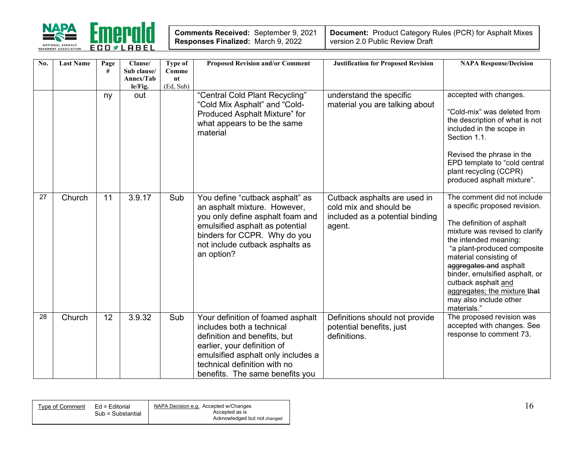

| Comments Received: September 9, 2021      |  |
|-------------------------------------------|--|
| <b>Responses Finalized: March 9, 2022</b> |  |

| No. | <b>Last Name</b> | Page<br># | Clause/<br>Sub clause/<br>Annex/Tab<br>le/Fig. | Type of<br>Comme<br>nt<br>(Ed, Sub) | <b>Proposed Revision and/or Comment</b>                                                                                                                                                                                                | <b>Justification for Proposed Revision</b>                                                          | <b>NAPA Response/Decision</b>                                                                                                                                                                                                                                                                                                                                             |
|-----|------------------|-----------|------------------------------------------------|-------------------------------------|----------------------------------------------------------------------------------------------------------------------------------------------------------------------------------------------------------------------------------------|-----------------------------------------------------------------------------------------------------|---------------------------------------------------------------------------------------------------------------------------------------------------------------------------------------------------------------------------------------------------------------------------------------------------------------------------------------------------------------------------|
|     |                  | ny        | out                                            |                                     | "Central Cold Plant Recycling"<br>"Cold Mix Asphalt" and "Cold-<br>Produced Asphalt Mixture" for<br>what appears to be the same<br>material                                                                                            | understand the specific<br>material you are talking about                                           | accepted with changes.<br>"Cold-mix" was deleted from<br>the description of what is not<br>included in the scope in<br>Section 1.1.<br>Revised the phrase in the<br>EPD template to "cold central<br>plant recycling (CCPR)<br>produced asphalt mixture".                                                                                                                 |
| 27  | Church           | 11        | 3.9.17                                         | Sub                                 | You define "cutback asphalt" as<br>an asphalt mixture. However,<br>you only define asphalt foam and<br>emulsified asphalt as potential<br>binders for CCPR. Why do you<br>not include cutback asphalts as<br>an option?                | Cutback asphalts are used in<br>cold mix and should be<br>included as a potential binding<br>agent. | The comment did not include<br>a specific proposed revision.<br>The definition of asphalt<br>mixture was revised to clarify<br>the intended meaning:<br>"a plant-produced composite<br>material consisting of<br>aggregates and asphalt<br>binder, emulsified asphalt, or<br>cutback asphalt and<br>aggregates; the mixture that<br>may also include other<br>materials." |
| 28  | Church           | 12        | 3.9.32                                         | Sub                                 | Your definition of foamed asphalt<br>includes both a technical<br>definition and benefits, but<br>earlier, your definition of<br>emulsified asphalt only includes a<br>technical definition with no<br>benefits. The same benefits you | Definitions should not provide<br>potential benefits, just<br>definitions.                          | The proposed revision was<br>accepted with changes. See<br>response to comment 73.                                                                                                                                                                                                                                                                                        |

| Tvpe of Comment | Ed = Editorial    | NAPA Decision e.g. Accepted w/Changes<br>Accepted as is |  |
|-----------------|-------------------|---------------------------------------------------------|--|
|                 | Sub = Substantial | Acknowledged but not changed                            |  |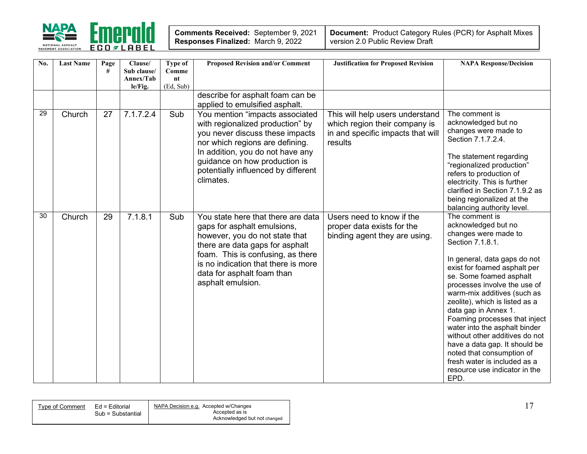

| Comments Received: September 9, 2021      |  |
|-------------------------------------------|--|
| <b>Responses Finalized: March 9, 2022</b> |  |

| No. | <b>Last Name</b> | Page<br># | Clause/<br>Sub clause/<br>Annex/Tab<br>le/Fig. | Type of<br>Comme<br>nt<br>(Ed, Sub) | <b>Proposed Revision and/or Comment</b>                                                                                                                                                                                                                               | <b>Justification for Proposed Revision</b>                                                                       | <b>NAPA Response/Decision</b>                                                                                                                                                                                                                                                                                                                                                                                                                                                                                                                    |
|-----|------------------|-----------|------------------------------------------------|-------------------------------------|-----------------------------------------------------------------------------------------------------------------------------------------------------------------------------------------------------------------------------------------------------------------------|------------------------------------------------------------------------------------------------------------------|--------------------------------------------------------------------------------------------------------------------------------------------------------------------------------------------------------------------------------------------------------------------------------------------------------------------------------------------------------------------------------------------------------------------------------------------------------------------------------------------------------------------------------------------------|
|     |                  |           |                                                |                                     | describe for asphalt foam can be<br>applied to emulsified asphalt.                                                                                                                                                                                                    |                                                                                                                  |                                                                                                                                                                                                                                                                                                                                                                                                                                                                                                                                                  |
| 29  | Church           | 27        | 7.1.7.2.4                                      | Sub                                 | You mention "impacts associated<br>with regionalized production" by<br>you never discuss these impacts<br>nor which regions are defining.<br>In addition, you do not have any<br>guidance on how production is<br>potentially influenced by different<br>climates.    | This will help users understand<br>which region their company is<br>in and specific impacts that will<br>results | The comment is<br>acknowledged but no<br>changes were made to<br>Section 7.1.7.2.4.<br>The statement regarding<br>"regionalized production"<br>refers to production of<br>electricity. This is further<br>clarified in Section 7.1.9.2 as<br>being regionalized at the<br>balancing authority level.                                                                                                                                                                                                                                             |
| 30  | Church           | 29        | 7.1.8.1                                        | Sub                                 | You state here that there are data<br>gaps for asphalt emulsions,<br>however, you do not state that<br>there are data gaps for asphalt<br>foam. This is confusing, as there<br>is no indication that there is more<br>data for asphalt foam than<br>asphalt emulsion. | Users need to know if the<br>proper data exists for the<br>binding agent they are using.                         | The comment is<br>acknowledged but no<br>changes were made to<br>Section 7.1.8.1.<br>In general, data gaps do not<br>exist for foamed asphalt per<br>se. Some foamed asphalt<br>processes involve the use of<br>warm-mix additives (such as<br>zeolite), which is listed as a<br>data gap in Annex 1.<br>Foaming processes that inject<br>water into the asphalt binder<br>without other additives do not<br>have a data gap. It should be<br>noted that consumption of<br>fresh water is included as a<br>resource use indicator in the<br>EPD. |

| Tvpe of Comment_ | Ed = Editorial    | NAPA Decision e.g. Accepted w/Changes |
|------------------|-------------------|---------------------------------------|
|                  | Sub = Substantial | Accepted as is                        |
|                  |                   | Acknowledged but not changed          |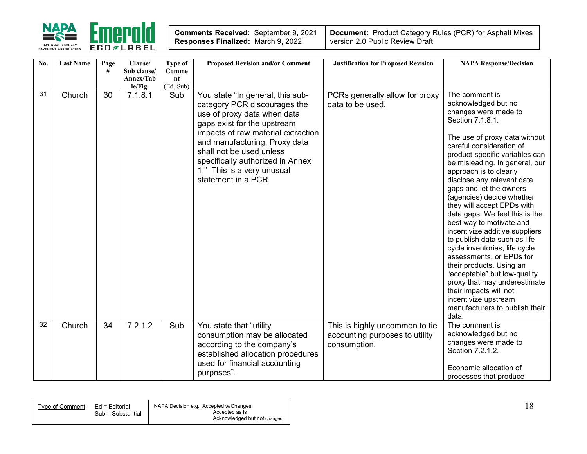

| Comments Received: September 9, 2021      |  |
|-------------------------------------------|--|
| <b>Responses Finalized: March 9, 2022</b> |  |

| No. | <b>Last Name</b> | Page<br># | Clause/<br>Sub clause/ | <b>Type of</b><br>Comme | <b>Proposed Revision and/or Comment</b>                         | <b>Justification for Proposed Revision</b> | <b>NAPA Response/Decision</b>                                  |
|-----|------------------|-----------|------------------------|-------------------------|-----------------------------------------------------------------|--------------------------------------------|----------------------------------------------------------------|
|     |                  |           | Annex/Tab              | nt                      |                                                                 |                                            |                                                                |
|     |                  |           | le/Fig.                | (Ed, Sub)               |                                                                 |                                            |                                                                |
| 31  | Church           | 30        | 7.1.8.1                | Sub                     | You state "In general, this sub-                                | PCRs generally allow for proxy             | The comment is<br>acknowledged but no                          |
|     |                  |           |                        |                         | category PCR discourages the                                    | data to be used.                           | changes were made to                                           |
|     |                  |           |                        |                         | use of proxy data when data<br>gaps exist for the upstream      |                                            | Section 7.1.8.1.                                               |
|     |                  |           |                        |                         | impacts of raw material extraction                              |                                            |                                                                |
|     |                  |           |                        |                         | and manufacturing. Proxy data                                   |                                            | The use of proxy data without                                  |
|     |                  |           |                        |                         | shall not be used unless                                        |                                            | careful consideration of<br>product-specific variables can     |
|     |                  |           |                        |                         | specifically authorized in Annex                                |                                            | be misleading. In general, our                                 |
|     |                  |           |                        |                         | 1." This is a very unusual                                      |                                            | approach is to clearly                                         |
|     |                  |           |                        |                         | statement in a PCR                                              |                                            | disclose any relevant data                                     |
|     |                  |           |                        |                         |                                                                 |                                            | gaps and let the owners<br>(agencies) decide whether           |
|     |                  |           |                        |                         |                                                                 |                                            | they will accept EPDs with                                     |
|     |                  |           |                        |                         |                                                                 |                                            | data gaps. We feel this is the                                 |
|     |                  |           |                        |                         |                                                                 |                                            | best way to motivate and                                       |
|     |                  |           |                        |                         |                                                                 |                                            | incentivize additive suppliers<br>to publish data such as life |
|     |                  |           |                        |                         |                                                                 |                                            | cycle inventories, life cycle                                  |
|     |                  |           |                        |                         |                                                                 |                                            | assessments, or EPDs for                                       |
|     |                  |           |                        |                         |                                                                 |                                            | their products. Using an                                       |
|     |                  |           |                        |                         |                                                                 |                                            | "acceptable" but low-quality                                   |
|     |                  |           |                        |                         |                                                                 |                                            | proxy that may underestimate<br>their impacts will not         |
|     |                  |           |                        |                         |                                                                 |                                            | incentivize upstream                                           |
|     |                  |           |                        |                         |                                                                 |                                            | manufacturers to publish their                                 |
|     |                  |           |                        |                         |                                                                 |                                            | data.                                                          |
| 32  | Church           | 34        | 7.2.1.2                | Sub                     | You state that "utility                                         | This is highly uncommon to tie             | The comment is                                                 |
|     |                  |           |                        |                         | consumption may be allocated                                    | accounting purposes to utility             | acknowledged but no<br>changes were made to                    |
|     |                  |           |                        |                         | according to the company's<br>established allocation procedures | consumption.                               | Section 7.2.1.2.                                               |
|     |                  |           |                        |                         | used for financial accounting                                   |                                            |                                                                |
|     |                  |           |                        |                         | purposes".                                                      |                                            | Economic allocation of                                         |
|     |                  |           |                        |                         |                                                                 |                                            | processes that produce                                         |

| Tvpe of Comment | Ed = Editorial    | NAPA Decision e.g. Accepted w/Changes |  |
|-----------------|-------------------|---------------------------------------|--|
|                 | Sub = Substantial | Accepted as is                        |  |
|                 |                   | Acknowledged but not changed          |  |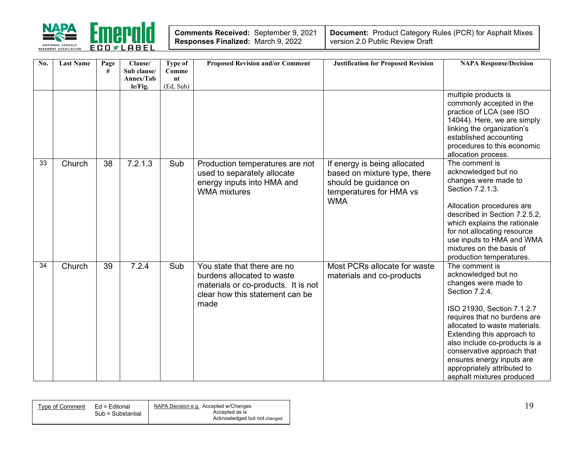

| Comments Received: September 9, 2021 |  |
|--------------------------------------|--|
| Responses Finalized: March 9, 2022   |  |

| No. | <b>Last Name</b> | Page<br># | Clause/<br>Sub clause/<br>Annex/Tab | Type of<br>Comme<br>nt | <b>Proposed Revision and/or Comment</b>                                                                                                     | <b>Justification for Proposed Revision</b>                                                                                     | <b>NAPA Response/Decision</b>                                                                                                                                                                                                                                                                                                                                        |
|-----|------------------|-----------|-------------------------------------|------------------------|---------------------------------------------------------------------------------------------------------------------------------------------|--------------------------------------------------------------------------------------------------------------------------------|----------------------------------------------------------------------------------------------------------------------------------------------------------------------------------------------------------------------------------------------------------------------------------------------------------------------------------------------------------------------|
|     |                  |           | le/Fig.                             | (Ed, Sub)              |                                                                                                                                             |                                                                                                                                |                                                                                                                                                                                                                                                                                                                                                                      |
|     |                  |           |                                     |                        |                                                                                                                                             |                                                                                                                                | multiple products is<br>commonly accepted in the<br>practice of LCA (see ISO<br>14044). Here, we are simply<br>linking the organization's<br>established accounting<br>procedures to this economic<br>allocation process.                                                                                                                                            |
| 33  | Church           | 38        | 7.2.1.3                             | Sub                    | Production temperatures are not<br>used to separately allocate<br>energy inputs into HMA and<br><b>WMA</b> mixtures                         | If energy is being allocated<br>based on mixture type, there<br>should be guidance on<br>temperatures for HMA vs<br><b>WMA</b> | The comment is<br>acknowledged but no<br>changes were made to<br>Section 7.2.1.3.<br>Allocation procedures are<br>described in Section 7.2.5.2,<br>which explains the rationale<br>for not allocating resource<br>use inputs to HMA and WMA<br>mixtures on the basis of<br>production temperatures.                                                                  |
| 34  | Church           | 39        | 7.2.4                               | Sub                    | You state that there are no<br>burdens allocated to waste<br>materials or co-products. It is not<br>clear how this statement can be<br>made | Most PCRs allocate for waste<br>materials and co-products                                                                      | The comment is<br>acknowledged but no<br>changes were made to<br>Section 7.2.4.<br>ISO 21930, Section 7.1.2.7<br>requires that no burdens are<br>allocated to waste materials.<br>Extending this approach to<br>also include co-products is a<br>conservative approach that<br>ensures energy inputs are<br>appropriately attributed to<br>asphalt mixtures produced |

| Tvpe of Comment | Ed = Editorial    | NAPA Decision e.g. Accepted w/Changes |  |
|-----------------|-------------------|---------------------------------------|--|
|                 | Sub = Substantial | Accepted as is                        |  |
|                 |                   | Acknowledged but not changed          |  |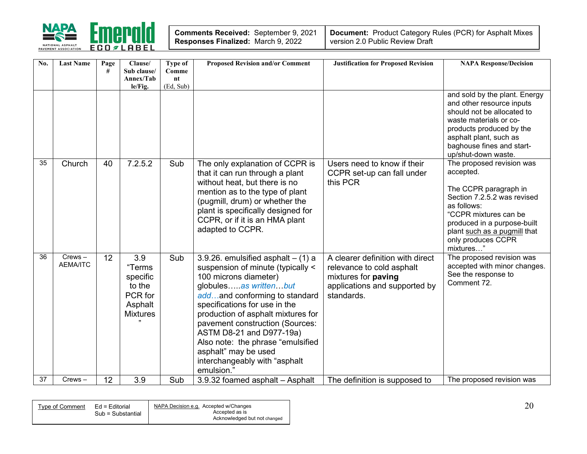

| Comments Received: September 9, 2021 |  |
|--------------------------------------|--|
| Responses Finalized: March 9, 2022   |  |

| No.             | <b>Last Name</b>             | Page<br># | Clause/<br>Sub clause/<br>Annex/Tab<br>le/Fig.                               | Type of<br>Comme<br>nt<br>(Ed, Sub) | <b>Proposed Revision and/or Comment</b>                                                                                                                                                                                                                                                                                                                                                                        | <b>Justification for Proposed Revision</b>                                                                                                 | <b>NAPA Response/Decision</b>                                                                                                                                                                                                            |
|-----------------|------------------------------|-----------|------------------------------------------------------------------------------|-------------------------------------|----------------------------------------------------------------------------------------------------------------------------------------------------------------------------------------------------------------------------------------------------------------------------------------------------------------------------------------------------------------------------------------------------------------|--------------------------------------------------------------------------------------------------------------------------------------------|------------------------------------------------------------------------------------------------------------------------------------------------------------------------------------------------------------------------------------------|
|                 |                              |           |                                                                              |                                     |                                                                                                                                                                                                                                                                                                                                                                                                                |                                                                                                                                            | and sold by the plant. Energy<br>and other resource inputs<br>should not be allocated to<br>waste materials or co-<br>products produced by the<br>asphalt plant, such as<br>baghouse fines and start-<br>up/shut-down waste.             |
| 35              | Church                       | 40        | 7.2.5.2                                                                      | Sub                                 | The only explanation of CCPR is<br>that it can run through a plant<br>without heat, but there is no<br>mention as to the type of plant<br>(pugmill, drum) or whether the<br>plant is specifically designed for<br>CCPR, or if it is an HMA plant<br>adapted to CCPR.                                                                                                                                           | Users need to know if their<br>CCPR set-up can fall under<br>this PCR                                                                      | The proposed revision was<br>accepted.<br>The CCPR paragraph in<br>Section 7.2.5.2 was revised<br>as follows:<br>"CCPR mixtures can be<br>produced in a purpose-built<br>plant such as a pugmill that<br>only produces CCPR<br>mixtures" |
| 36              | $Crews -$<br><b>AEMA/ITC</b> | 12        | 3.9<br>"Terms<br>specific<br>to the<br>PCR for<br>Asphalt<br><b>Mixtures</b> | Sub                                 | 3.9.26. emulsified asphalt $-$ (1) a<br>suspension of minute (typically <<br>100 microns diameter)<br>globulesas writtenbut<br>addand conforming to standard<br>specifications for use in the<br>production of asphalt mixtures for<br>pavement construction (Sources:<br>ASTM D8-21 and D977-19a)<br>Also note: the phrase "emulsified<br>asphalt" may be used<br>interchangeably with "asphalt<br>emulsion." | A clearer definition with direct<br>relevance to cold asphalt<br>mixtures for <b>paving</b><br>applications and supported by<br>standards. | The proposed revision was<br>accepted with minor changes.<br>See the response to<br>Comment 72.                                                                                                                                          |
| $\overline{37}$ | $Crews -$                    | 12        | 3.9                                                                          | Sub                                 | 3.9.32 foamed asphalt - Asphalt                                                                                                                                                                                                                                                                                                                                                                                | The definition is supposed to                                                                                                              | The proposed revision was                                                                                                                                                                                                                |

| Tvpe of Comment | Ed = Editorial    | NAPA Decision e.g. Accepted w/Changes<br>Accepted as is | $\Omega$<br>$\mathcal{L}$ V |
|-----------------|-------------------|---------------------------------------------------------|-----------------------------|
|                 | Sub = Substantial | Acknowledged but not changed                            |                             |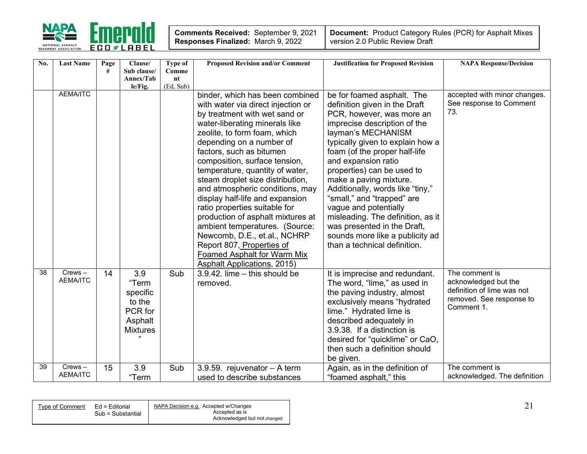

| No. | <b>Last Name</b>             | Page | Clause/                  | Type of     | <b>Proposed Revision and/or Comment</b> | <b>Justification for Proposed Revision</b> | <b>NAPA Response/Decision</b>                      |
|-----|------------------------------|------|--------------------------|-------------|-----------------------------------------|--------------------------------------------|----------------------------------------------------|
|     |                              | #    | Sub clause/<br>Annex/Tab | Comme<br>nt |                                         |                                            |                                                    |
|     |                              |      | le/Fig.                  | (Ed, Sub)   |                                         |                                            |                                                    |
|     | <b>AEMA/ITC</b>              |      |                          |             | binder, which has been combined         | be for foamed asphalt. The                 | accepted with minor changes.                       |
|     |                              |      |                          |             | with water via direct injection or      | definition given in the Draft              | See response to Comment                            |
|     |                              |      |                          |             | by treatment with wet sand or           | PCR, however, was more an                  | 73.                                                |
|     |                              |      |                          |             | water-liberating minerals like          | imprecise description of the               |                                                    |
|     |                              |      |                          |             | zeolite, to form foam, which            | layman's MECHANISM                         |                                                    |
|     |                              |      |                          |             | depending on a number of                | typically given to explain how a           |                                                    |
|     |                              |      |                          |             | factors, such as bitumen                | foam (of the proper half-life              |                                                    |
|     |                              |      |                          |             | composition, surface tension,           | and expansion ratio                        |                                                    |
|     |                              |      |                          |             | temperature, quantity of water,         | properties) can be used to                 |                                                    |
|     |                              |      |                          |             | steam droplet size distribution,        | make a paving mixture.                     |                                                    |
|     |                              |      |                          |             | and atmospheric conditions, may         | Additionally, words like "tiny,"           |                                                    |
|     |                              |      |                          |             | display half-life and expansion         | "small," and "trapped" are                 |                                                    |
|     |                              |      |                          |             | ratio properties suitable for           | vague and potentially                      |                                                    |
|     |                              |      |                          |             | production of asphalt mixtures at       | misleading. The definition, as it          |                                                    |
|     |                              |      |                          |             | ambient temperatures. (Source:          | was presented in the Draft,                |                                                    |
|     |                              |      |                          |             | Newcomb, D.E., et.al., NCHRP            | sounds more like a publicity ad            |                                                    |
|     |                              |      |                          |             | Report 807, Properties of               | than a technical definition.               |                                                    |
|     |                              |      |                          |             | Foamed Asphalt for Warm Mix             |                                            |                                                    |
|     |                              |      |                          |             | <b>Asphalt Applications, 2015)</b>      |                                            |                                                    |
| 38  | $Crews -$<br><b>AEMA/ITC</b> | 14   | 3.9                      | Sub         | $3.9.42$ . lime $-$ this should be      | It is imprecise and redundant.             | The comment is                                     |
|     |                              |      | "Term                    |             | removed.                                | The word, "lime," as used in               | acknowledged but the<br>definition of lime was not |
|     |                              |      | specific                 |             |                                         | the paving industry, almost                | removed. See response to                           |
|     |                              |      | to the                   |             |                                         | exclusively means "hydrated                | Comment 1.                                         |
|     |                              |      | PCR for                  |             |                                         | lime." Hydrated lime is                    |                                                    |
|     |                              |      | Asphalt                  |             |                                         | described adequately in                    |                                                    |
|     |                              |      | <b>Mixtures</b>          |             |                                         | 3.9.38. If a distinction is                |                                                    |
|     |                              |      |                          |             |                                         | desired for "quicklime" or CaO,            |                                                    |
|     |                              |      |                          |             |                                         | then such a definition should              |                                                    |
| 39  | Crews-                       |      |                          |             |                                         | be given.                                  | The comment is                                     |
|     | <b>AEMA/ITC</b>              | 15   | 3.9                      | Sub         | 3.9.59. rejuvenator - A term            | Again, as in the definition of             | acknowledged. The definition                       |
|     |                              |      | "Term                    |             | used to describe substances             | "foamed asphalt," this                     |                                                    |

| Type of Comment | Ed = Editorial<br>Sub = Substantial | NAPA Decision e.g. Accepted w/Changes<br>Accepted as is |  |
|-----------------|-------------------------------------|---------------------------------------------------------|--|
|                 |                                     | Acknowledged but not changed                            |  |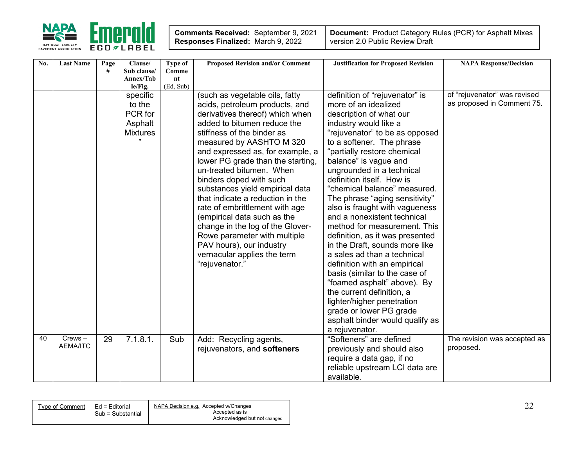

| No. | <b>Last Name</b> | Page | Clause/                  | Type of     | <b>Proposed Revision and/or Comment</b> | <b>Justification for Proposed Revision</b> | <b>NAPA Response/Decision</b> |
|-----|------------------|------|--------------------------|-------------|-----------------------------------------|--------------------------------------------|-------------------------------|
|     |                  | #    | Sub clause/<br>Annex/Tab | Comme<br>nt |                                         |                                            |                               |
|     |                  |      | le/Fig.                  | (Ed, Sub)   |                                         |                                            |                               |
|     |                  |      | specific                 |             | (such as vegetable oils, fatty          | definition of "rejuvenator" is             | of "rejuvenator" was revised  |
|     |                  |      | to the                   |             | acids, petroleum products, and          | more of an idealized                       | as proposed in Comment 75.    |
|     |                  |      | PCR for                  |             | derivatives thereof) which when         | description of what our                    |                               |
|     |                  |      | Asphalt                  |             | added to bitumen reduce the             | industry would like a                      |                               |
|     |                  |      | <b>Mixtures</b>          |             | stiffness of the binder as              | "rejuvenator" to be as opposed             |                               |
|     |                  |      |                          |             | measured by AASHTO M 320                | to a softener. The phrase                  |                               |
|     |                  |      |                          |             | and expressed as, for example, a        | "partially restore chemical                |                               |
|     |                  |      |                          |             | lower PG grade than the starting,       | balance" is vague and                      |                               |
|     |                  |      |                          |             | un-treated bitumen. When                | ungrounded in a technical                  |                               |
|     |                  |      |                          |             | binders doped with such                 | definition itself. How is                  |                               |
|     |                  |      |                          |             | substances yield empirical data         | "chemical balance" measured.               |                               |
|     |                  |      |                          |             | that indicate a reduction in the        | The phrase "aging sensitivity"             |                               |
|     |                  |      |                          |             | rate of embrittlement with age          | also is fraught with vagueness             |                               |
|     |                  |      |                          |             | (empirical data such as the             | and a nonexistent technical                |                               |
|     |                  |      |                          |             | change in the log of the Glover-        | method for measurement. This               |                               |
|     |                  |      |                          |             | Rowe parameter with multiple            | definition, as it was presented            |                               |
|     |                  |      |                          |             | PAV hours), our industry                | in the Draft, sounds more like             |                               |
|     |                  |      |                          |             | vernacular applies the term             | a sales ad than a technical                |                               |
|     |                  |      |                          |             | "rejuvenator."                          | definition with an empirical               |                               |
|     |                  |      |                          |             |                                         | basis (similar to the case of              |                               |
|     |                  |      |                          |             |                                         | "foamed asphalt" above). By                |                               |
|     |                  |      |                          |             |                                         | the current definition, a                  |                               |
|     |                  |      |                          |             |                                         | lighter/higher penetration                 |                               |
|     |                  |      |                          |             |                                         | grade or lower PG grade                    |                               |
|     |                  |      |                          |             |                                         | asphalt binder would qualify as            |                               |
|     |                  |      |                          |             |                                         | a rejuvenator.                             |                               |
| 40  | $Crews -$        | 29   | 7.1.8.1.                 | Sub         | Add: Recycling agents,                  | "Softeners" are defined                    | The revision was accepted as  |
|     | <b>AEMA/ITC</b>  |      |                          |             | rejuvenators, and softeners             | previously and should also                 | proposed.                     |
|     |                  |      |                          |             |                                         | require a data gap, if no                  |                               |
|     |                  |      |                          |             |                                         | reliable upstream LCI data are             |                               |
|     |                  |      |                          |             |                                         | available.                                 |                               |

| Type of Comment | Ed = Editorial    | NAPA Decision e.g. Accepted w/Changes |
|-----------------|-------------------|---------------------------------------|
|                 | Sub = Substantial | Accepted as is                        |
|                 |                   | Acknowledged but not changed          |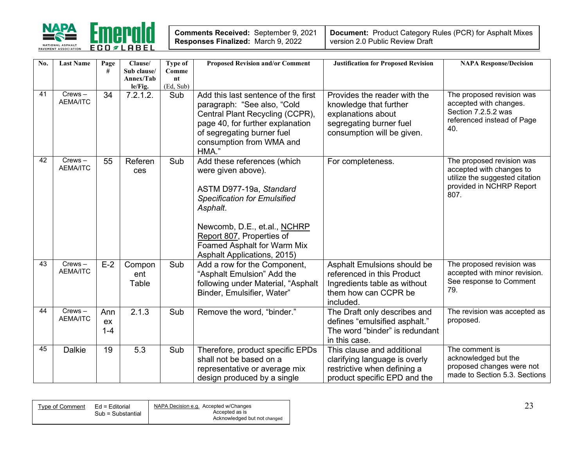

| Comments Received: September 9, 2021      |  |
|-------------------------------------------|--|
| <b>Responses Finalized: March 9, 2022</b> |  |

| No. | <b>Last Name</b>             | Page<br>#            | Clause/<br>Sub clause/<br>Annex/Tab<br>le/Fig. | <b>Type of</b><br>Comme<br>$n_{\rm t}$<br>(Ed, Sub) | <b>Proposed Revision and/or Comment</b>                                                                                                                                                                                                                           | <b>Justification for Proposed Revision</b>                                                                                            | <b>NAPA Response/Decision</b>                                                                                               |
|-----|------------------------------|----------------------|------------------------------------------------|-----------------------------------------------------|-------------------------------------------------------------------------------------------------------------------------------------------------------------------------------------------------------------------------------------------------------------------|---------------------------------------------------------------------------------------------------------------------------------------|-----------------------------------------------------------------------------------------------------------------------------|
| 41  | $Crews -$<br><b>AEMA/ITC</b> | 34                   | 7.2.1.2.                                       | Sub                                                 | Add this last sentence of the first<br>paragraph: "See also, "Cold<br>Central Plant Recycling (CCPR),<br>page 40, for further explanation<br>of segregating burner fuel<br>consumption from WMA and<br>HMA."                                                      | Provides the reader with the<br>knowledge that further<br>explanations about<br>segregating burner fuel<br>consumption will be given. | The proposed revision was<br>accepted with changes.<br>Section 7.2.5.2 was<br>referenced instead of Page<br>40.             |
| 42  | $Crews -$<br><b>AEMA/ITC</b> | 55                   | Referen<br>ces                                 | Sub                                                 | Add these references (which<br>were given above).<br>ASTM D977-19a, Standard<br><b>Specification for Emulsified</b><br>Asphalt.<br>Newcomb, D.E., et.al., NCHRP<br>Report 807, Properties of<br>Foamed Asphalt for Warm Mix<br><b>Asphalt Applications, 2015)</b> | For completeness.                                                                                                                     | The proposed revision was<br>accepted with changes to<br>utilize the suggested citation<br>provided in NCHRP Report<br>807. |
| 43  | $Crews -$<br><b>AEMA/ITC</b> | $E-2$                | Compon<br>ent<br>Table                         | Sub                                                 | Add a row for the Component,<br>"Asphalt Emulsion" Add the<br>following under Material, "Asphalt<br>Binder, Emulsifier, Water"                                                                                                                                    | Asphalt Emulsions should be<br>referenced in this Product<br>Ingredients table as without<br>them how can CCPR be<br>included.        | The proposed revision was<br>accepted with minor revision.<br>See response to Comment<br>79.                                |
| 44  | $Crews -$<br><b>AEMA/ITC</b> | Ann<br>ex<br>$1 - 4$ | 2.1.3                                          | Sub                                                 | Remove the word, "binder."                                                                                                                                                                                                                                        | The Draft only describes and<br>defines "emulsified asphalt."<br>The word "binder" is redundant<br>in this case.                      | The revision was accepted as<br>proposed.                                                                                   |
| 45  | <b>Dalkie</b>                | 19                   | 5.3                                            | Sub                                                 | Therefore, product specific EPDs<br>shall not be based on a<br>representative or average mix<br>design produced by a single                                                                                                                                       | This clause and additional<br>clarifying language is overly<br>restrictive when defining a<br>product specific EPD and the            | The comment is<br>acknowledged but the<br>proposed changes were not<br>made to Section 5.3. Sections                        |

| Ed = Editorial<br>Type of Comment | NAPA Decision e.g. Accepted w/Changes | $\sim$ $\sim$<br><u>.</u> |
|-----------------------------------|---------------------------------------|---------------------------|
| Sub = Substantial                 | Accepted as is                        |                           |
|                                   | Acknowledged but not changed          |                           |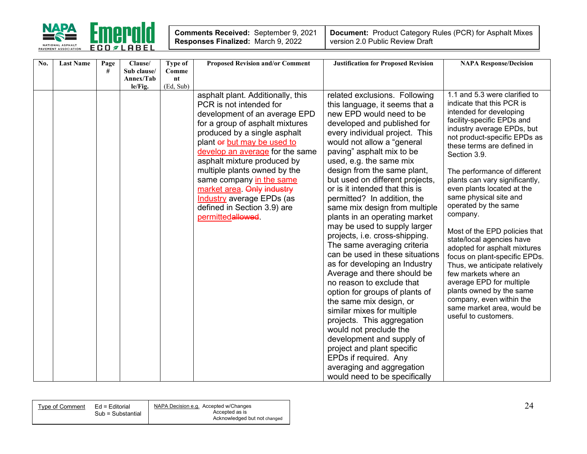

| No. | <b>Last Name</b> | Page | Clause/     | Type of   | <b>Proposed Revision and/or Comment</b>                                                                                                                                                                                                                                                                                                                                                                                                             | <b>Justification for Proposed Revision</b>                                                                                                                                                                                                                                                                                                                                                                                                                                                                                                                                                                                                                                                                                                                                                                                                                                                                                                                                                    | <b>NAPA Response/Decision</b>                                                                                                                                                                                                                                                                                                                                                                                                                                                                                                                                                                                                                                                                                                    |
|-----|------------------|------|-------------|-----------|-----------------------------------------------------------------------------------------------------------------------------------------------------------------------------------------------------------------------------------------------------------------------------------------------------------------------------------------------------------------------------------------------------------------------------------------------------|-----------------------------------------------------------------------------------------------------------------------------------------------------------------------------------------------------------------------------------------------------------------------------------------------------------------------------------------------------------------------------------------------------------------------------------------------------------------------------------------------------------------------------------------------------------------------------------------------------------------------------------------------------------------------------------------------------------------------------------------------------------------------------------------------------------------------------------------------------------------------------------------------------------------------------------------------------------------------------------------------|----------------------------------------------------------------------------------------------------------------------------------------------------------------------------------------------------------------------------------------------------------------------------------------------------------------------------------------------------------------------------------------------------------------------------------------------------------------------------------------------------------------------------------------------------------------------------------------------------------------------------------------------------------------------------------------------------------------------------------|
|     |                  | #    | Sub clause/ | Comme     |                                                                                                                                                                                                                                                                                                                                                                                                                                                     |                                                                                                                                                                                                                                                                                                                                                                                                                                                                                                                                                                                                                                                                                                                                                                                                                                                                                                                                                                                               |                                                                                                                                                                                                                                                                                                                                                                                                                                                                                                                                                                                                                                                                                                                                  |
|     |                  |      | Annex/Tab   | nt        |                                                                                                                                                                                                                                                                                                                                                                                                                                                     |                                                                                                                                                                                                                                                                                                                                                                                                                                                                                                                                                                                                                                                                                                                                                                                                                                                                                                                                                                                               |                                                                                                                                                                                                                                                                                                                                                                                                                                                                                                                                                                                                                                                                                                                                  |
|     |                  |      | le/Fig.     | (Ed, Sub) | asphalt plant. Additionally, this<br>PCR is not intended for<br>development of an average EPD<br>for a group of asphalt mixtures<br>produced by a single asphalt<br>plant or but may be used to<br>develop an average for the same<br>asphalt mixture produced by<br>multiple plants owned by the<br>same company in the same<br>market area. Only industry<br><b>Industry</b> average EPDs (as<br>defined in Section 3.9) are<br>permittedallowed. | related exclusions. Following<br>this language, it seems that a<br>new EPD would need to be<br>developed and published for<br>every individual project. This<br>would not allow a "general<br>paving" asphalt mix to be<br>used, e.g. the same mix<br>design from the same plant,<br>but used on different projects,<br>or is it intended that this is<br>permitted? In addition, the<br>same mix design from multiple<br>plants in an operating market<br>may be used to supply larger<br>projects, i.e. cross-shipping.<br>The same averaging criteria<br>can be used in these situations<br>as for developing an Industry<br>Average and there should be<br>no reason to exclude that<br>option for groups of plants of<br>the same mix design, or<br>similar mixes for multiple<br>projects. This aggregation<br>would not preclude the<br>development and supply of<br>project and plant specific<br>EPDs if required. Any<br>averaging and aggregation<br>would need to be specifically | 1.1 and 5.3 were clarified to<br>indicate that this PCR is<br>intended for developing<br>facility-specific EPDs and<br>industry average EPDs, but<br>not product-specific EPDs as<br>these terms are defined in<br>Section 3.9.<br>The performance of different<br>plants can vary significantly,<br>even plants located at the<br>same physical site and<br>operated by the same<br>company.<br>Most of the EPD policies that<br>state/local agencies have<br>adopted for asphalt mixtures<br>focus on plant-specific EPDs.<br>Thus, we anticipate relatively<br>few markets where an<br>average EPD for multiple<br>plants owned by the same<br>company, even within the<br>same market area, would be<br>useful to customers. |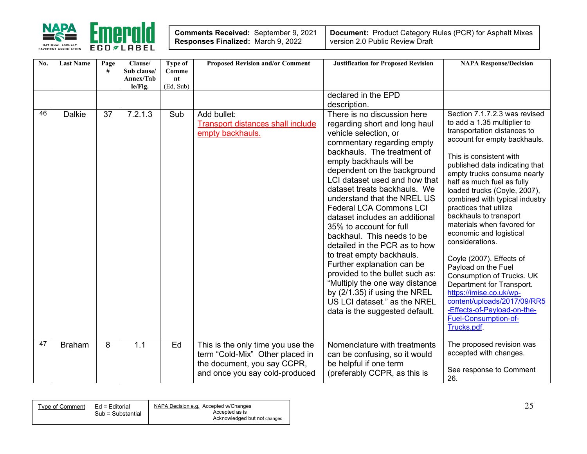

| <b>Comments Received: September 9, 2021</b> |  |
|---------------------------------------------|--|
| Responses Finalized: March 9, 2022          |  |

| No. | <b>Last Name</b> | Page<br># | Clause/<br>Sub clause/<br>Annex/Tab<br>le/Fig. | Type of<br>Comme<br>$n_{\rm t}$<br>(Ed, Sub) | <b>Proposed Revision and/or Comment</b>                                                                                               | <b>Justification for Proposed Revision</b>                                                                                                                                                                                                                                                                                                                                                                                                                                                                                                                                                                                                                                                                      | <b>NAPA Response/Decision</b>                                                                                                                                                                                                                                                                                                                                                                                                                                                                                                                                                                                                                                                                        |
|-----|------------------|-----------|------------------------------------------------|----------------------------------------------|---------------------------------------------------------------------------------------------------------------------------------------|-----------------------------------------------------------------------------------------------------------------------------------------------------------------------------------------------------------------------------------------------------------------------------------------------------------------------------------------------------------------------------------------------------------------------------------------------------------------------------------------------------------------------------------------------------------------------------------------------------------------------------------------------------------------------------------------------------------------|------------------------------------------------------------------------------------------------------------------------------------------------------------------------------------------------------------------------------------------------------------------------------------------------------------------------------------------------------------------------------------------------------------------------------------------------------------------------------------------------------------------------------------------------------------------------------------------------------------------------------------------------------------------------------------------------------|
|     |                  |           |                                                |                                              |                                                                                                                                       | declared in the EPD<br>description.                                                                                                                                                                                                                                                                                                                                                                                                                                                                                                                                                                                                                                                                             |                                                                                                                                                                                                                                                                                                                                                                                                                                                                                                                                                                                                                                                                                                      |
| 46  | <b>Dalkie</b>    | 37        | $\overline{7.2.1.3}$                           | Sub                                          | Add bullet:<br>Transport distances shall include<br>empty backhauls.                                                                  | There is no discussion here<br>regarding short and long haul<br>vehicle selection, or<br>commentary regarding empty<br>backhauls. The treatment of<br>empty backhauls will be<br>dependent on the background<br>LCI dataset used and how that<br>dataset treats backhauls. We<br>understand that the NREL US<br><b>Federal LCA Commons LCI</b><br>dataset includes an additional<br>35% to account for full<br>backhaul. This needs to be<br>detailed in the PCR as to how<br>to treat empty backhauls.<br>Further explanation can be<br>provided to the bullet such as:<br>"Multiply the one way distance<br>by $(2/1.35)$ if using the NREL<br>US LCI dataset." as the NREL<br>data is the suggested default. | Section 7.1.7.2.3 was revised<br>to add a 1.35 multiplier to<br>transportation distances to<br>account for empty backhauls.<br>This is consistent with<br>published data indicating that<br>empty trucks consume nearly<br>half as much fuel as fully<br>loaded trucks (Coyle, 2007),<br>combined with typical industry<br>practices that utilize<br>backhauls to transport<br>materials when favored for<br>economic and logistical<br>considerations.<br>Coyle (2007). Effects of<br>Payload on the Fuel<br>Consumption of Trucks. UK<br>Department for Transport.<br>https://imise.co.uk/wp-<br>content/uploads/2017/09/RR5<br>-Effects-of-Payload-on-the-<br>Fuel-Consumption-of-<br>Trucks.pdf. |
| 47  | <b>Braham</b>    | 8         | 1.1                                            | Ed                                           | This is the only time you use the<br>term "Cold-Mix" Other placed in<br>the document, you say CCPR,<br>and once you say cold-produced | Nomenclature with treatments<br>can be confusing, so it would<br>be helpful if one term<br>(preferably CCPR, as this is                                                                                                                                                                                                                                                                                                                                                                                                                                                                                                                                                                                         | The proposed revision was<br>accepted with changes.<br>See response to Comment<br>26.                                                                                                                                                                                                                                                                                                                                                                                                                                                                                                                                                                                                                |

| Type of Comment | Ed = Editorial<br>Sub = Substantial | NAPA Decision e.g. Accepted w/Changes<br>Accepted as is | <u>.</u> |
|-----------------|-------------------------------------|---------------------------------------------------------|----------|
|                 |                                     | Acknowledged but not changed                            |          |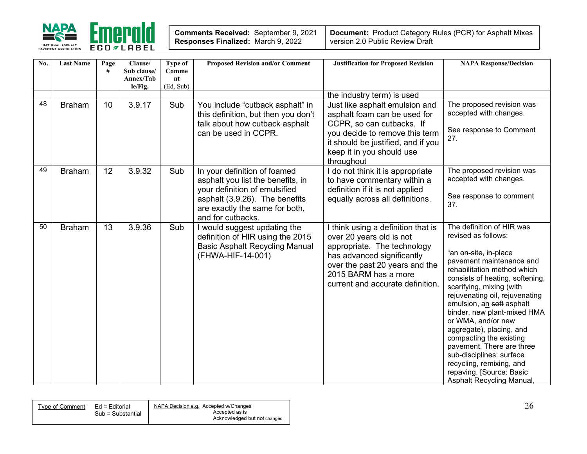

| <b>Comments Received: September 9, 2021</b> |  |
|---------------------------------------------|--|
| Responses Finalized: March 9, 2022          |  |

| No. | <b>Last Name</b> | Page<br># | Clause/<br>Sub clause/<br>Annex/Tab<br>le/Fig. | <b>Type of</b><br>Comme<br>nt<br>(Ed, Sub) | <b>Proposed Revision and/or Comment</b>                                                                                                                                                     | <b>Justification for Proposed Revision</b>                                                                                                                                                                                | <b>NAPA Response/Decision</b>                                                                                                                                                                                                                                                                                                                                                                                                                                                                                                           |
|-----|------------------|-----------|------------------------------------------------|--------------------------------------------|---------------------------------------------------------------------------------------------------------------------------------------------------------------------------------------------|---------------------------------------------------------------------------------------------------------------------------------------------------------------------------------------------------------------------------|-----------------------------------------------------------------------------------------------------------------------------------------------------------------------------------------------------------------------------------------------------------------------------------------------------------------------------------------------------------------------------------------------------------------------------------------------------------------------------------------------------------------------------------------|
|     |                  |           |                                                |                                            |                                                                                                                                                                                             | the industry term) is used                                                                                                                                                                                                |                                                                                                                                                                                                                                                                                                                                                                                                                                                                                                                                         |
| 48  | <b>Braham</b>    | 10        | 3.9.17                                         | Sub                                        | You include "cutback asphalt" in<br>this definition, but then you don't<br>talk about how cutback asphalt<br>can be used in CCPR.                                                           | Just like asphalt emulsion and<br>asphalt foam can be used for<br>CCPR, so can cutbacks. If<br>you decide to remove this term<br>it should be justified, and if you<br>keep it in you should use<br>throughout            | The proposed revision was<br>accepted with changes.<br>See response to Comment<br>27.                                                                                                                                                                                                                                                                                                                                                                                                                                                   |
| 49  | <b>Braham</b>    | 12        | 3.9.32                                         | Sub                                        | In your definition of foamed<br>asphalt you list the benefits, in<br>your definition of emulsified<br>asphalt (3.9.26). The benefits<br>are exactly the same for both,<br>and for cutbacks. | I do not think it is appropriate<br>to have commentary within a<br>definition if it is not applied<br>equally across all definitions.                                                                                     | The proposed revision was<br>accepted with changes.<br>See response to comment<br>37.                                                                                                                                                                                                                                                                                                                                                                                                                                                   |
| 50  | <b>Braham</b>    | 13        | 3.9.36                                         | Sub                                        | I would suggest updating the<br>definition of HIR using the 2015<br><b>Basic Asphalt Recycling Manual</b><br>(FHWA-HIF-14-001)                                                              | I think using a definition that is<br>over 20 years old is not<br>appropriate. The technology<br>has advanced significantly<br>over the past 20 years and the<br>2015 BARM has a more<br>current and accurate definition. | The definition of HIR was<br>revised as follows:<br>"an <del>on-site,</del> in-place<br>pavement maintenance and<br>rehabilitation method which<br>consists of heating, softening,<br>scarifying, mixing (with<br>rejuvenating oil, rejuvenating<br>emulsion, an soft asphalt<br>binder, new plant-mixed HMA<br>or WMA, and/or new<br>aggregate), placing, and<br>compacting the existing<br>pavement. There are three<br>sub-disciplines: surface<br>recycling, remixing, and<br>repaving. [Source: Basic<br>Asphalt Recycling Manual, |

| Type of Comment | NAPA Decision e.g. Accepted w/Changes<br>Ed = Editorial<br>Sub = Substantial<br>Accepted as is<br>Acknowledged but not changed | ∠∖ |
|-----------------|--------------------------------------------------------------------------------------------------------------------------------|----|
|-----------------|--------------------------------------------------------------------------------------------------------------------------------|----|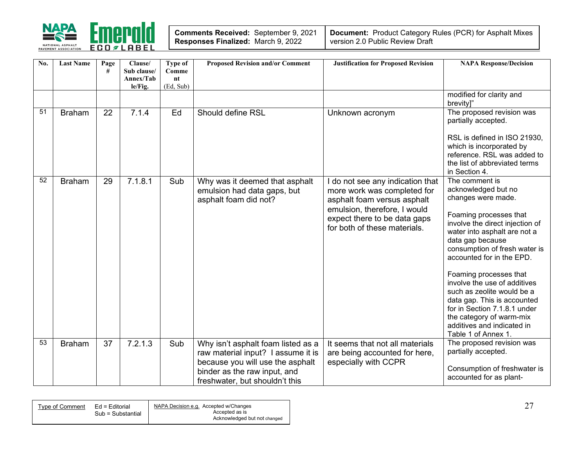

| <b>Comments Received: September 9, 2021</b> |  |
|---------------------------------------------|--|
| Responses Finalized: March 9, 2022          |  |

| No. | <b>Last Name</b> | Page<br># | Clause/<br>Sub clause/<br>Annex/Tab<br>le/Fig. | Type of<br>Comme<br>$n_{\rm t}$<br>(Ed, Sub) | <b>Proposed Revision and/or Comment</b>                                                                                                                                        | <b>Justification for Proposed Revision</b>                                                                                                                                                   | <b>NAPA Response/Decision</b>                                                                                                                                                                                                                                                                                                                                                                                                                                                      |
|-----|------------------|-----------|------------------------------------------------|----------------------------------------------|--------------------------------------------------------------------------------------------------------------------------------------------------------------------------------|----------------------------------------------------------------------------------------------------------------------------------------------------------------------------------------------|------------------------------------------------------------------------------------------------------------------------------------------------------------------------------------------------------------------------------------------------------------------------------------------------------------------------------------------------------------------------------------------------------------------------------------------------------------------------------------|
|     |                  |           |                                                |                                              |                                                                                                                                                                                |                                                                                                                                                                                              | modified for clarity and<br>brevity]"                                                                                                                                                                                                                                                                                                                                                                                                                                              |
| 51  | <b>Braham</b>    | 22        | 7.1.4                                          | Ed                                           | Should define RSL                                                                                                                                                              | Unknown acronym                                                                                                                                                                              | The proposed revision was<br>partially accepted.<br>RSL is defined in ISO 21930.<br>which is incorporated by<br>reference. RSL was added to<br>the list of abbreviated terms<br>in Section 4.                                                                                                                                                                                                                                                                                      |
| 52  | <b>Braham</b>    | 29        | 7.1.8.1                                        | Sub                                          | Why was it deemed that asphalt<br>emulsion had data gaps, but<br>asphalt foam did not?                                                                                         | do not see any indication that<br>more work was completed for<br>asphalt foam versus asphalt<br>emulsion, therefore, I would<br>expect there to be data gaps<br>for both of these materials. | The comment is<br>acknowledged but no<br>changes were made.<br>Foaming processes that<br>involve the direct injection of<br>water into asphalt are not a<br>data gap because<br>consumption of fresh water is<br>accounted for in the EPD.<br>Foaming processes that<br>involve the use of additives<br>such as zeolite would be a<br>data gap. This is accounted<br>for in Section 7.1.8.1 under<br>the category of warm-mix<br>additives and indicated in<br>Table 1 of Annex 1. |
| 53  | <b>Braham</b>    | 37        | 7.2.1.3                                        | Sub                                          | Why isn't asphalt foam listed as a<br>raw material input? I assume it is<br>because you will use the asphalt<br>binder as the raw input, and<br>freshwater, but shouldn't this | It seems that not all materials<br>are being accounted for here,<br>especially with CCPR                                                                                                     | The proposed revision was<br>partially accepted.<br>Consumption of freshwater is<br>accounted for as plant-                                                                                                                                                                                                                                                                                                                                                                        |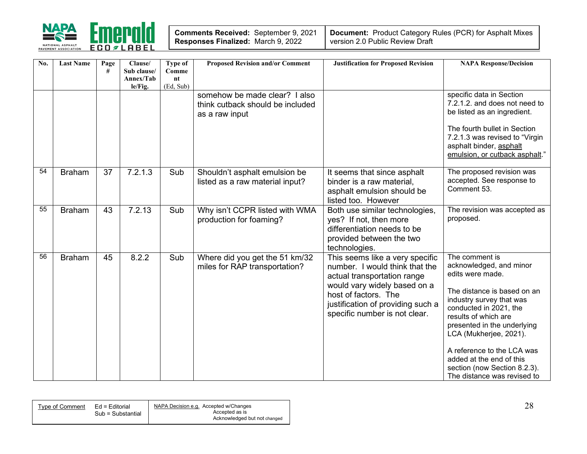

| Comments Received: September 9, 2021 |  |
|--------------------------------------|--|
| Responses Finalized: March 9, 2022   |  |

| No. | <b>Last Name</b> | Page<br># | Clause/<br>Sub clause/<br>Annex/Tab<br>le/Fig. | <b>Type of</b><br>Comme<br>n t<br>(Ed, Sub) | <b>Proposed Revision and/or Comment</b>                                             | <b>Justification for Proposed Revision</b>                                                                                                                                                                                     | <b>NAPA Response/Decision</b>                                                                                                                                                                                                                                                                                                                                |
|-----|------------------|-----------|------------------------------------------------|---------------------------------------------|-------------------------------------------------------------------------------------|--------------------------------------------------------------------------------------------------------------------------------------------------------------------------------------------------------------------------------|--------------------------------------------------------------------------------------------------------------------------------------------------------------------------------------------------------------------------------------------------------------------------------------------------------------------------------------------------------------|
|     |                  |           |                                                |                                             | somehow be made clear? I also<br>think cutback should be included<br>as a raw input |                                                                                                                                                                                                                                | specific data in Section<br>7.2.1.2. and does not need to<br>be listed as an ingredient.<br>The fourth bullet in Section<br>7.2.1.3 was revised to "Virgin<br>asphalt binder, asphalt<br>emulsion, or cutback asphalt."                                                                                                                                      |
| 54  | <b>Braham</b>    | 37        | 7.2.1.3                                        | Sub                                         | Shouldn't asphalt emulsion be<br>listed as a raw material input?                    | It seems that since asphalt<br>binder is a raw material,<br>asphalt emulsion should be<br>listed too. However                                                                                                                  | The proposed revision was<br>accepted. See response to<br>Comment 53.                                                                                                                                                                                                                                                                                        |
| 55  | <b>Braham</b>    | 43        | 7.2.13                                         | Sub                                         | Why isn't CCPR listed with WMA<br>production for foaming?                           | Both use similar technologies,<br>yes? If not, then more<br>differentiation needs to be<br>provided between the two<br>technologies.                                                                                           | The revision was accepted as<br>proposed.                                                                                                                                                                                                                                                                                                                    |
| 56  | <b>Braham</b>    | 45        | 8.2.2                                          | Sub                                         | Where did you get the 51 km/32<br>miles for RAP transportation?                     | This seems like a very specific<br>number. I would think that the<br>actual transportation range<br>would vary widely based on a<br>host of factors. The<br>justification of providing such a<br>specific number is not clear. | The comment is<br>acknowledged, and minor<br>edits were made.<br>The distance is based on an<br>industry survey that was<br>conducted in 2021, the<br>results of which are<br>presented in the underlying<br>LCA (Mukherjee, 2021).<br>A reference to the LCA was<br>added at the end of this<br>section (now Section 8.2.3).<br>The distance was revised to |

| Tvpe of Comment | Ed = Editorial    | NAPA Decision e.g. Accepted w/Changes |
|-----------------|-------------------|---------------------------------------|
|                 | Sub = Substantial | Accepted as is                        |
|                 |                   | Acknowledged but not changed          |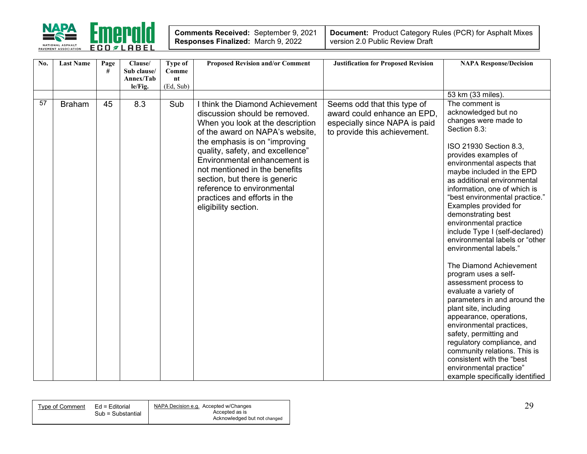

| <b>Comments Received: September 9, 2021</b> |  |
|---------------------------------------------|--|
| Responses Finalized: March 9, 2022          |  |

| No. | <b>Last Name</b> | Page | Clause/     | Type of   | <b>Proposed Revision and/or Comment</b> | <b>Justification for Proposed Revision</b> | <b>NAPA Response/Decision</b>   |
|-----|------------------|------|-------------|-----------|-----------------------------------------|--------------------------------------------|---------------------------------|
|     |                  | #    | Sub clause/ | Comme     |                                         |                                            |                                 |
|     |                  |      | Annex/Tab   | nt        |                                         |                                            |                                 |
|     |                  |      | le/Fig.     | (Ed, Sub) |                                         |                                            |                                 |
|     |                  |      |             |           |                                         |                                            | 53 km (33 miles).               |
| 57  | <b>Braham</b>    | 45   | 8.3         | Sub       | I think the Diamond Achievement         | Seems odd that this type of                | The comment is                  |
|     |                  |      |             |           | discussion should be removed.           | award could enhance an EPD,                | acknowledged but no             |
|     |                  |      |             |           | When you look at the description        | especially since NAPA is paid              | changes were made to            |
|     |                  |      |             |           | of the award on NAPA's website,         | to provide this achievement.               | Section 8.3:                    |
|     |                  |      |             |           | the emphasis is on "improving           |                                            | ISO 21930 Section 8.3,          |
|     |                  |      |             |           | quality, safety, and excellence"        |                                            | provides examples of            |
|     |                  |      |             |           | Environmental enhancement is            |                                            | environmental aspects that      |
|     |                  |      |             |           | not mentioned in the benefits           |                                            | maybe included in the EPD       |
|     |                  |      |             |           | section, but there is generic           |                                            | as additional environmental     |
|     |                  |      |             |           | reference to environmental              |                                            | information, one of which is    |
|     |                  |      |             |           | practices and efforts in the            |                                            | "best environmental practice."  |
|     |                  |      |             |           | eligibility section.                    |                                            | Examples provided for           |
|     |                  |      |             |           |                                         |                                            | demonstrating best              |
|     |                  |      |             |           |                                         |                                            | environmental practice          |
|     |                  |      |             |           |                                         |                                            | include Type I (self-declared)  |
|     |                  |      |             |           |                                         |                                            | environmental labels or "other  |
|     |                  |      |             |           |                                         |                                            | environmental labels."          |
|     |                  |      |             |           |                                         |                                            | The Diamond Achievement         |
|     |                  |      |             |           |                                         |                                            | program uses a self-            |
|     |                  |      |             |           |                                         |                                            | assessment process to           |
|     |                  |      |             |           |                                         |                                            | evaluate a variety of           |
|     |                  |      |             |           |                                         |                                            | parameters in and around the    |
|     |                  |      |             |           |                                         |                                            | plant site, including           |
|     |                  |      |             |           |                                         |                                            | appearance, operations,         |
|     |                  |      |             |           |                                         |                                            | environmental practices,        |
|     |                  |      |             |           |                                         |                                            | safety, permitting and          |
|     |                  |      |             |           |                                         |                                            | regulatory compliance, and      |
|     |                  |      |             |           |                                         |                                            | community relations. This is    |
|     |                  |      |             |           |                                         |                                            | consistent with the "best       |
|     |                  |      |             |           |                                         |                                            | environmental practice"         |
|     |                  |      |             |           |                                         |                                            | example specifically identified |

| Tvpe of Comment | Ed = Editorial    | NAPA Decision e.g. Accepted w/Changes |
|-----------------|-------------------|---------------------------------------|
|                 | Sub = Substantial | Accepted as is                        |
|                 |                   | Acknowledged but not changed          |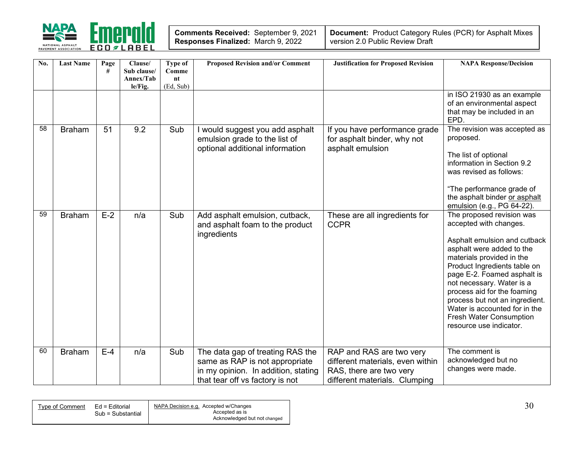

| <b>Comments Received: September 9, 2021</b> |  |
|---------------------------------------------|--|
| Responses Finalized: March 9, 2022          |  |

| No. | <b>Last Name</b> | Page<br># | Clause/<br>Sub clause/<br>Annex/Tab<br>le/Fig. | Type of<br>Comme<br>nt<br>(Ed, Sub) | <b>Proposed Revision and/or Comment</b>                                                                                                      | <b>Justification for Proposed Revision</b>                                                                               | <b>NAPA Response/Decision</b>                                                                                                                                                                                                                                                                                                                                                                     |
|-----|------------------|-----------|------------------------------------------------|-------------------------------------|----------------------------------------------------------------------------------------------------------------------------------------------|--------------------------------------------------------------------------------------------------------------------------|---------------------------------------------------------------------------------------------------------------------------------------------------------------------------------------------------------------------------------------------------------------------------------------------------------------------------------------------------------------------------------------------------|
|     |                  |           |                                                |                                     |                                                                                                                                              |                                                                                                                          | in ISO 21930 as an example<br>of an environmental aspect<br>that may be included in an<br>EPD.                                                                                                                                                                                                                                                                                                    |
| 58  | <b>Braham</b>    | 51        | 9.2                                            | Sub                                 | I would suggest you add asphalt<br>emulsion grade to the list of<br>optional additional information                                          | If you have performance grade<br>for asphalt binder, why not<br>asphalt emulsion                                         | The revision was accepted as<br>proposed.<br>The list of optional<br>information in Section 9.2<br>was revised as follows:<br>"The performance grade of<br>the asphalt binder or asphalt<br>emulsion (e.g., PG 64-22).                                                                                                                                                                            |
| 59  | <b>Braham</b>    | $E-2$     | n/a                                            | Sub                                 | Add asphalt emulsion, cutback,<br>and asphalt foam to the product<br>ingredients                                                             | These are all ingredients for<br><b>CCPR</b>                                                                             | The proposed revision was<br>accepted with changes.<br>Asphalt emulsion and cutback<br>asphalt were added to the<br>materials provided in the<br>Product Ingredients table on<br>page E-2. Foamed asphalt is<br>not necessary. Water is a<br>process aid for the foaming<br>process but not an ingredient.<br>Water is accounted for in the<br>Fresh Water Consumption<br>resource use indicator. |
| 60  | <b>Braham</b>    | $E-4$     | n/a                                            | Sub                                 | The data gap of treating RAS the<br>same as RAP is not appropriate<br>in my opinion. In addition, stating<br>that tear off vs factory is not | RAP and RAS are two very<br>different materials, even within<br>RAS, there are two very<br>different materials. Clumping | The comment is<br>acknowledged but no<br>changes were made.                                                                                                                                                                                                                                                                                                                                       |

| Type of Comment | Ed = Editorial<br>Sub = Substantial | NAPA Decision e.g. Accepted w/Changes<br>Accepted as is | - 20 |
|-----------------|-------------------------------------|---------------------------------------------------------|------|
|                 |                                     | Acknowledged but not changed                            |      |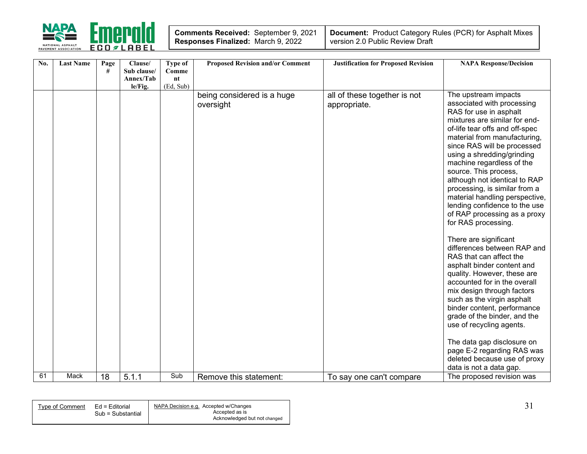

| Comments Received: September 9, 2021 |  |
|--------------------------------------|--|
| Responses Finalized: March 9, 2022   |  |

| No. | <b>Last Name</b> | Page | Clause/                  | Type of     | <b>Proposed Revision and/or Comment</b> | <b>Justification for Proposed Revision</b>   | <b>NAPA Response/Decision</b>                                                                                                                                                                                                                                                                                                                                                                                                                                                                                                                                                                                                                                                                                                                                             |
|-----|------------------|------|--------------------------|-------------|-----------------------------------------|----------------------------------------------|---------------------------------------------------------------------------------------------------------------------------------------------------------------------------------------------------------------------------------------------------------------------------------------------------------------------------------------------------------------------------------------------------------------------------------------------------------------------------------------------------------------------------------------------------------------------------------------------------------------------------------------------------------------------------------------------------------------------------------------------------------------------------|
|     |                  | #    | Sub clause/<br>Annex/Tab | Comme<br>nt |                                         |                                              |                                                                                                                                                                                                                                                                                                                                                                                                                                                                                                                                                                                                                                                                                                                                                                           |
|     |                  |      | le/Fig.                  | (Ed, Sub)   |                                         |                                              |                                                                                                                                                                                                                                                                                                                                                                                                                                                                                                                                                                                                                                                                                                                                                                           |
|     |                  |      |                          |             | being considered is a huge<br>oversight | all of these together is not<br>appropriate. | The upstream impacts<br>associated with processing<br>RAS for use in asphalt<br>mixtures are similar for end-<br>of-life tear offs and off-spec<br>material from manufacturing,<br>since RAS will be processed<br>using a shredding/grinding<br>machine regardless of the<br>source. This process,<br>although not identical to RAP<br>processing, is similar from a<br>material handling perspective,<br>lending confidence to the use<br>of RAP processing as a proxy<br>for RAS processing.<br>There are significant<br>differences between RAP and<br>RAS that can affect the<br>asphalt binder content and<br>quality. However, these are<br>accounted for in the overall<br>mix design through factors<br>such as the virgin asphalt<br>binder content, performance |
|     |                  |      |                          |             |                                         |                                              | grade of the binder, and the<br>use of recycling agents.                                                                                                                                                                                                                                                                                                                                                                                                                                                                                                                                                                                                                                                                                                                  |
|     |                  |      |                          |             |                                         |                                              | The data gap disclosure on<br>page E-2 regarding RAS was<br>deleted because use of proxy                                                                                                                                                                                                                                                                                                                                                                                                                                                                                                                                                                                                                                                                                  |
| 61  | <b>Mack</b>      |      |                          | Sub         |                                         |                                              | data is not a data gap.                                                                                                                                                                                                                                                                                                                                                                                                                                                                                                                                                                                                                                                                                                                                                   |
|     |                  | 18   | 5.1.1                    |             | Remove this statement:                  | To say one can't compare                     | The proposed revision was                                                                                                                                                                                                                                                                                                                                                                                                                                                                                                                                                                                                                                                                                                                                                 |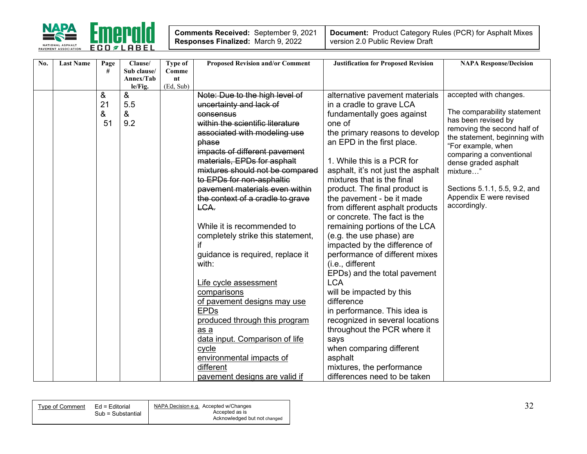

| No. | <b>Last Name</b> | Page | Clause/     | <b>Type of</b> | <b>Proposed Revision and/or Comment</b> | <b>Justification for Proposed Revision</b> | <b>NAPA Response/Decision</b>                      |
|-----|------------------|------|-------------|----------------|-----------------------------------------|--------------------------------------------|----------------------------------------------------|
|     |                  | #    | Sub clause/ | Comme          |                                         |                                            |                                                    |
|     |                  |      | Annex/Tab   | nt             |                                         |                                            |                                                    |
|     |                  |      | le/Fig.     | (Ed, Sub)      |                                         |                                            |                                                    |
|     |                  | &    | &           |                | Note: Due to the high level of          | alternative pavement materials             | accepted with changes.                             |
|     |                  | 21   | 5.5         |                | uncertainty and lack of                 | in a cradle to grave LCA                   |                                                    |
|     |                  | &    | &           |                | consensus                               | fundamentally goes against                 | The comparability statement<br>has been revised by |
|     |                  | 51   | 9.2         |                | within the scientific literature        | one of                                     | removing the second half of                        |
|     |                  |      |             |                | associated with modeling use            | the primary reasons to develop             | the statement, beginning with                      |
|     |                  |      |             |                | phase                                   | an EPD in the first place.                 | "For example, when                                 |
|     |                  |      |             |                | impacts of different pavement           |                                            | comparing a conventional                           |
|     |                  |      |             |                | materials, EPDs for asphalt             | 1. While this is a PCR for                 | dense graded asphalt                               |
|     |                  |      |             |                | mixtures should not be compared         | asphalt, it's not just the asphalt         | mixture"                                           |
|     |                  |      |             |                | to EPDs for non-asphaltic               | mixtures that is the final                 |                                                    |
|     |                  |      |             |                | pavement materials even within          | product. The final product is              | Sections 5.1.1, 5.5, 9.2, and                      |
|     |                  |      |             |                | the context of a cradle to grave        | the pavement - be it made                  | Appendix E were revised                            |
|     |                  |      |             |                | LCA.                                    | from different asphalt products            | accordingly.                                       |
|     |                  |      |             |                |                                         | or concrete. The fact is the               |                                                    |
|     |                  |      |             |                | While it is recommended to              | remaining portions of the LCA              |                                                    |
|     |                  |      |             |                | completely strike this statement,       | (e.g. the use phase) are                   |                                                    |
|     |                  |      |             |                |                                         | impacted by the difference of              |                                                    |
|     |                  |      |             |                | guidance is required, replace it        | performance of different mixes             |                                                    |
|     |                  |      |             |                | with:                                   | (i.e., different                           |                                                    |
|     |                  |      |             |                |                                         | EPDs) and the total pavement               |                                                    |
|     |                  |      |             |                | Life cycle assessment                   | <b>LCA</b>                                 |                                                    |
|     |                  |      |             |                | comparisons                             | will be impacted by this                   |                                                    |
|     |                  |      |             |                | of pavement designs may use             | difference                                 |                                                    |
|     |                  |      |             |                | <b>EPDs</b>                             | in performance. This idea is               |                                                    |
|     |                  |      |             |                | produced through this program           | recognized in several locations            |                                                    |
|     |                  |      |             |                |                                         | throughout the PCR where it                |                                                    |
|     |                  |      |             |                | as a                                    |                                            |                                                    |
|     |                  |      |             |                | data input. Comparison of life          | says                                       |                                                    |
|     |                  |      |             |                | cycle                                   | when comparing different                   |                                                    |
|     |                  |      |             |                | environmental impacts of                | asphalt                                    |                                                    |
|     |                  |      |             |                | different                               | mixtures, the performance                  |                                                    |
|     |                  |      |             |                | pavement designs are valid if           | differences need to be taken               |                                                    |

| Tvpe of Comment | Ed = Editorial    | NAPA Decision e.g. Accepted w/Changes |
|-----------------|-------------------|---------------------------------------|
|                 | Sub = Substantial | Accepted as is                        |
|                 |                   | Acknowledged but not changed          |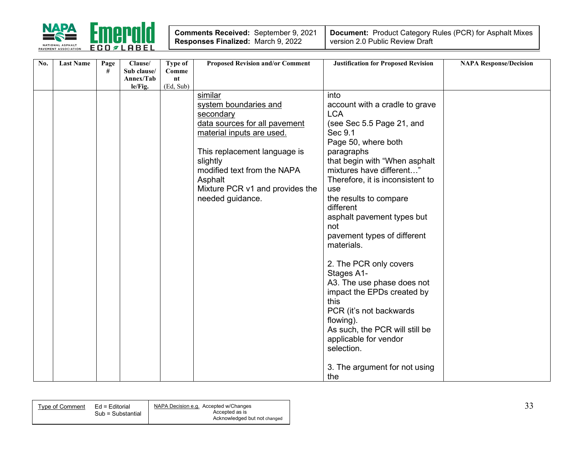

| No. | <b>Last Name</b> | Page | Clause/                  | Type of     | <b>Proposed Revision and/or Comment</b> | <b>Justification for Proposed Revision</b> | <b>NAPA Response/Decision</b> |
|-----|------------------|------|--------------------------|-------------|-----------------------------------------|--------------------------------------------|-------------------------------|
|     |                  | #    | Sub clause/<br>Annex/Tab | Comme<br>nt |                                         |                                            |                               |
|     |                  |      | le/Fig.                  | (Ed, Sub)   |                                         |                                            |                               |
|     |                  |      |                          |             | similar                                 | into                                       |                               |
|     |                  |      |                          |             | system boundaries and                   | account with a cradle to grave             |                               |
|     |                  |      |                          |             | secondary                               | <b>LCA</b>                                 |                               |
|     |                  |      |                          |             | data sources for all pavement           | (see Sec 5.5 Page 21, and                  |                               |
|     |                  |      |                          |             | material inputs are used.               | Sec 9.1                                    |                               |
|     |                  |      |                          |             |                                         | Page 50, where both                        |                               |
|     |                  |      |                          |             | This replacement language is            | paragraphs                                 |                               |
|     |                  |      |                          |             | slightly                                | that begin with "When asphalt              |                               |
|     |                  |      |                          |             | modified text from the NAPA             | mixtures have different"                   |                               |
|     |                  |      |                          |             | Asphalt                                 | Therefore, it is inconsistent to           |                               |
|     |                  |      |                          |             | Mixture PCR v1 and provides the         | use                                        |                               |
|     |                  |      |                          |             | needed guidance.                        | the results to compare                     |                               |
|     |                  |      |                          |             |                                         | different                                  |                               |
|     |                  |      |                          |             |                                         | asphalt pavement types but                 |                               |
|     |                  |      |                          |             |                                         | not                                        |                               |
|     |                  |      |                          |             |                                         | pavement types of different                |                               |
|     |                  |      |                          |             |                                         | materials.                                 |                               |
|     |                  |      |                          |             |                                         |                                            |                               |
|     |                  |      |                          |             |                                         | 2. The PCR only covers                     |                               |
|     |                  |      |                          |             |                                         | Stages A1-                                 |                               |
|     |                  |      |                          |             |                                         | A3. The use phase does not                 |                               |
|     |                  |      |                          |             |                                         | impact the EPDs created by                 |                               |
|     |                  |      |                          |             |                                         | this                                       |                               |
|     |                  |      |                          |             |                                         | PCR (it's not backwards                    |                               |
|     |                  |      |                          |             |                                         | flowing).                                  |                               |
|     |                  |      |                          |             |                                         | As such, the PCR will still be             |                               |
|     |                  |      |                          |             |                                         | applicable for vendor                      |                               |
|     |                  |      |                          |             |                                         | selection.                                 |                               |
|     |                  |      |                          |             |                                         |                                            |                               |
|     |                  |      |                          |             |                                         | 3. The argument for not using<br>the       |                               |

| Type of Comment Ed = Editorial |                   | NAPA Decision e.g. Accepted w/Changes |  |
|--------------------------------|-------------------|---------------------------------------|--|
|                                | Sub = Substantial | Accepted as is                        |  |
|                                |                   | Acknowledged but not changed          |  |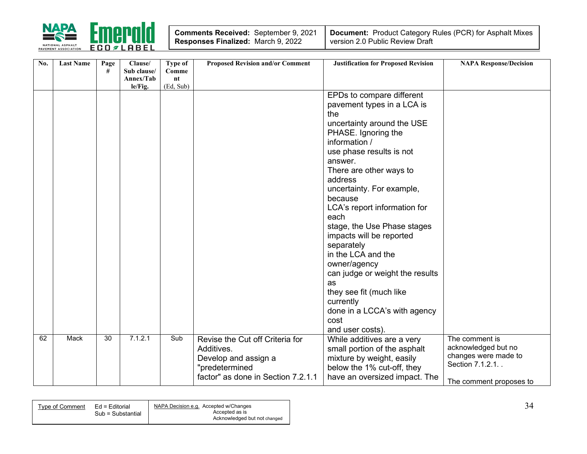

| <b>Comments Received: September 9, 2021</b> |  |
|---------------------------------------------|--|
| Responses Finalized: March 9, 2022          |  |

| No. | <b>Last Name</b> | Page | Clause/     | Type of   | <b>Proposed Revision and/or Comment</b> | <b>Justification for Proposed Revision</b> | <b>NAPA Response/Decision</b> |
|-----|------------------|------|-------------|-----------|-----------------------------------------|--------------------------------------------|-------------------------------|
|     |                  | #    | Sub clause/ | Comme     |                                         |                                            |                               |
|     |                  |      | Annex/Tab   | nt        |                                         |                                            |                               |
|     |                  |      | le/Fig.     | (Ed, Sub) |                                         |                                            |                               |
|     |                  |      |             |           |                                         | EPDs to compare different                  |                               |
|     |                  |      |             |           |                                         | pavement types in a LCA is                 |                               |
|     |                  |      |             |           |                                         | the                                        |                               |
|     |                  |      |             |           |                                         | uncertainty around the USE                 |                               |
|     |                  |      |             |           |                                         | PHASE. Ignoring the                        |                               |
|     |                  |      |             |           |                                         | information /                              |                               |
|     |                  |      |             |           |                                         | use phase results is not                   |                               |
|     |                  |      |             |           |                                         | answer.                                    |                               |
|     |                  |      |             |           |                                         | There are other ways to                    |                               |
|     |                  |      |             |           |                                         | address                                    |                               |
|     |                  |      |             |           |                                         |                                            |                               |
|     |                  |      |             |           |                                         | uncertainty. For example,                  |                               |
|     |                  |      |             |           |                                         | because                                    |                               |
|     |                  |      |             |           |                                         | LCA's report information for               |                               |
|     |                  |      |             |           |                                         | each                                       |                               |
|     |                  |      |             |           |                                         | stage, the Use Phase stages                |                               |
|     |                  |      |             |           |                                         | impacts will be reported                   |                               |
|     |                  |      |             |           |                                         | separately                                 |                               |
|     |                  |      |             |           |                                         | in the LCA and the                         |                               |
|     |                  |      |             |           |                                         | owner/agency                               |                               |
|     |                  |      |             |           |                                         | can judge or weight the results            |                               |
|     |                  |      |             |           |                                         | as                                         |                               |
|     |                  |      |             |           |                                         | they see fit (much like                    |                               |
|     |                  |      |             |           |                                         | currently                                  |                               |
|     |                  |      |             |           |                                         |                                            |                               |
|     |                  |      |             |           |                                         | done in a LCCA's with agency               |                               |
|     |                  |      |             |           |                                         | cost                                       |                               |
|     |                  |      |             |           |                                         | and user costs).                           |                               |
| 62  | Mack             | 30   | 7.1.2.1     | Sub       | Revise the Cut off Criteria for         | While additives are a very                 | The comment is                |
|     |                  |      |             |           | Additives.                              | small portion of the asphalt               | acknowledged but no           |
|     |                  |      |             |           | Develop and assign a                    | mixture by weight, easily                  | changes were made to          |
|     |                  |      |             |           | "predetermined                          | below the 1% cut-off, they                 | Section 7.1.2.1               |
|     |                  |      |             |           | factor" as done in Section 7.2.1.1      | have an oversized impact. The              |                               |
|     |                  |      |             |           |                                         |                                            | The comment proposes to       |

| Type of Comment | Ed = Editorial<br>Sub = Substantial | NAPA Decision e.g. Accepted w/Changes<br>Accepted as is |  |
|-----------------|-------------------------------------|---------------------------------------------------------|--|
|                 |                                     | Acknowledged but not changed                            |  |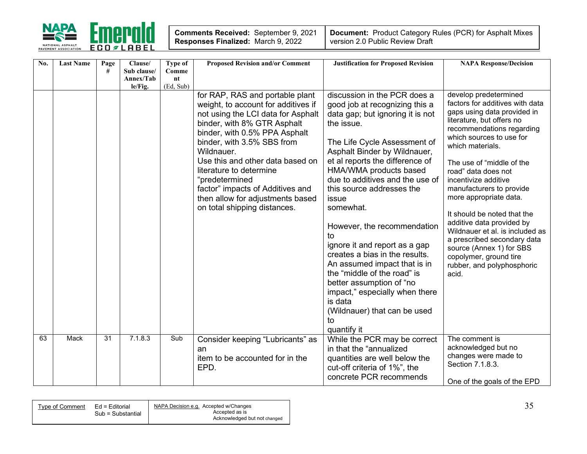

| No. | <b>Last Name</b> | Page            | Clause/                  | <b>Type of</b> | <b>Proposed Revision and/or Comment</b>                                                                                                                                                                                                                                                                                                                                                                           | <b>Justification for Proposed Revision</b>                                                                                                                                                                                                                                                                                                                                                                                                                                                                                                                                                                                | <b>NAPA Response/Decision</b>                                                                                                                                                                                                                                                                                                                                                                                                                                                                                                                                  |
|-----|------------------|-----------------|--------------------------|----------------|-------------------------------------------------------------------------------------------------------------------------------------------------------------------------------------------------------------------------------------------------------------------------------------------------------------------------------------------------------------------------------------------------------------------|---------------------------------------------------------------------------------------------------------------------------------------------------------------------------------------------------------------------------------------------------------------------------------------------------------------------------------------------------------------------------------------------------------------------------------------------------------------------------------------------------------------------------------------------------------------------------------------------------------------------------|----------------------------------------------------------------------------------------------------------------------------------------------------------------------------------------------------------------------------------------------------------------------------------------------------------------------------------------------------------------------------------------------------------------------------------------------------------------------------------------------------------------------------------------------------------------|
|     |                  | #               | Sub clause/<br>Annex/Tab | Comme<br>nt    |                                                                                                                                                                                                                                                                                                                                                                                                                   |                                                                                                                                                                                                                                                                                                                                                                                                                                                                                                                                                                                                                           |                                                                                                                                                                                                                                                                                                                                                                                                                                                                                                                                                                |
|     |                  |                 | le/Fig.                  | (Ed, Sub)      |                                                                                                                                                                                                                                                                                                                                                                                                                   |                                                                                                                                                                                                                                                                                                                                                                                                                                                                                                                                                                                                                           |                                                                                                                                                                                                                                                                                                                                                                                                                                                                                                                                                                |
|     |                  |                 |                          |                | for RAP, RAS and portable plant<br>weight, to account for additives if<br>not using the LCI data for Asphalt<br>binder, with 8% GTR Asphalt<br>binder, with 0.5% PPA Asphalt<br>binder, with 3.5% SBS from<br>Wildnauer.<br>Use this and other data based on<br>literature to determine<br>"predetermined<br>factor" impacts of Additives and<br>then allow for adjustments based<br>on total shipping distances. | discussion in the PCR does a<br>good job at recognizing this a<br>data gap; but ignoring it is not<br>the issue.<br>The Life Cycle Assessment of<br>Asphalt Binder by Wildnauer,<br>et al reports the difference of<br>HMA/WMA products based<br>due to additives and the use of<br>this source addresses the<br>issue<br>somewhat.<br>However, the recommendation<br>tο<br>ignore it and report as a gap<br>creates a bias in the results.<br>An assumed impact that is in<br>the "middle of the road" is<br>better assumption of "no<br>impact," especially when there<br>is data<br>(Wildnauer) that can be used<br>to | develop predetermined<br>factors for additives with data<br>gaps using data provided in<br>literature, but offers no<br>recommendations regarding<br>which sources to use for<br>which materials.<br>The use of "middle of the<br>road" data does not<br>incentivize additive<br>manufacturers to provide<br>more appropriate data.<br>It should be noted that the<br>additive data provided by<br>Wildnauer et al. is included as<br>a prescribed secondary data<br>source (Annex 1) for SBS<br>copolymer, ground tire<br>rubber, and polyphosphoric<br>acid. |
| 63  | <b>Mack</b>      | $\overline{31}$ | 7.1.8.3                  | Sub            | Consider keeping "Lubricants" as                                                                                                                                                                                                                                                                                                                                                                                  | quantify it<br>While the PCR may be correct                                                                                                                                                                                                                                                                                                                                                                                                                                                                                                                                                                               | The comment is                                                                                                                                                                                                                                                                                                                                                                                                                                                                                                                                                 |
|     |                  |                 |                          |                | an                                                                                                                                                                                                                                                                                                                                                                                                                | in that the "annualized                                                                                                                                                                                                                                                                                                                                                                                                                                                                                                                                                                                                   | acknowledged but no                                                                                                                                                                                                                                                                                                                                                                                                                                                                                                                                            |
|     |                  |                 |                          |                | item to be accounted for in the<br>EPD.                                                                                                                                                                                                                                                                                                                                                                           | quantities are well below the<br>cut-off criteria of 1%", the                                                                                                                                                                                                                                                                                                                                                                                                                                                                                                                                                             | changes were made to<br>Section 7.1.8.3.                                                                                                                                                                                                                                                                                                                                                                                                                                                                                                                       |
|     |                  |                 |                          |                |                                                                                                                                                                                                                                                                                                                                                                                                                   | concrete PCR recommends                                                                                                                                                                                                                                                                                                                                                                                                                                                                                                                                                                                                   | One of the goals of the EPD                                                                                                                                                                                                                                                                                                                                                                                                                                                                                                                                    |

| Ed = Editorial<br>Tvpe of Comment<br>Sub = Substantial | NAPA Decision e.g. Accepted w/Changes<br>Accepted as is<br>Acknowledged but not changed | ັ້ |
|--------------------------------------------------------|-----------------------------------------------------------------------------------------|----|
|                                                        |                                                                                         |    |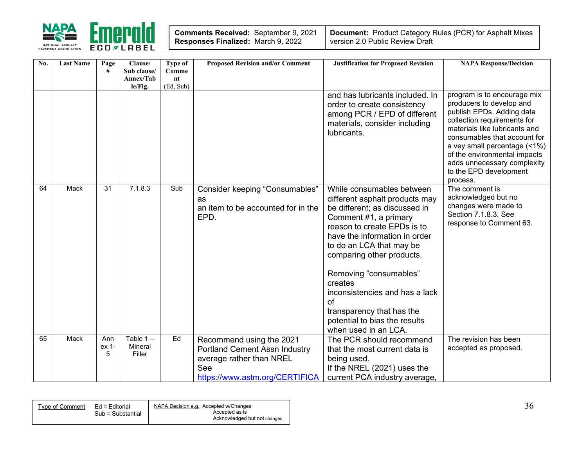

| <b>Comments Received: September 9, 2021</b> |  |
|---------------------------------------------|--|
| Responses Finalized: March 9, 2022          |  |

| No. | <b>Last Name</b> | Page<br>#         | Clause/<br>Sub clause/<br>Annex/Tab<br>le/Fig. | <b>Type of</b><br>Comme<br>nt<br>(Ed, Sub) | <b>Proposed Revision and/or Comment</b>                                                                                               | <b>Justification for Proposed Revision</b>                                                                                                                                                                                                                                                                                                                                                                        | <b>NAPA Response/Decision</b>                                                                                                                                                                                                                                                                                             |
|-----|------------------|-------------------|------------------------------------------------|--------------------------------------------|---------------------------------------------------------------------------------------------------------------------------------------|-------------------------------------------------------------------------------------------------------------------------------------------------------------------------------------------------------------------------------------------------------------------------------------------------------------------------------------------------------------------------------------------------------------------|---------------------------------------------------------------------------------------------------------------------------------------------------------------------------------------------------------------------------------------------------------------------------------------------------------------------------|
|     |                  |                   |                                                |                                            |                                                                                                                                       | and has lubricants included. In<br>order to create consistency<br>among PCR / EPD of different<br>materials, consider including<br>lubricants.                                                                                                                                                                                                                                                                    | program is to encourage mix<br>producers to develop and<br>publish EPDs. Adding data<br>collection requirements for<br>materials like lubricants and<br>consumables that account for<br>a vey small percentage (<1%)<br>of the environmental impacts<br>adds unnecessary complexity<br>to the EPD development<br>process. |
| 64  | Mack             | $\overline{31}$   | 7.1.8.3                                        | Sub                                        | Consider keeping "Consumables"<br>as<br>an item to be accounted for in the<br>EPD.                                                    | While consumables between<br>different asphalt products may<br>be different; as discussed in<br>Comment #1, a primary<br>reason to create EPDs is to<br>have the information in order<br>to do an LCA that may be<br>comparing other products.<br>Removing "consumables"<br>creates<br>inconsistencies and has a lack<br>of<br>transparency that has the<br>potential to bias the results<br>when used in an LCA. | The comment is<br>acknowledged but no<br>changes were made to<br>Section 7.1.8.3. See<br>response to Comment 63.                                                                                                                                                                                                          |
| 65  | Mack             | Ann<br>ex 1-<br>5 | Table $1 -$<br>Mineral<br>Filler               | Ed                                         | Recommend using the 2021<br><b>Portland Cement Assn Industry</b><br>average rather than NREL<br>See<br>https://www.astm.org/CERTIFICA | The PCR should recommend<br>that the most current data is<br>being used.<br>If the NREL (2021) uses the<br>current PCA industry average,                                                                                                                                                                                                                                                                          | The revision has been<br>accepted as proposed.                                                                                                                                                                                                                                                                            |

| Type of Comment Ed = Editorial | Sub = Substantial | NAPA Decision e.g. Accepted w/Changes<br>Accepted as is<br>Acknowledged but not changed | 3t |
|--------------------------------|-------------------|-----------------------------------------------------------------------------------------|----|
|                                |                   |                                                                                         |    |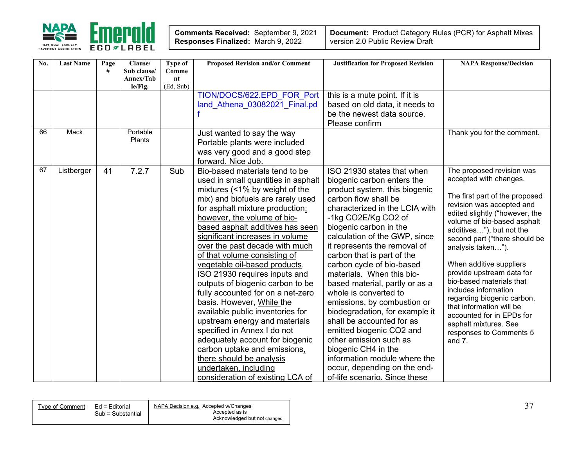

| No. | <b>Last Name</b> | Page | Clause/                  | Type of              | <b>Proposed Revision and/or Comment</b> | <b>Justification for Proposed Revision</b> | <b>NAPA Response/Decision</b>                         |
|-----|------------------|------|--------------------------|----------------------|-----------------------------------------|--------------------------------------------|-------------------------------------------------------|
|     |                  | #    | Sub clause/<br>Annex/Tab | Comme<br>$n_{\rm t}$ |                                         |                                            |                                                       |
|     |                  |      | le/Fig.                  | (Ed, Sub)            |                                         |                                            |                                                       |
|     |                  |      |                          |                      | TION/DOCS/622.EPD FOR Port              | this is a mute point. If it is             |                                                       |
|     |                  |      |                          |                      | land Athena 03082021 Final.pd           | based on old data, it needs to             |                                                       |
|     |                  |      |                          |                      |                                         | be the newest data source.                 |                                                       |
|     |                  |      |                          |                      |                                         | Please confirm                             |                                                       |
| 66  | Mack             |      | Portable                 |                      | Just wanted to say the way              |                                            | Thank you for the comment.                            |
|     |                  |      | Plants                   |                      | Portable plants were included           |                                            |                                                       |
|     |                  |      |                          |                      | was very good and a good step           |                                            |                                                       |
|     |                  |      |                          |                      | forward. Nice Job.                      |                                            |                                                       |
| 67  | Listberger       | 41   | 7.2.7                    | Sub                  | Bio-based materials tend to be          | ISO 21930 states that when                 | The proposed revision was                             |
|     |                  |      |                          |                      | used in small quantities in asphalt     | biogenic carbon enters the                 | accepted with changes.                                |
|     |                  |      |                          |                      | mixtures (<1% by weight of the          | product system, this biogenic              | The first part of the proposed                        |
|     |                  |      |                          |                      | mix) and biofuels are rarely used       | carbon flow shall be                       | revision was accepted and                             |
|     |                  |      |                          |                      | for asphalt mixture production;         | characterized in the LCIA with             | edited slightly ("however, the                        |
|     |                  |      |                          |                      | however, the volume of bio-             | -1kg CO2E/Kg CO2 of                        | volume of bio-based asphalt                           |
|     |                  |      |                          |                      | based asphalt additives has seen        | biogenic carbon in the                     | additives"), but not the                              |
|     |                  |      |                          |                      | significant increases in volume         | calculation of the GWP, since              | second part ("there should be                         |
|     |                  |      |                          |                      | over the past decade with much          | it represents the removal of               | analysis taken").                                     |
|     |                  |      |                          |                      | of that volume consisting of            | carbon that is part of the                 |                                                       |
|     |                  |      |                          |                      | vegetable oil-based products.           | carbon cycle of bio-based                  | When additive suppliers                               |
|     |                  |      |                          |                      | ISO 21930 requires inputs and           | materials. When this bio-                  | provide upstream data for<br>bio-based materials that |
|     |                  |      |                          |                      | outputs of biogenic carbon to be        | based material, partly or as a             | includes information                                  |
|     |                  |      |                          |                      | fully accounted for on a net-zero       | whole is converted to                      | regarding biogenic carbon,                            |
|     |                  |      |                          |                      | basis. However, While the               | emissions, by combustion or                | that information will be                              |
|     |                  |      |                          |                      | available public inventories for        | biodegradation, for example it             | accounted for in EPDs for                             |
|     |                  |      |                          |                      | upstream energy and materials           | shall be accounted for as                  | asphalt mixtures. See                                 |
|     |                  |      |                          |                      | specified in Annex I do not             | emitted biogenic CO2 and                   | responses to Comments 5                               |
|     |                  |      |                          |                      | adequately account for biogenic         | other emission such as                     | and $7.$                                              |
|     |                  |      |                          |                      | carbon uptake and emissions,            | biogenic CH4 in the                        |                                                       |
|     |                  |      |                          |                      | there should be analysis                | information module where the               |                                                       |
|     |                  |      |                          |                      | undertaken, including                   | occur, depending on the end-               |                                                       |
|     |                  |      |                          |                      | consideration of existing LCA of        | of-life scenario. Since these              |                                                       |

| NAPA Decision e.g. Accepted w/Changes<br>Ed = Editorial<br>Type of Comment |
|----------------------------------------------------------------------------|
| Accepted as is<br>Sub = Substantial                                        |
| Acknowledged but not changed                                               |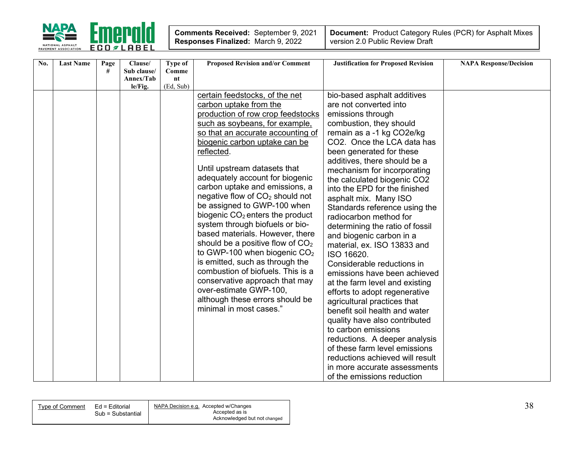

| No. | <b>Last Name</b> | Page | Clause/     | Type of          | <b>Proposed Revision and/or Comment</b>     | <b>Justification for Proposed Revision</b>            | <b>NAPA Response/Decision</b> |
|-----|------------------|------|-------------|------------------|---------------------------------------------|-------------------------------------------------------|-------------------------------|
|     |                  | #    | Sub clause/ | Comme            |                                             |                                                       |                               |
|     |                  |      | Annex/Tab   | n t<br>(Ed, Sub) |                                             |                                                       |                               |
|     |                  |      | le/Fig.     |                  | certain feedstocks, of the net              |                                                       |                               |
|     |                  |      |             |                  |                                             | bio-based asphalt additives<br>are not converted into |                               |
|     |                  |      |             |                  | carbon uptake from the                      |                                                       |                               |
|     |                  |      |             |                  | production of row crop feedstocks           | emissions through                                     |                               |
|     |                  |      |             |                  | such as soybeans, for example,              | combustion, they should                               |                               |
|     |                  |      |             |                  | so that an accurate accounting of           | remain as a -1 kg CO2e/kg                             |                               |
|     |                  |      |             |                  | biogenic carbon uptake can be               | CO2. Once the LCA data has                            |                               |
|     |                  |      |             |                  | reflected.                                  | been generated for these                              |                               |
|     |                  |      |             |                  |                                             | additives, there should be a                          |                               |
|     |                  |      |             |                  | Until upstream datasets that                | mechanism for incorporating                           |                               |
|     |                  |      |             |                  | adequately account for biogenic             | the calculated biogenic CO2                           |                               |
|     |                  |      |             |                  | carbon uptake and emissions, a              | into the EPD for the finished                         |                               |
|     |                  |      |             |                  | negative flow of CO <sub>2</sub> should not | asphalt mix. Many ISO                                 |                               |
|     |                  |      |             |                  | be assigned to GWP-100 when                 | Standards reference using the                         |                               |
|     |                  |      |             |                  | biogenic CO <sub>2</sub> enters the product | radiocarbon method for                                |                               |
|     |                  |      |             |                  | system through biofuels or bio-             | determining the ratio of fossil                       |                               |
|     |                  |      |             |                  | based materials. However, there             | and biogenic carbon in a                              |                               |
|     |                  |      |             |                  | should be a positive flow of $CO2$          | material, ex. ISO 13833 and                           |                               |
|     |                  |      |             |                  | to GWP-100 when biogenic $CO2$              | ISO 16620.                                            |                               |
|     |                  |      |             |                  | is emitted, such as through the             | Considerable reductions in                            |                               |
|     |                  |      |             |                  | combustion of biofuels. This is a           | emissions have been achieved                          |                               |
|     |                  |      |             |                  | conservative approach that may              | at the farm level and existing                        |                               |
|     |                  |      |             |                  | over-estimate GWP-100,                      | efforts to adopt regenerative                         |                               |
|     |                  |      |             |                  | although these errors should be             | agricultural practices that                           |                               |
|     |                  |      |             |                  | minimal in most cases."                     | benefit soil health and water                         |                               |
|     |                  |      |             |                  |                                             |                                                       |                               |
|     |                  |      |             |                  |                                             | quality have also contributed<br>to carbon emissions  |                               |
|     |                  |      |             |                  |                                             |                                                       |                               |
|     |                  |      |             |                  |                                             | reductions. A deeper analysis                         |                               |
|     |                  |      |             |                  |                                             | of these farm level emissions                         |                               |
|     |                  |      |             |                  |                                             | reductions achieved will result                       |                               |
|     |                  |      |             |                  |                                             | in more accurate assessments                          |                               |
|     |                  |      |             |                  |                                             | of the emissions reduction                            |                               |

| Tvpe of Comment | Ed = Editorial    | NAPA Decision e.g. Accepted w/Changes |
|-----------------|-------------------|---------------------------------------|
|                 | Sub = Substantial | Accepted as is                        |
|                 |                   | Acknowledged but not changed          |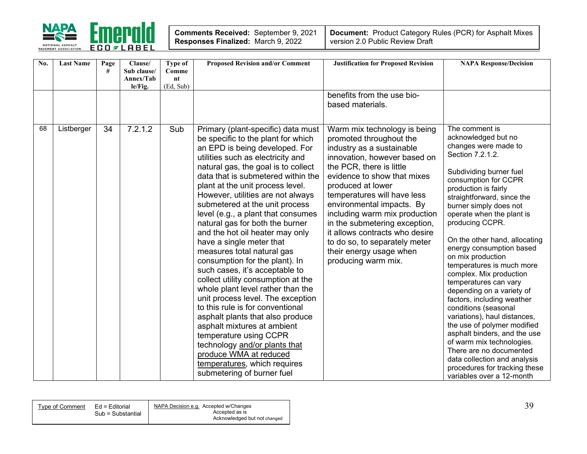

| No. | <b>Last Name</b> | Page<br># | Clause/<br>Sub clause/<br>Annex/Tab | Type of<br>Comme<br>nt | <b>Proposed Revision and/or Comment</b>                                                                                                                                                                                                                                                                                                                                                                                                                                                                                                                                                                                                                                                                                                                                                                                                                                                                                                                     | <b>Justification for Proposed Revision</b>                                                                                                                                                                                                                                                                                                                                                                                                              | <b>NAPA Response/Decision</b>                                                                                                                                                                                                                                                                                                                                                                                                                                                                                                                                                                                                                                                                                                                                                   |
|-----|------------------|-----------|-------------------------------------|------------------------|-------------------------------------------------------------------------------------------------------------------------------------------------------------------------------------------------------------------------------------------------------------------------------------------------------------------------------------------------------------------------------------------------------------------------------------------------------------------------------------------------------------------------------------------------------------------------------------------------------------------------------------------------------------------------------------------------------------------------------------------------------------------------------------------------------------------------------------------------------------------------------------------------------------------------------------------------------------|---------------------------------------------------------------------------------------------------------------------------------------------------------------------------------------------------------------------------------------------------------------------------------------------------------------------------------------------------------------------------------------------------------------------------------------------------------|---------------------------------------------------------------------------------------------------------------------------------------------------------------------------------------------------------------------------------------------------------------------------------------------------------------------------------------------------------------------------------------------------------------------------------------------------------------------------------------------------------------------------------------------------------------------------------------------------------------------------------------------------------------------------------------------------------------------------------------------------------------------------------|
|     |                  |           | le/Fig.                             | (Ed, Sub)              |                                                                                                                                                                                                                                                                                                                                                                                                                                                                                                                                                                                                                                                                                                                                                                                                                                                                                                                                                             |                                                                                                                                                                                                                                                                                                                                                                                                                                                         |                                                                                                                                                                                                                                                                                                                                                                                                                                                                                                                                                                                                                                                                                                                                                                                 |
|     |                  |           |                                     |                        |                                                                                                                                                                                                                                                                                                                                                                                                                                                                                                                                                                                                                                                                                                                                                                                                                                                                                                                                                             | benefits from the use bio-<br>based materials.                                                                                                                                                                                                                                                                                                                                                                                                          |                                                                                                                                                                                                                                                                                                                                                                                                                                                                                                                                                                                                                                                                                                                                                                                 |
| 68  | Listberger       | 34        | 7.2.1.2                             | Sub                    | Primary (plant-specific) data must<br>be specific to the plant for which<br>an EPD is being developed. For<br>utilities such as electricity and<br>natural gas, the goal is to collect<br>data that is submetered within the<br>plant at the unit process level.<br>However, utilities are not always<br>submetered at the unit process<br>level (e.g., a plant that consumes<br>natural gas for both the burner<br>and the hot oil heater may only<br>have a single meter that<br>measures total natural gas<br>consumption for the plant). In<br>such cases, it's acceptable to<br>collect utility consumption at the<br>whole plant level rather than the<br>unit process level. The exception<br>to this rule is for conventional<br>asphalt plants that also produce<br>asphalt mixtures at ambient<br>temperature using CCPR<br>technology and/or plants that<br>produce WMA at reduced<br>temperatures, which requires<br>submetering of burner fuel | Warm mix technology is being<br>promoted throughout the<br>industry as a sustainable<br>innovation, however based on<br>the PCR, there is little<br>evidence to show that mixes<br>produced at lower<br>temperatures will have less<br>environmental impacts. By<br>including warm mix production<br>in the submetering exception,<br>it allows contracts who desire<br>to do so, to separately meter<br>their energy usage when<br>producing warm mix. | The comment is<br>acknowledged but no<br>changes were made to<br>Section 7.2.1.2.<br>Subdividing burner fuel<br>consumption for CCPR<br>production is fairly<br>straightforward, since the<br>burner simply does not<br>operate when the plant is<br>producing CCPR.<br>On the other hand, allocating<br>energy consumption based<br>on mix production<br>temperatures is much more<br>complex. Mix production<br>temperatures can vary<br>depending on a variety of<br>factors, including weather<br>conditions (seasonal<br>variations), haul distances,<br>the use of polymer modified<br>asphalt binders, and the use<br>of warm mix technologies.<br>There are no documented<br>data collection and analysis<br>procedures for tracking these<br>variables over a 12-month |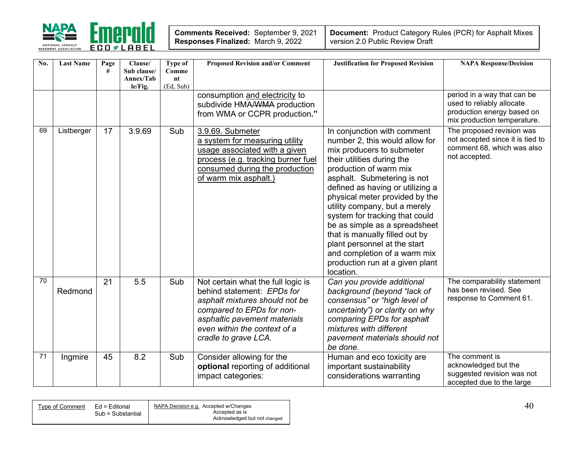

| Comments Received: September 9, 2021      |  |
|-------------------------------------------|--|
| <b>Responses Finalized: March 9, 2022</b> |  |

| $\overline{No}$ . | <b>Last Name</b> | Page<br># | Clause/<br>Sub clause/<br>Annex/Tab<br>le/Fig. | Type of<br>Comme<br>nt<br>(Ed, Sub) | <b>Proposed Revision and/or Comment</b>                                                                                                                                                                                 | <b>Justification for Proposed Revision</b>                                                                                                                                                                                                                                                                                                                                                                                                                                                                    | <b>NAPA Response/Decision</b>                                                                                         |
|-------------------|------------------|-----------|------------------------------------------------|-------------------------------------|-------------------------------------------------------------------------------------------------------------------------------------------------------------------------------------------------------------------------|---------------------------------------------------------------------------------------------------------------------------------------------------------------------------------------------------------------------------------------------------------------------------------------------------------------------------------------------------------------------------------------------------------------------------------------------------------------------------------------------------------------|-----------------------------------------------------------------------------------------------------------------------|
|                   |                  |           |                                                |                                     | consumption and electricity to<br>subdivide HMAAWMA production<br>from WMA or CCPR production."                                                                                                                         |                                                                                                                                                                                                                                                                                                                                                                                                                                                                                                               | period in a way that can be<br>used to reliably allocate<br>production energy based on<br>mix production temperature. |
| 69                | Listberger       | 17        | 3.9.69                                         | Sub                                 | 3.9.69. Submeter<br>a system for measuring utility<br>usage associated with a given<br>process (e.g. tracking burner fuel<br>consumed during the production<br>of warm mix asphalt.)                                    | In conjunction with comment<br>number 2, this would allow for<br>mix producers to submeter<br>their utilities during the<br>production of warm mix<br>asphalt. Submetering is not<br>defined as having or utilizing a<br>physical meter provided by the<br>utility company, but a merely<br>system for tracking that could<br>be as simple as a spreadsheet<br>that is manually filled out by<br>plant personnel at the start<br>and completion of a warm mix<br>production run at a given plant<br>location. | The proposed revision was<br>not accepted since it is tied to<br>comment 68, which was also<br>not accepted.          |
| $\overline{70}$   | Redmond          | 21        | 5.5                                            | Sub                                 | Not certain what the full logic is<br>behind statement: EPDs for<br>asphalt mixtures should not be<br>compared to EPDs for non-<br>asphaltic pavement materials<br>even within the context of a<br>cradle to grave LCA. | Can you provide additional<br>background (beyond "lack of<br>consensus" or "high level of<br>uncertainty") or clarity on why<br>comparing EPDs for asphalt<br>mixtures with different<br>pavement materials should not<br>be done.                                                                                                                                                                                                                                                                            | The comparability statement<br>has been revised. See<br>response to Comment 61.                                       |
| 71                | Ingmire          | 45        | 8.2                                            | Sub                                 | Consider allowing for the<br>optional reporting of additional<br>impact categories:                                                                                                                                     | Human and eco toxicity are<br>important sustainability<br>considerations warranting                                                                                                                                                                                                                                                                                                                                                                                                                           | The comment is<br>acknowledged but the<br>suggested revision was not<br>accepted due to the large                     |

| Type of Comment Ed = Editorial | Sub = Substantial | NAPA Decision e.g. Accepted w/Changes<br>Accepted as is<br>Acknowledged but not changed | $40^{\circ}$ |
|--------------------------------|-------------------|-----------------------------------------------------------------------------------------|--------------|
|                                |                   |                                                                                         |              |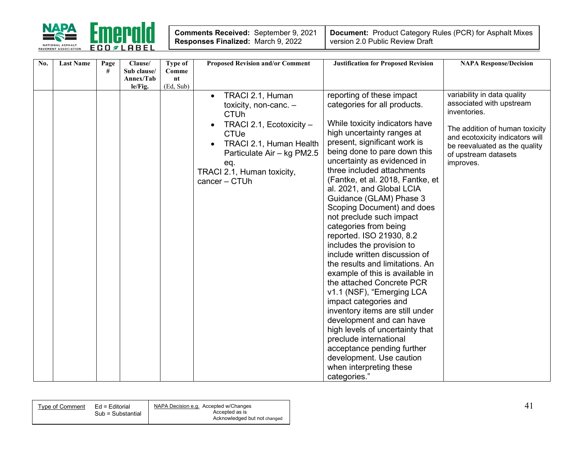

| Comments Received: September 9, 2021 |  |
|--------------------------------------|--|
| Responses Finalized: March 9, 2022   |  |

| No. | <b>Last Name</b> | Page<br># | Clause/<br>Sub clause/<br>Annex/Tab | Type of<br>Comme<br>nt | <b>Proposed Revision and/or Comment</b>                                                                                                                                                                                                  | <b>Justification for Proposed Revision</b>                                                                                                                                                                                                                                                                                                                                                                                                                                                                                                                                                                                                                                                                                                                                                                                                                                                                                | <b>NAPA Response/Decision</b>                                                                                                                                                                                      |
|-----|------------------|-----------|-------------------------------------|------------------------|------------------------------------------------------------------------------------------------------------------------------------------------------------------------------------------------------------------------------------------|---------------------------------------------------------------------------------------------------------------------------------------------------------------------------------------------------------------------------------------------------------------------------------------------------------------------------------------------------------------------------------------------------------------------------------------------------------------------------------------------------------------------------------------------------------------------------------------------------------------------------------------------------------------------------------------------------------------------------------------------------------------------------------------------------------------------------------------------------------------------------------------------------------------------------|--------------------------------------------------------------------------------------------------------------------------------------------------------------------------------------------------------------------|
|     |                  |           | le/Fig.                             | (Ed, Sub)              | TRACI 2.1, Human<br>$\bullet$<br>toxicity, non-canc. $-$<br><b>CTUh</b><br>TRACI 2.1, Ecotoxicity -<br><b>CTUe</b><br><b>TRACI 2.1, Human Health</b><br>Particulate Air - kg PM2.5<br>eq.<br>TRACI 2.1, Human toxicity,<br>cancer - CTUh | reporting of these impact<br>categories for all products.<br>While toxicity indicators have<br>high uncertainty ranges at<br>present, significant work is<br>being done to pare down this<br>uncertainty as evidenced in<br>three included attachments<br>(Fantke, et al. 2018, Fantke, et<br>al. 2021, and Global LCIA<br>Guidance (GLAM) Phase 3<br>Scoping Document) and does<br>not preclude such impact<br>categories from being<br>reported. ISO 21930, 8.2<br>includes the provision to<br>include written discussion of<br>the results and limitations. An<br>example of this is available in<br>the attached Concrete PCR<br>v1.1 (NSF), "Emerging LCA<br>impact categories and<br>inventory items are still under<br>development and can have<br>high levels of uncertainty that<br>preclude international<br>acceptance pending further<br>development. Use caution<br>when interpreting these<br>categories." | variability in data quality<br>associated with upstream<br>inventories.<br>The addition of human toxicity<br>and ecotoxicity indicators will<br>be reevaluated as the quality<br>of upstream datasets<br>improves. |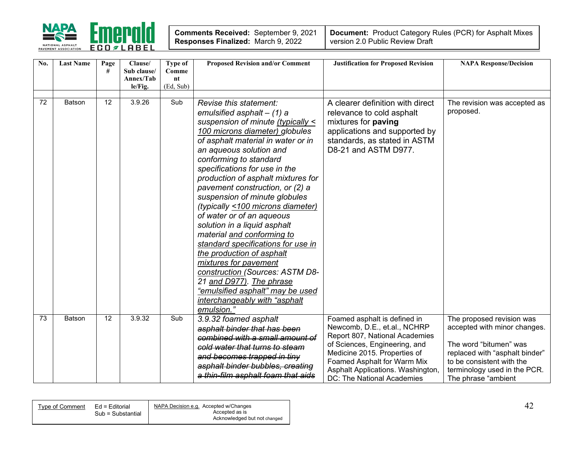

| Comments Received: September 9, 2021      |  |
|-------------------------------------------|--|
| <b>Responses Finalized: March 9, 2022</b> |  |

| No. | <b>Last Name</b> | Page<br># | Clause/<br>Sub clause/<br>Annex/Tab | Type of<br>Comme<br>$n_{\rm t}$ | <b>Proposed Revision and/or Comment</b>                                                                                                                                                                                                                                                                                                                                                                                                                                                                                                                                                                                                                                                                                                           | <b>Justification for Proposed Revision</b>                                                                                                                                                                                                                        | <b>NAPA Response/Decision</b>                                                                                                                                                                             |
|-----|------------------|-----------|-------------------------------------|---------------------------------|---------------------------------------------------------------------------------------------------------------------------------------------------------------------------------------------------------------------------------------------------------------------------------------------------------------------------------------------------------------------------------------------------------------------------------------------------------------------------------------------------------------------------------------------------------------------------------------------------------------------------------------------------------------------------------------------------------------------------------------------------|-------------------------------------------------------------------------------------------------------------------------------------------------------------------------------------------------------------------------------------------------------------------|-----------------------------------------------------------------------------------------------------------------------------------------------------------------------------------------------------------|
|     |                  |           | le/Fig.                             | (Ed, Sub)                       |                                                                                                                                                                                                                                                                                                                                                                                                                                                                                                                                                                                                                                                                                                                                                   |                                                                                                                                                                                                                                                                   |                                                                                                                                                                                                           |
| 72  | <b>Batson</b>    | 12        | 3.9.26                              | Sub                             | Revise this statement:<br>emulsified asphalt $-$ (1) a<br>suspension of minute (typically <<br>100 microns diameter) globules<br>of asphalt material in water or in<br>an aqueous solution and<br>conforming to standard<br>specifications for use in the<br>production of asphalt mixtures for<br>pavement construction, or (2) a<br>suspension of minute globules<br>(typically <100 microns diameter)<br>of water or of an aqueous<br>solution in a liquid asphalt<br>material and conforming to<br>standard specifications for use in<br>the production of asphalt<br>mixtures for pavement<br>construction (Sources: ASTM D8-<br>21 and D977). The phrase<br>"emulsified asphalt" may be used<br>interchangeably with "asphalt<br>emulsion.' | A clearer definition with direct<br>relevance to cold asphalt<br>mixtures for paving<br>applications and supported by<br>standards, as stated in ASTM<br>D8-21 and ASTM D977.                                                                                     | The revision was accepted as<br>proposed.                                                                                                                                                                 |
| 73  | <b>Batson</b>    | 12        | 3.9.32                              | Sub                             | 3.9.32 foamed asphalt<br>asphalt binder that has been<br>combined with a small amount of<br>cold water that turns to steam<br>and becomes trapped in tiny<br>asphalt binder bubbles, creating<br>a thin-film asphalt foam that aids                                                                                                                                                                                                                                                                                                                                                                                                                                                                                                               | Foamed asphalt is defined in<br>Newcomb, D.E., et.al., NCHRP<br>Report 807, National Academies<br>of Sciences, Engineering, and<br>Medicine 2015. Properties of<br>Foamed Asphalt for Warm Mix<br>Asphalt Applications. Washington,<br>DC: The National Academies | The proposed revision was<br>accepted with minor changes.<br>The word "bitumen" was<br>replaced with "asphalt binder"<br>to be consistent with the<br>terminology used in the PCR.<br>The phrase "ambient |

| Type of Comment | Ed = Editorial    | NAPA Decision e.g. Accepted w/Changes |  |
|-----------------|-------------------|---------------------------------------|--|
|                 | Sub = Substantial | Accepted as is                        |  |
|                 |                   | Acknowledged but not changed          |  |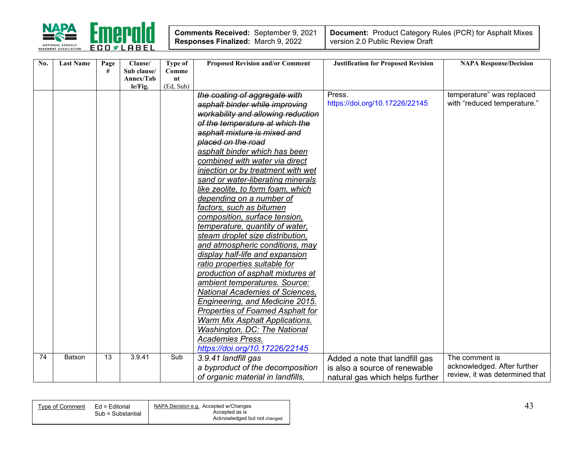

| Comments Received: September 9, 2021      |  |
|-------------------------------------------|--|
| <b>Responses Finalized: March 9, 2022</b> |  |

| No. | <b>Last Name</b> | Page | Clause/                  | Type of          | <b>Proposed Revision and/or Comment</b> | <b>Justification for Proposed Revision</b> | <b>NAPA Response/Decision</b>  |
|-----|------------------|------|--------------------------|------------------|-----------------------------------------|--------------------------------------------|--------------------------------|
|     |                  | #    | Sub clause/<br>Annex/Tab | Comme<br>$n_{t}$ |                                         |                                            |                                |
|     |                  |      | le/Fig.                  | (Ed, Sub)        |                                         |                                            |                                |
|     |                  |      |                          |                  | the coating of aggregate with           | Press.                                     | temperature" was replaced      |
|     |                  |      |                          |                  | asphalt binder while improving          | https://doi.org/10.17226/22145             | with "reduced temperature."    |
|     |                  |      |                          |                  | workability and allowing reduction      |                                            |                                |
|     |                  |      |                          |                  | of the temperature at which the         |                                            |                                |
|     |                  |      |                          |                  | asphalt mixture is mixed and            |                                            |                                |
|     |                  |      |                          |                  | placed on the road                      |                                            |                                |
|     |                  |      |                          |                  | asphalt binder which has been           |                                            |                                |
|     |                  |      |                          |                  | combined with water via direct          |                                            |                                |
|     |                  |      |                          |                  | injection or by treatment with wet      |                                            |                                |
|     |                  |      |                          |                  | sand or water-liberating minerals       |                                            |                                |
|     |                  |      |                          |                  | like zeolite, to form foam, which       |                                            |                                |
|     |                  |      |                          |                  | depending on a number of                |                                            |                                |
|     |                  |      |                          |                  | factors, such as bitumen                |                                            |                                |
|     |                  |      |                          |                  | composition, surface tension,           |                                            |                                |
|     |                  |      |                          |                  | temperature, quantity of water,         |                                            |                                |
|     |                  |      |                          |                  | steam droplet size distribution,        |                                            |                                |
|     |                  |      |                          |                  | and atmospheric conditions, may         |                                            |                                |
|     |                  |      |                          |                  | display half-life and expansion         |                                            |                                |
|     |                  |      |                          |                  | ratio properties suitable for           |                                            |                                |
|     |                  |      |                          |                  | production of asphalt mixtures at       |                                            |                                |
|     |                  |      |                          |                  | ambient temperatures. Source:           |                                            |                                |
|     |                  |      |                          |                  | National Academies of Sciences,         |                                            |                                |
|     |                  |      |                          |                  | Engineering, and Medicine 2015.         |                                            |                                |
|     |                  |      |                          |                  | <b>Properties of Foamed Asphalt for</b> |                                            |                                |
|     |                  |      |                          |                  | Warm Mix Asphalt Applications.          |                                            |                                |
|     |                  |      |                          |                  | Washington, DC: The National            |                                            |                                |
|     |                  |      |                          |                  | <b>Academies Press.</b>                 |                                            |                                |
|     |                  |      |                          |                  | https://doi.org/10.17226/22145          |                                            |                                |
| 74  | Batson           | 13   | 3.9.41                   | Sub              | 3.9.41 landfill gas                     | Added a note that landfill gas             | The comment is                 |
|     |                  |      |                          |                  | a byproduct of the decomposition        | is also a source of renewable              | acknowledged. After further    |
|     |                  |      |                          |                  | of organic material in landfills,       | natural gas which helps further            | review, it was determined that |

| Type of Comment | Ed = Editorial    | NAPA Decision e.g. Accepted w/Changes<br>Accepted as is |  |
|-----------------|-------------------|---------------------------------------------------------|--|
|                 | Sub = Substantial | Acknowledged but not changed                            |  |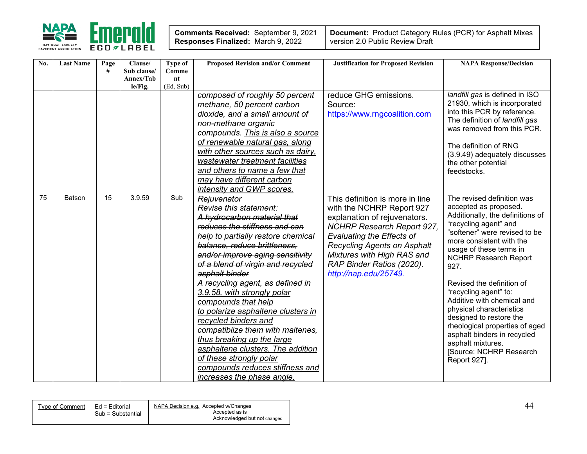

| Comments Received: September 9, 2021      |  |
|-------------------------------------------|--|
| <b>Responses Finalized: March 9, 2022</b> |  |

| No. | <b>Last Name</b> | Page            | Clause/                  | Type of              | <b>Proposed Revision and/or Comment</b>                                                                                                                                                                                                                                                                                                                                                                                                                                                                                                                                                                                           | <b>Justification for Proposed Revision</b>                                                                                                                                                                                                                                                      | <b>NAPA Response/Decision</b>                                                                                                                                                                                                                                                                                                                                                                                                                                                                                                |
|-----|------------------|-----------------|--------------------------|----------------------|-----------------------------------------------------------------------------------------------------------------------------------------------------------------------------------------------------------------------------------------------------------------------------------------------------------------------------------------------------------------------------------------------------------------------------------------------------------------------------------------------------------------------------------------------------------------------------------------------------------------------------------|-------------------------------------------------------------------------------------------------------------------------------------------------------------------------------------------------------------------------------------------------------------------------------------------------|------------------------------------------------------------------------------------------------------------------------------------------------------------------------------------------------------------------------------------------------------------------------------------------------------------------------------------------------------------------------------------------------------------------------------------------------------------------------------------------------------------------------------|
|     |                  | #               | Sub clause/<br>Annex/Tab | Comme<br>$n_{\rm t}$ |                                                                                                                                                                                                                                                                                                                                                                                                                                                                                                                                                                                                                                   |                                                                                                                                                                                                                                                                                                 |                                                                                                                                                                                                                                                                                                                                                                                                                                                                                                                              |
|     |                  |                 | le/Fig.                  | (Ed, Sub)            |                                                                                                                                                                                                                                                                                                                                                                                                                                                                                                                                                                                                                                   |                                                                                                                                                                                                                                                                                                 |                                                                                                                                                                                                                                                                                                                                                                                                                                                                                                                              |
|     |                  |                 |                          |                      | composed of roughly 50 percent<br>methane, 50 percent carbon<br>dioxide, and a small amount of<br>non-methane organic<br>compounds. This is also a source<br>of renewable natural gas, along<br>with other sources such as dairy,<br>wastewater treatment facilities<br>and others to name a few that<br>may have different carbon<br>intensity and GWP scores.                                                                                                                                                                                                                                                                   | reduce GHG emissions.<br>Source:<br>https://www.rngcoalition.com                                                                                                                                                                                                                                | landfill gas is defined in ISO<br>21930, which is incorporated<br>into this PCR by reference.<br>The definition of landfill gas<br>was removed from this PCR.<br>The definition of RNG<br>(3.9.49) adequately discusses<br>the other potential<br>feedstocks.                                                                                                                                                                                                                                                                |
| 75  | Batson           | $\overline{15}$ | 3.9.59                   | Sub                  | Rejuvenator<br>Revise this statement:<br>A hydrocarbon material that<br>reduces the stiffness and can<br>help to partially restore chemical<br>balance, reduce brittleness.<br>and/or improve aging sensitivity<br>of a blend of virgin and recycled<br>asphalt binder<br>A recycling agent, as defined in<br>3.9.58, with strongly polar<br>compounds that help<br>to polarize asphaltene clusters in<br>recycled binders and<br>compatiblize them with maltenes,<br>thus breaking up the large<br>asphaltene clusters. The addition<br>of these strongly polar<br>compounds reduces stiffness and<br>increases the phase angle. | This definition is more in line<br>with the NCHRP Report 927<br>explanation of rejuvenators.<br><b>NCHRP Research Report 927,</b><br><b>Evaluating the Effects of</b><br><b>Recycling Agents on Asphalt</b><br>Mixtures with High RAS and<br>RAP Binder Ratios (2020).<br>http://nap.edu/25749. | The revised definition was<br>accepted as proposed.<br>Additionally, the definitions of<br>"recycling agent" and<br>"softener" were revised to be<br>more consistent with the<br>usage of these terms in<br><b>NCHRP Research Report</b><br>927.<br>Revised the definition of<br>"recycling agent" to:<br>Additive with chemical and<br>physical characteristics<br>designed to restore the<br>rheological properties of aged<br>asphalt binders in recycled<br>asphalt mixtures.<br>[Source: NCHRP Research<br>Report 927]. |

| NAPA Decision e.g. Accepted w/Changes<br>Ed = Editorial<br>Tvpe of Comment |
|----------------------------------------------------------------------------|
| Accepted as is<br>Sub = Substantial                                        |
| Acknowledged but not changed                                               |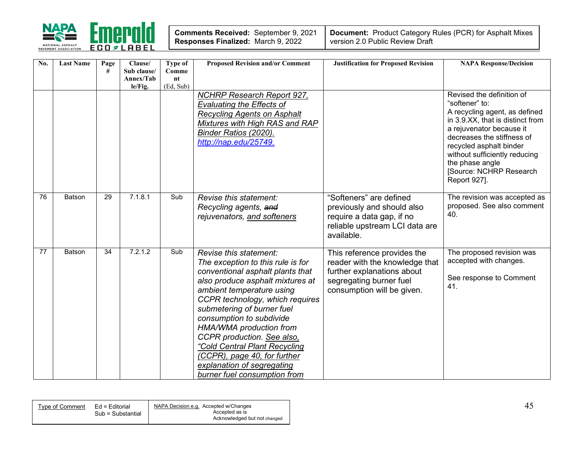

| Comments Received: September 9, 2021      |  |
|-------------------------------------------|--|
| <b>Responses Finalized: March 9, 2022</b> |  |

| No. | <b>Last Name</b> | Page<br># | Clause/<br>Sub clause/<br>Annex/Tab<br>le/Fig. | Type of<br>Comme<br>n t<br>(Ed, Sub) | <b>Proposed Revision and/or Comment</b>                                                                                                                                                                                                                                                                                                                                                                                                               | <b>Justification for Proposed Revision</b>                                                                                                           | <b>NAPA Response/Decision</b>                                                                                                                                                                                                                                                                        |
|-----|------------------|-----------|------------------------------------------------|--------------------------------------|-------------------------------------------------------------------------------------------------------------------------------------------------------------------------------------------------------------------------------------------------------------------------------------------------------------------------------------------------------------------------------------------------------------------------------------------------------|------------------------------------------------------------------------------------------------------------------------------------------------------|------------------------------------------------------------------------------------------------------------------------------------------------------------------------------------------------------------------------------------------------------------------------------------------------------|
|     |                  |           |                                                |                                      | <b>NCHRP Research Report 927,</b><br><b>Evaluating the Effects of</b><br><b>Recycling Agents on Asphalt</b><br>Mixtures with High RAS and RAP<br>Binder Ratios (2020).<br>http://nap.edu/25749.                                                                                                                                                                                                                                                       |                                                                                                                                                      | Revised the definition of<br>"softener" to:<br>A recycling agent, as defined<br>in 3.9.XX, that is distinct from<br>a rejuvenator because it<br>decreases the stiffness of<br>recycled asphalt binder<br>without sufficiently reducing<br>the phase angle<br>[Source: NCHRP Research<br>Report 927]. |
| 76  | Batson           | 29        | 7.1.8.1                                        | Sub                                  | Revise this statement:<br>Recycling agents, and<br>rejuvenators, and softeners                                                                                                                                                                                                                                                                                                                                                                        | "Softeners" are defined<br>previously and should also<br>require a data gap, if no<br>reliable upstream LCI data are<br>available.                   | The revision was accepted as<br>proposed. See also comment<br>40.                                                                                                                                                                                                                                    |
| 77  | <b>Batson</b>    | 34        | 7.2.1.2                                        | Sub                                  | Revise this statement:<br>The exception to this rule is for<br>conventional asphalt plants that<br>also produce asphalt mixtures at<br>ambient temperature using<br>CCPR technology, which requires<br>submetering of burner fuel<br>consumption to subdivide<br>HMA/WMA production from<br>CCPR production. See also,<br>"Cold Central Plant Recycling<br>(CCPR), page 40, for further<br>explanation of segregating<br>burner fuel consumption from | This reference provides the<br>reader with the knowledge that<br>further explanations about<br>segregating burner fuel<br>consumption will be given. | The proposed revision was<br>accepted with changes.<br>See response to Comment<br>41.                                                                                                                                                                                                                |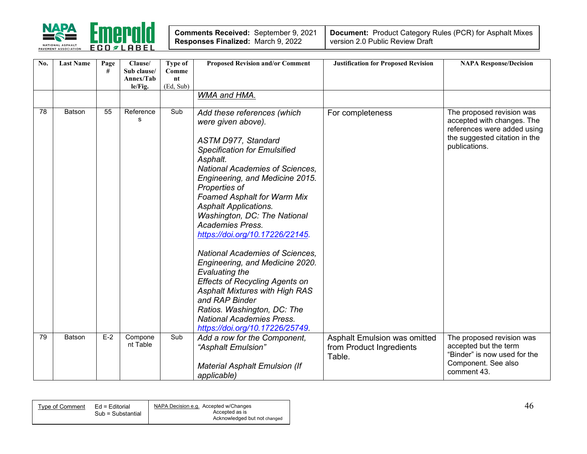

| Comments Received: September 9, 2021      |  |
|-------------------------------------------|--|
| <b>Responses Finalized: March 9, 2022</b> |  |

| No. | <b>Last Name</b> | Page<br># | Clause/<br>Sub clause/<br>Annex/Tab<br>le/Fig. | Type of<br>Comme<br>nt<br>(Ed, Sub) | <b>Proposed Revision and/or Comment</b>                                                                                                                                                                                                                                                                                                                                                                                                                                                                                                                                                                                                                                                                       | <b>Justification for Proposed Revision</b>                         | <b>NAPA Response/Decision</b>                                                                                                            |
|-----|------------------|-----------|------------------------------------------------|-------------------------------------|---------------------------------------------------------------------------------------------------------------------------------------------------------------------------------------------------------------------------------------------------------------------------------------------------------------------------------------------------------------------------------------------------------------------------------------------------------------------------------------------------------------------------------------------------------------------------------------------------------------------------------------------------------------------------------------------------------------|--------------------------------------------------------------------|------------------------------------------------------------------------------------------------------------------------------------------|
|     |                  |           |                                                |                                     | WMA and HMA.                                                                                                                                                                                                                                                                                                                                                                                                                                                                                                                                                                                                                                                                                                  |                                                                    |                                                                                                                                          |
| 78  | Batson           | 55        | Reference<br>s                                 | Sub                                 | Add these references (which<br>were given above).<br>ASTM D977, Standard<br><b>Specification for Emulsified</b><br>Asphalt.<br><b>National Academies of Sciences,</b><br>Engineering, and Medicine 2015.<br>Properties of<br><b>Foamed Asphalt for Warm Mix</b><br><b>Asphalt Applications.</b><br>Washington, DC: The National<br><b>Academies Press.</b><br>https://doi.org/10.17226/22145.<br><b>National Academies of Sciences,</b><br>Engineering, and Medicine 2020.<br><b>Evaluating the</b><br><b>Effects of Recycling Agents on</b><br><b>Asphalt Mixtures with High RAS</b><br>and RAP Binder<br>Ratios. Washington, DC: The<br><b>National Academies Press.</b><br>https://doi.org/10.17226/25749. | For completeness                                                   | The proposed revision was<br>accepted with changes. The<br>references were added using<br>the suggested citation in the<br>publications. |
| 79  | Batson           | $E-2$     | Compone<br>nt Table                            | Sub                                 | Add a row for the Component,<br>"Asphalt Emulsion"<br><b>Material Asphalt Emulsion (If</b><br>applicable)                                                                                                                                                                                                                                                                                                                                                                                                                                                                                                                                                                                                     | Asphalt Emulsion was omitted<br>from Product Ingredients<br>Table. | The proposed revision was<br>accepted but the term<br>"Binder" is now used for the<br>Component. See also<br>comment 43.                 |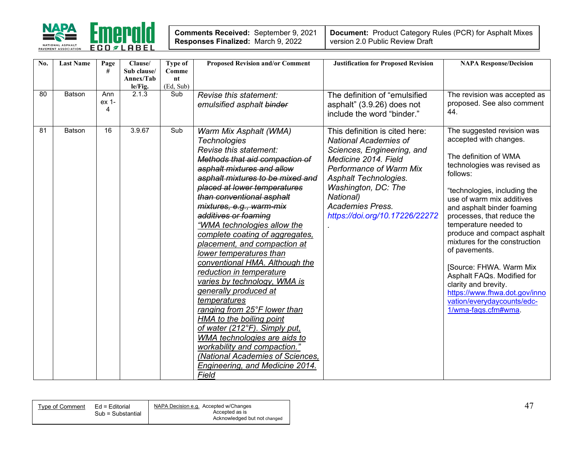

| Comments Received: September 9, 2021 |  |
|--------------------------------------|--|
| Responses Finalized: March 9, 2022   |  |

| No. | <b>Last Name</b> | Page<br>#         | Clause/<br>Sub clause/<br>Annex/Tab<br>le/Fig. | Type of<br>Comme<br>nt<br>(Ed, Sub) | <b>Proposed Revision and/or Comment</b>                                                                                                                                                                                                                                                                                                                                                                                                                                                                                                                                                                                                                                                                                                                                                                              | <b>Justification for Proposed Revision</b>                                                                                                                                                                                                                                | <b>NAPA Response/Decision</b>                                                                                                                                                                                                                                                                                                                                                                                                                                                                                                      |
|-----|------------------|-------------------|------------------------------------------------|-------------------------------------|----------------------------------------------------------------------------------------------------------------------------------------------------------------------------------------------------------------------------------------------------------------------------------------------------------------------------------------------------------------------------------------------------------------------------------------------------------------------------------------------------------------------------------------------------------------------------------------------------------------------------------------------------------------------------------------------------------------------------------------------------------------------------------------------------------------------|---------------------------------------------------------------------------------------------------------------------------------------------------------------------------------------------------------------------------------------------------------------------------|------------------------------------------------------------------------------------------------------------------------------------------------------------------------------------------------------------------------------------------------------------------------------------------------------------------------------------------------------------------------------------------------------------------------------------------------------------------------------------------------------------------------------------|
| 80  | <b>Batson</b>    | Ann<br>ex 1-<br>4 | 2.1.3                                          | Sub                                 | Revise this statement:<br>emulsified asphalt binder                                                                                                                                                                                                                                                                                                                                                                                                                                                                                                                                                                                                                                                                                                                                                                  | The definition of "emulsified<br>asphalt" (3.9.26) does not<br>include the word "binder."                                                                                                                                                                                 | The revision was accepted as<br>proposed. See also comment<br>44.                                                                                                                                                                                                                                                                                                                                                                                                                                                                  |
| 81  | <b>Batson</b>    | 16                | 3.9.67                                         | Sub                                 | Warm Mix Asphalt (WMA)<br><b>Technologies</b><br>Revise this statement:<br>Methods that aid compaction of<br>asphalt mixtures and allow<br>asphalt mixtures to be mixed and<br>placed at lower temperatures<br>than conventional asphalt<br>mixtures, e.g., warm-mix<br>additives or foaming<br>"WMA technologies allow the<br>complete coating of aggregates,<br>placement, and compaction at<br>lower temperatures than<br>conventional HMA. Although the<br>reduction in temperature<br>varies by technology, WMA is<br>generally produced at<br>temperatures<br>ranging from 25°F lower than<br>HMA to the boiling point<br>of water (212°F). Simply put,<br>WMA technologies are aids to<br>workability and compaction."<br>(National Academies of Sciences,<br><b>Engineering, and Medicine 2014.</b><br>Field | This definition is cited here:<br><b>National Academies of</b><br>Sciences, Engineering, and<br>Medicine 2014. Field<br>Performance of Warm Mix<br>Asphalt Technologies.<br>Washington, DC: The<br>National)<br><b>Academies Press.</b><br>https://doi.org/10.17226/22272 | The suggested revision was<br>accepted with changes.<br>The definition of WMA<br>technologies was revised as<br>follows:<br>"technologies, including the<br>use of warm mix additives<br>and asphalt binder foaming<br>processes, that reduce the<br>temperature needed to<br>produce and compact asphalt<br>mixtures for the construction<br>of pavements.<br>[Source: FHWA. Warm Mix<br>Asphalt FAQs. Modified for<br>clarity and brevity.<br>https://www.fhwa.dot.gov/inno<br>vation/everydaycounts/edc-<br>1/wma-fags.cfm#wma. |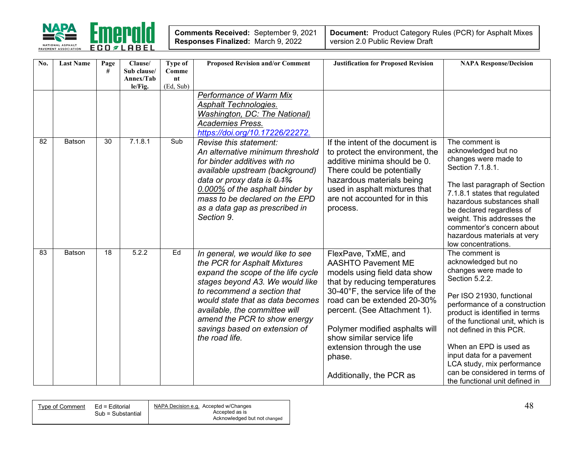

| Comments Received: September 9, 2021      |  |
|-------------------------------------------|--|
| <b>Responses Finalized: March 9, 2022</b> |  |

| No. | <b>Last Name</b> | Page<br># | Clause/<br>Sub clause/<br>Annex/Tab | <b>Type of</b><br>Comme<br>$n_{\rm t}$ | <b>Proposed Revision and/or Comment</b>                                                                                                                                                                                                                                                                                          | <b>Justification for Proposed Revision</b>                                                                                                                                                                                                                                                                                                             | <b>NAPA Response/Decision</b>                                                                                                                                                                                                                                                                                                                                                                           |
|-----|------------------|-----------|-------------------------------------|----------------------------------------|----------------------------------------------------------------------------------------------------------------------------------------------------------------------------------------------------------------------------------------------------------------------------------------------------------------------------------|--------------------------------------------------------------------------------------------------------------------------------------------------------------------------------------------------------------------------------------------------------------------------------------------------------------------------------------------------------|---------------------------------------------------------------------------------------------------------------------------------------------------------------------------------------------------------------------------------------------------------------------------------------------------------------------------------------------------------------------------------------------------------|
|     |                  |           | le/Fig.                             | (Ed, Sub)                              |                                                                                                                                                                                                                                                                                                                                  |                                                                                                                                                                                                                                                                                                                                                        |                                                                                                                                                                                                                                                                                                                                                                                                         |
|     |                  |           |                                     |                                        | <b>Performance of Warm Mix</b><br>Asphalt Technologies.<br>Washington, DC: The National)<br><b>Academies Press.</b><br>https://doi.org/10.17226/22272.                                                                                                                                                                           |                                                                                                                                                                                                                                                                                                                                                        |                                                                                                                                                                                                                                                                                                                                                                                                         |
| 82  | Batson           | 30        | 7.1.8.1                             | Sub                                    | Revise this statement:<br>An alternative minimum threshold<br>for binder additives with no<br>available upstream (background)<br>data or proxy data is 0.1%<br>0.000% of the asphalt binder by<br>mass to be declared on the EPD<br>as a data gap as prescribed in<br>Section 9.                                                 | If the intent of the document is<br>to protect the environment, the<br>additive minima should be 0.<br>There could be potentially<br>hazardous materials being<br>used in asphalt mixtures that<br>are not accounted for in this<br>process.                                                                                                           | The comment is<br>acknowledged but no<br>changes were made to<br>Section 7.1.8.1.<br>The last paragraph of Section<br>7.1.8.1 states that regulated<br>hazardous substances shall<br>be declared regardless of<br>weight. This addresses the<br>commentor's concern about<br>hazardous materials at very<br>low concentrations.                                                                         |
| 83  | <b>Batson</b>    | 18        | 5.2.2                               | Ed                                     | In general, we would like to see<br>the PCR for Asphalt Mixtures<br>expand the scope of the life cycle<br>stages beyond A3. We would like<br>to recommend a section that<br>would state that as data becomes<br>available, the committee will<br>amend the PCR to show energy<br>savings based on extension of<br>the road life. | FlexPave, TxME, and<br><b>AASHTO Pavement ME</b><br>models using field data show<br>that by reducing temperatures<br>30-40°F, the service life of the<br>road can be extended 20-30%<br>percent. (See Attachment 1).<br>Polymer modified asphalts will<br>show similar service life<br>extension through the use<br>phase.<br>Additionally, the PCR as | The comment is<br>acknowledged but no<br>changes were made to<br>Section 5.2.2.<br>Per ISO 21930, functional<br>performance of a construction<br>product is identified in terms<br>of the functional unit, which is<br>not defined in this PCR.<br>When an EPD is used as<br>input data for a pavement<br>LCA study, mix performance<br>can be considered in terms of<br>the functional unit defined in |

| Ed = Editorial<br>Tvpe of Comment | NAPA Decision e.g. Accepted w/Changes |  |
|-----------------------------------|---------------------------------------|--|
| Sub = Substantial                 | Accepted as is                        |  |
|                                   | Acknowledged but not changed          |  |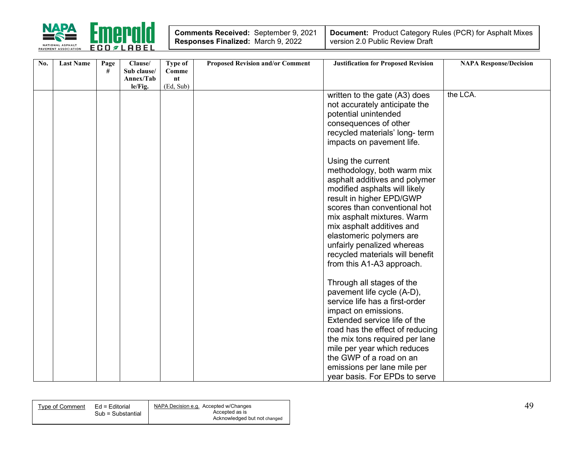

| <b>Comments Received: September 9, 2021</b> |  |
|---------------------------------------------|--|
| Responses Finalized: March 9, 2022          |  |

| No. | <b>Last Name</b> | Page | Clause/     | Type of   | <b>Proposed Revision and/or Comment</b> | <b>Justification for Proposed Revision</b> | <b>NAPA Response/Decision</b> |
|-----|------------------|------|-------------|-----------|-----------------------------------------|--------------------------------------------|-------------------------------|
|     |                  | #    | Sub clause/ | Comme     |                                         |                                            |                               |
|     |                  |      | Annex/Tab   | nt        |                                         |                                            |                               |
|     |                  |      | le/Fig.     | (Ed, Sub) |                                         |                                            | the LCA.                      |
|     |                  |      |             |           |                                         | written to the gate (A3) does              |                               |
|     |                  |      |             |           |                                         | not accurately anticipate the              |                               |
|     |                  |      |             |           |                                         | potential unintended                       |                               |
|     |                  |      |             |           |                                         | consequences of other                      |                               |
|     |                  |      |             |           |                                         | recycled materials' long- term             |                               |
|     |                  |      |             |           |                                         | impacts on pavement life.                  |                               |
|     |                  |      |             |           |                                         | Using the current                          |                               |
|     |                  |      |             |           |                                         | methodology, both warm mix                 |                               |
|     |                  |      |             |           |                                         | asphalt additives and polymer              |                               |
|     |                  |      |             |           |                                         | modified asphalts will likely              |                               |
|     |                  |      |             |           |                                         | result in higher EPD/GWP                   |                               |
|     |                  |      |             |           |                                         | scores than conventional hot               |                               |
|     |                  |      |             |           |                                         | mix asphalt mixtures. Warm                 |                               |
|     |                  |      |             |           |                                         | mix asphalt additives and                  |                               |
|     |                  |      |             |           |                                         |                                            |                               |
|     |                  |      |             |           |                                         | elastomeric polymers are                   |                               |
|     |                  |      |             |           |                                         | unfairly penalized whereas                 |                               |
|     |                  |      |             |           |                                         | recycled materials will benefit            |                               |
|     |                  |      |             |           |                                         | from this A1-A3 approach.                  |                               |
|     |                  |      |             |           |                                         | Through all stages of the                  |                               |
|     |                  |      |             |           |                                         | pavement life cycle (A-D),                 |                               |
|     |                  |      |             |           |                                         | service life has a first-order             |                               |
|     |                  |      |             |           |                                         | impact on emissions.                       |                               |
|     |                  |      |             |           |                                         | Extended service life of the               |                               |
|     |                  |      |             |           |                                         |                                            |                               |
|     |                  |      |             |           |                                         | road has the effect of reducing            |                               |
|     |                  |      |             |           |                                         | the mix tons required per lane             |                               |
|     |                  |      |             |           |                                         | mile per year which reduces                |                               |
|     |                  |      |             |           |                                         | the GWP of a road on an                    |                               |
|     |                  |      |             |           |                                         | emissions per lane mile per                |                               |
|     |                  |      |             |           |                                         | year basis. For EPDs to serve              |                               |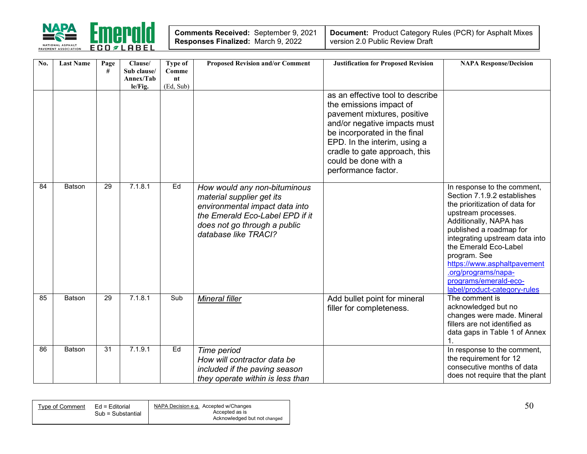

| <b>Comments Received: September 9, 2021</b> |  |
|---------------------------------------------|--|
| Responses Finalized: March 9, 2022          |  |

| No. | <b>Last Name</b> | Page<br># | Clause/<br>Sub clause/<br>Annex/Tab<br>le/Fig. | Type of<br>Comme<br>nt<br>(Ed, Sub) | <b>Proposed Revision and/or Comment</b>                                                                                                                                                | <b>Justification for Proposed Revision</b>                                                                                                                                                                                                                                 | <b>NAPA Response/Decision</b>                                                                                                                                                                                                                                                                                                                                      |
|-----|------------------|-----------|------------------------------------------------|-------------------------------------|----------------------------------------------------------------------------------------------------------------------------------------------------------------------------------------|----------------------------------------------------------------------------------------------------------------------------------------------------------------------------------------------------------------------------------------------------------------------------|--------------------------------------------------------------------------------------------------------------------------------------------------------------------------------------------------------------------------------------------------------------------------------------------------------------------------------------------------------------------|
|     |                  |           |                                                |                                     |                                                                                                                                                                                        | as an effective tool to describe<br>the emissions impact of<br>pavement mixtures, positive<br>and/or negative impacts must<br>be incorporated in the final<br>EPD. In the interim, using a<br>cradle to gate approach, this<br>could be done with a<br>performance factor. |                                                                                                                                                                                                                                                                                                                                                                    |
| 84  | Batson           | 29        | 7.1.8.1                                        | Ed                                  | How would any non-bituminous<br>material supplier get its<br>environmental impact data into<br>the Emerald Eco-Label EPD if it<br>does not go through a public<br>database like TRACI? |                                                                                                                                                                                                                                                                            | In response to the comment,<br>Section 7.1.9.2 establishes<br>the prioritization of data for<br>upstream processes.<br>Additionally, NAPA has<br>published a roadmap for<br>integrating upstream data into<br>the Emerald Eco-Label<br>program. See<br>https://www.asphaltpavement<br>.org/programs/napa-<br>programs/emerald-eco-<br>label/product-category-rules |
| 85  | Batson           | 29        | 7.1.8.1                                        | Sub                                 | Mineral filler                                                                                                                                                                         | Add bullet point for mineral<br>filler for completeness.                                                                                                                                                                                                                   | The comment is<br>acknowledged but no<br>changes were made. Mineral<br>fillers are not identified as<br>data gaps in Table 1 of Annex                                                                                                                                                                                                                              |
| 86  | <b>Batson</b>    | 31        | 7.1.9.1                                        | Ed                                  | Time period<br>How will contractor data be<br>included if the paving season<br>they operate within is less than                                                                        |                                                                                                                                                                                                                                                                            | In response to the comment,<br>the requirement for 12<br>consecutive months of data<br>does not require that the plant                                                                                                                                                                                                                                             |

| Type of Comment | Ed = Editorial<br>Sub = Substantial | NAPA Decision e.g. Accepted w/Changes<br>Accepted as is<br>Acknowledged but not changed | 50 |
|-----------------|-------------------------------------|-----------------------------------------------------------------------------------------|----|
|                 |                                     |                                                                                         |    |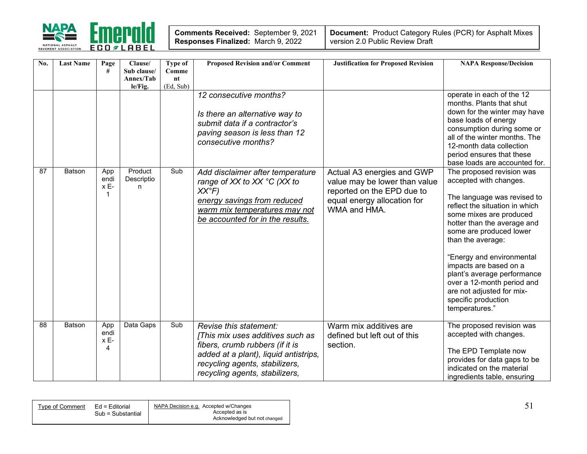

| Comments Received: September 9, 2021 |  |
|--------------------------------------|--|
| Responses Finalized: March 9, 2022   |  |

| No. | <b>Last Name</b> | Page<br>#                | Clause/<br>Sub clause/<br>Annex/Tab<br>le/Fig. | <b>Type of</b><br>Comme<br>nt<br>(Ed, Sub) | <b>Proposed Revision and/or Comment</b>                                                                                                                                                                    | <b>Justification for Proposed Revision</b>                                                                                               | <b>NAPA Response/Decision</b>                                                                                                                                                                                                                                                                                                                                                                                            |
|-----|------------------|--------------------------|------------------------------------------------|--------------------------------------------|------------------------------------------------------------------------------------------------------------------------------------------------------------------------------------------------------------|------------------------------------------------------------------------------------------------------------------------------------------|--------------------------------------------------------------------------------------------------------------------------------------------------------------------------------------------------------------------------------------------------------------------------------------------------------------------------------------------------------------------------------------------------------------------------|
|     |                  |                          |                                                |                                            | 12 consecutive months?<br>Is there an alternative way to<br>submit data if a contractor's<br>paving season is less than 12<br>consecutive months?                                                          |                                                                                                                                          | operate in each of the 12<br>months. Plants that shut<br>down for the winter may have<br>base loads of energy<br>consumption during some or<br>all of the winter months. The<br>12-month data collection<br>period ensures that these<br>base loads are accounted for.                                                                                                                                                   |
| 87  | <b>Batson</b>    | App<br>endi<br>x E-      | Product<br>Descriptio<br>n                     | Sub                                        | Add disclaimer after temperature<br>range of XX to XX °C (XX to<br>$XX^{\circ}F$<br>energy savings from reduced<br>warm mix temperatures may not<br>be accounted for in the results.                       | Actual A3 energies and GWP<br>value may be lower than value<br>reported on the EPD due to<br>equal energy allocation for<br>WMA and HMA. | The proposed revision was<br>accepted with changes.<br>The language was revised to<br>reflect the situation in which<br>some mixes are produced<br>hotter than the average and<br>some are produced lower<br>than the average:<br>"Energy and environmental<br>impacts are based on a<br>plant's average performance<br>over a 12-month period and<br>are not adjusted for mix-<br>specific production<br>temperatures." |
| 88  | Batson           | App<br>endi<br>x E-<br>4 | Data Gaps                                      | Sub                                        | Revise this statement:<br>[This mix uses additives such as<br>fibers, crumb rubbers (if it is<br>added at a plant), liquid antistrips,<br>recycling agents, stabilizers,<br>recycling agents, stabilizers, | Warm mix additives are<br>defined but left out of this<br>section.                                                                       | The proposed revision was<br>accepted with changes.<br>The EPD Template now<br>provides for data gaps to be<br>indicated on the material<br>ingredients table, ensuring                                                                                                                                                                                                                                                  |

| Type of Comment | Ed = Editorial    | NAPA Decision e.g. Accepted w/Changes |  |
|-----------------|-------------------|---------------------------------------|--|
|                 | Sub = Substantial | Accepted as is                        |  |
|                 |                   | Acknowledged but not changed          |  |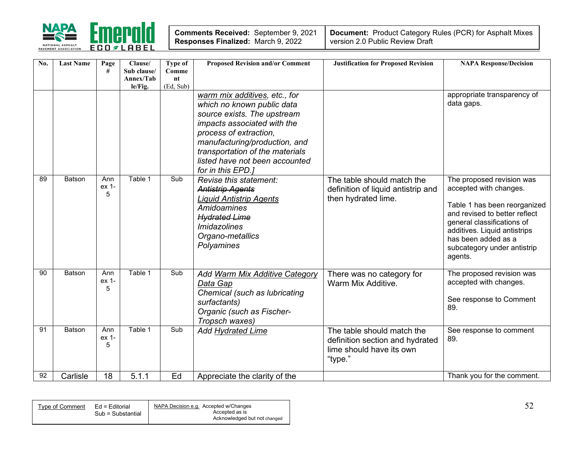

| Comments Received: September 9, 2021      |  |
|-------------------------------------------|--|
| <b>Responses Finalized: March 9, 2022</b> |  |

| No. | <b>Last Name</b> | Page<br>#         | Clause/<br>Sub clause/<br>Annex/Tab<br>le/Fig. | Type of<br>Comme<br>nt<br>(Ed, Sub) | <b>Proposed Revision and/or Comment</b>                                                                                                                                                                                                                                        | <b>Justification for Proposed Revision</b>                                                           | <b>NAPA Response/Decision</b>                                                                                                                                                                                                                       |
|-----|------------------|-------------------|------------------------------------------------|-------------------------------------|--------------------------------------------------------------------------------------------------------------------------------------------------------------------------------------------------------------------------------------------------------------------------------|------------------------------------------------------------------------------------------------------|-----------------------------------------------------------------------------------------------------------------------------------------------------------------------------------------------------------------------------------------------------|
|     |                  |                   |                                                |                                     | warm mix additives, etc., for<br>which no known public data<br>source exists. The upstream<br>impacts associated with the<br>process of extraction,<br>manufacturing/production, and<br>transportation of the materials<br>listed have not been accounted<br>for in this EPD.] |                                                                                                      | appropriate transparency of<br>data gaps.                                                                                                                                                                                                           |
| 89  | Batson           | Ann<br>ex 1-<br>5 | Table 1                                        | Sub                                 | Revise this statement:<br><b>Antistrip Agents</b><br><b>Liquid Antistrip Agents</b><br>Amidoamines<br><b>Hydrated Lime</b><br><i>Imidazolines</i><br>Organo-metallics<br>Polyamines                                                                                            | The table should match the<br>definition of liquid antistrip and<br>then hydrated lime.              | The proposed revision was<br>accepted with changes.<br>Table 1 has been reorganized<br>and revised to better reflect<br>general classifications of<br>additives. Liquid antistrips<br>has been added as a<br>subcategory under antistrip<br>agents. |
| 90  | Batson           | Ann<br>ex 1-<br>5 | Table 1                                        | Sub                                 | Add Warm Mix Additive Category<br>Data Gap<br>Chemical (such as lubricating<br>surfactants)<br>Organic (such as Fischer-<br>Tropsch waxes)                                                                                                                                     | There was no category for<br>Warm Mix Additive.                                                      | The proposed revision was<br>accepted with changes.<br>See response to Comment<br>89.                                                                                                                                                               |
| 91  | Batson           | Ann<br>ex 1-<br>5 | Table 1                                        | Sub                                 | Add Hydrated Lime                                                                                                                                                                                                                                                              | The table should match the<br>definition section and hydrated<br>lime should have its own<br>"type." | See response to comment<br>89.                                                                                                                                                                                                                      |
| 92  | Carlisle         | 18                | 5.1.1                                          | Ed                                  | Appreciate the clarity of the                                                                                                                                                                                                                                                  |                                                                                                      | Thank you for the comment.                                                                                                                                                                                                                          |

| Type of Comment | Ed = Editorial    | NAPA Decision e.g. Accepted w/Changes |  |
|-----------------|-------------------|---------------------------------------|--|
|                 | Sub = Substantial | Accepted as is                        |  |
|                 |                   | Acknowledged but not changed          |  |